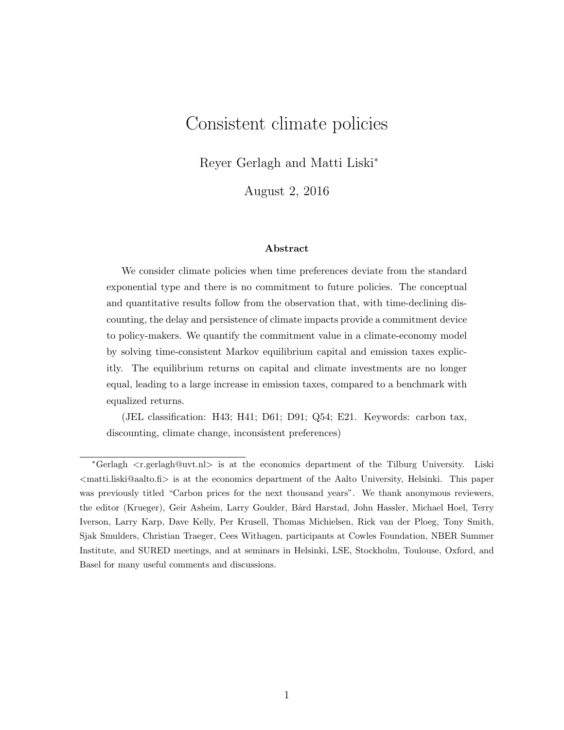# Consistent climate policies

Reyer Gerlagh and Matti Liski<sup>∗</sup>

August 2, 2016

#### Abstract

We consider climate policies when time preferences deviate from the standard exponential type and there is no commitment to future policies. The conceptual and quantitative results follow from the observation that, with time-declining discounting, the delay and persistence of climate impacts provide a commitment device to policy-makers. We quantify the commitment value in a climate-economy model by solving time-consistent Markov equilibrium capital and emission taxes explicitly. The equilibrium returns on capital and climate investments are no longer equal, leading to a large increase in emission taxes, compared to a benchmark with equalized returns.

(JEL classification: H43; H41; D61; D91; Q54; E21. Keywords: carbon tax, discounting, climate change, inconsistent preferences)

<sup>∗</sup>Gerlagh <r.gerlagh@uvt.nl> is at the economics department of the Tilburg University. Liski  $\epsilon$  matti.liski@aalto.fi> is at the economics department of the Aalto University, Helsinki. This paper was previously titled "Carbon prices for the next thousand years". We thank anonymous reviewers, the editor (Krueger), Geir Asheim, Larry Goulder, Bård Harstad, John Hassler, Michael Hoel, Terry Iverson, Larry Karp, Dave Kelly, Per Krusell, Thomas Michielsen, Rick van der Ploeg, Tony Smith, Sjak Smulders, Christian Traeger, Cees Withagen, participants at Cowles Foundation, NBER Summer Institute, and SURED meetings, and at seminars in Helsinki, LSE, Stockholm, Toulouse, Oxford, and Basel for many useful comments and discussions.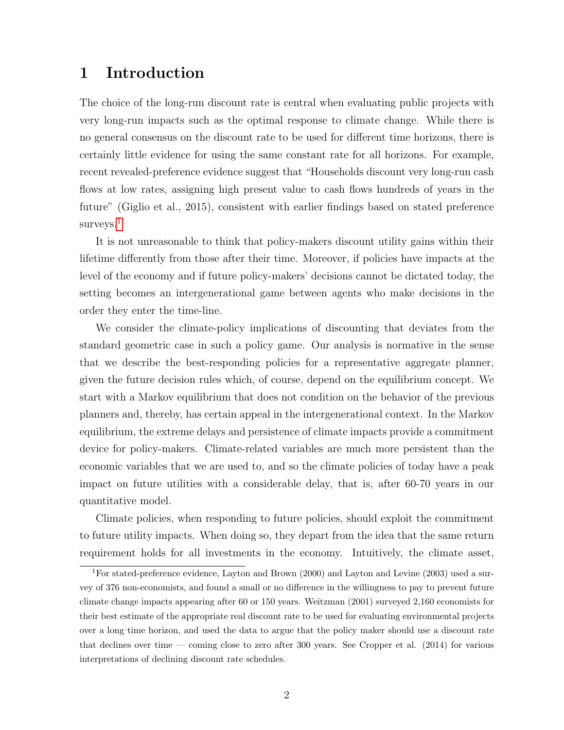## 1 Introduction

The choice of the long-run discount rate is central when evaluating public projects with very long-run impacts such as the optimal response to climate change. While there is no general consensus on the discount rate to be used for different time horizons, there is certainly little evidence for using the same constant rate for all horizons. For example, recent revealed-preference evidence suggest that "Households discount very long-run cash flows at low rates, assigning high present value to cash flows hundreds of years in the future" (Giglio et al., 2015), consistent with earlier findings based on stated preference surveys.<sup>[1](#page-1-0)</sup>

It is not unreasonable to think that policy-makers discount utility gains within their lifetime differently from those after their time. Moreover, if policies have impacts at the level of the economy and if future policy-makers' decisions cannot be dictated today, the setting becomes an intergenerational game between agents who make decisions in the order they enter the time-line.

We consider the climate-policy implications of discounting that deviates from the standard geometric case in such a policy game. Our analysis is normative in the sense that we describe the best-responding policies for a representative aggregate planner, given the future decision rules which, of course, depend on the equilibrium concept. We start with a Markov equilibrium that does not condition on the behavior of the previous planners and, thereby, has certain appeal in the intergenerational context. In the Markov equilibrium, the extreme delays and persistence of climate impacts provide a commitment device for policy-makers. Climate-related variables are much more persistent than the economic variables that we are used to, and so the climate policies of today have a peak impact on future utilities with a considerable delay, that is, after 60-70 years in our quantitative model.

Climate policies, when responding to future policies, should exploit the commitment to future utility impacts. When doing so, they depart from the idea that the same return requirement holds for all investments in the economy. Intuitively, the climate asset,

<span id="page-1-0"></span><sup>&</sup>lt;sup>1</sup>For stated-preference evidence, Layton and Brown (2000) and Layton and Levine (2003) used a survey of 376 non-economists, and found a small or no difference in the willingness to pay to prevent future climate change impacts appearing after 60 or 150 years. Weitzman (2001) surveyed 2,160 economists for their best estimate of the appropriate real discount rate to be used for evaluating environmental projects over a long time horizon, and used the data to argue that the policy maker should use a discount rate that declines over time — coming close to zero after 300 years. See Cropper et al.  $(2014)$  for various interpretations of declining discount rate schedules.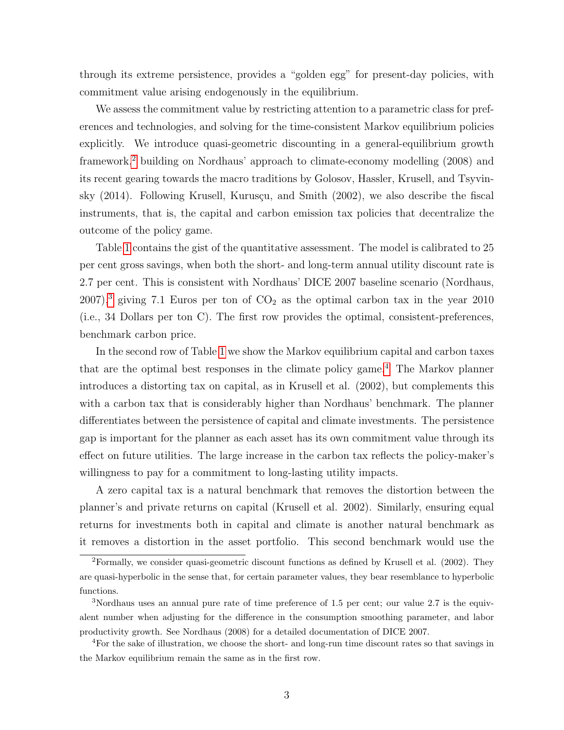through its extreme persistence, provides a "golden egg" for present-day policies, with commitment value arising endogenously in the equilibrium.

We assess the commitment value by restricting attention to a parametric class for preferences and technologies, and solving for the time-consistent Markov equilibrium policies explicitly. We introduce quasi-geometric discounting in a general-equilibrium growth framework,[2](#page-2-0) building on Nordhaus' approach to climate-economy modelling (2008) and its recent gearing towards the macro traditions by Golosov, Hassler, Krusell, and Tsyvinsky  $(2014)$ . Following Krusell, Kurusçu, and Smith  $(2002)$ , we also describe the fiscal instruments, that is, the capital and carbon emission tax policies that decentralize the outcome of the policy game.

Table [1](#page-3-0) contains the gist of the quantitative assessment. The model is calibrated to 25 per cent gross savings, when both the short- and long-term annual utility discount rate is 2.7 per cent. This is consistent with Nordhaus' DICE 2007 baseline scenario (Nordhaus, 2007),<sup>[3](#page-2-1)</sup> giving 7.1 Euros per ton of  $CO<sub>2</sub>$  as the optimal carbon tax in the year 2010 (i.e., 34 Dollars per ton C). The first row provides the optimal, consistent-preferences, benchmark carbon price.

In the second row of Table [1](#page-3-0) we show the Markov equilibrium capital and carbon taxes that are the optimal best responses in the climate policy game.<sup>[4](#page-2-2)</sup> The Markov planner introduces a distorting tax on capital, as in Krusell et al. (2002), but complements this with a carbon tax that is considerably higher than Nordhaus' benchmark. The planner differentiates between the persistence of capital and climate investments. The persistence gap is important for the planner as each asset has its own commitment value through its effect on future utilities. The large increase in the carbon tax reflects the policy-maker's willingness to pay for a commitment to long-lasting utility impacts.

A zero capital tax is a natural benchmark that removes the distortion between the planner's and private returns on capital (Krusell et al. 2002). Similarly, ensuring equal returns for investments both in capital and climate is another natural benchmark as it removes a distortion in the asset portfolio. This second benchmark would use the

<span id="page-2-0"></span> ${}^{2}$ Formally, we consider quasi-geometric discount functions as defined by Krusell et al. (2002). They are quasi-hyperbolic in the sense that, for certain parameter values, they bear resemblance to hyperbolic functions.

<span id="page-2-1"></span><sup>3</sup>Nordhaus uses an annual pure rate of time preference of 1.5 per cent; our value 2.7 is the equivalent number when adjusting for the difference in the consumption smoothing parameter, and labor productivity growth. See Nordhaus (2008) for a detailed documentation of DICE 2007.

<span id="page-2-2"></span><sup>4</sup>For the sake of illustration, we choose the short- and long-run time discount rates so that savings in the Markov equilibrium remain the same as in the first row.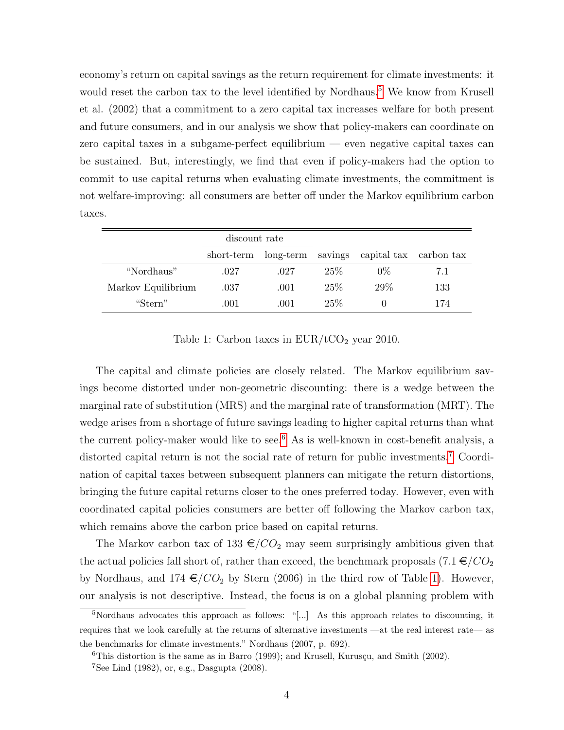economy's return on capital savings as the return requirement for climate investments: it would reset the carbon tax to the level identified by Nordhaus.<sup>[5](#page-3-1)</sup> We know from Krusell et al. (2002) that a commitment to a zero capital tax increases welfare for both present and future consumers, and in our analysis we show that policy-makers can coordinate on zero capital taxes in a subgame-perfect equilibrium — even negative capital taxes can be sustained. But, interestingly, we find that even if policy-makers had the option to commit to use capital returns when evaluating climate investments, the commitment is not welfare-improving: all consumers are better off under the Markov equilibrium carbon taxes.

|                    | discount rate |      |        |                                                     |     |
|--------------------|---------------|------|--------|-----------------------------------------------------|-----|
|                    |               |      |        | short-term long-term savings capital tax carbon tax |     |
| "Nordhaus"         | .027          | .027 | $25\%$ | $0\%$                                               | 7.1 |
| Markov Equilibrium | .037          | .001 | 25%    | 29%                                                 | 133 |
| "Stern"            | .001          | .001 | 25%    |                                                     | 174 |

<span id="page-3-0"></span>Table 1: Carbon taxes in  $EUR/ tCO<sub>2</sub>$  year 2010.

The capital and climate policies are closely related. The Markov equilibrium savings become distorted under non-geometric discounting: there is a wedge between the marginal rate of substitution (MRS) and the marginal rate of transformation (MRT). The wedge arises from a shortage of future savings leading to higher capital returns than what the current policy-maker would like to see.<sup>[6](#page-3-2)</sup> As is well-known in cost-benefit analysis, a distorted capital return is not the social rate of return for public investments.[7](#page-3-3) Coordination of capital taxes between subsequent planners can mitigate the return distortions, bringing the future capital returns closer to the ones preferred today. However, even with coordinated capital policies consumers are better off following the Markov carbon tax, which remains above the carbon price based on capital returns.

The Markov carbon tax of 133  $\epsilon$ /CO<sub>2</sub> may seem surprisingly ambitious given that the actual policies fall short of, rather than exceed, the benchmark proposals  $(7.1 \in /CO<sub>2</sub>)$ by Nordhaus, and 174  $\epsilon$ /CO<sub>2</sub> by Stern (2006) in the third row of Table [1\)](#page-3-0). However, our analysis is not descriptive. Instead, the focus is on a global planning problem with

<span id="page-3-1"></span> $5$ Nordhaus advocates this approach as follows: "[...] As this approach relates to discounting, it requires that we look carefully at the returns of alternative investments —at the real interest rate— as the benchmarks for climate investments." Nordhaus (2007, p. 692).

<span id="page-3-3"></span><span id="page-3-2"></span> ${}^{6}$ This distortion is the same as in Barro (1999); and Krusell, Kurusçu, and Smith (2002).

<sup>7</sup>See Lind (1982), or, e.g., Dasgupta (2008).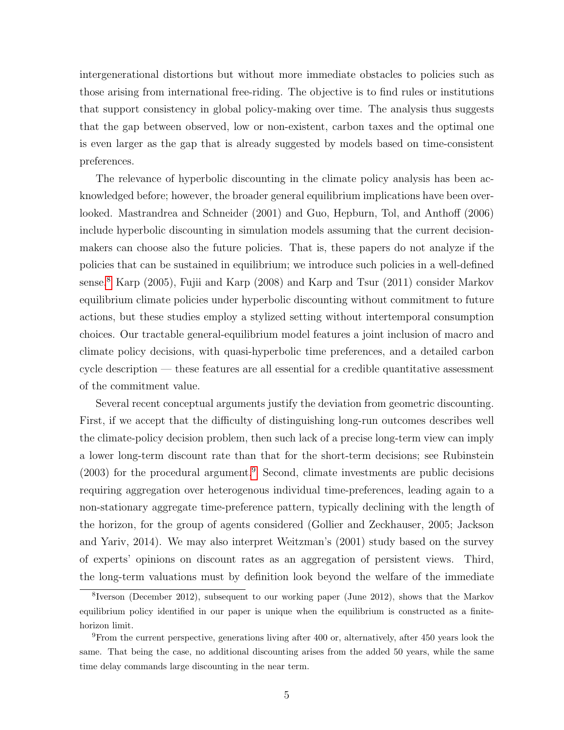intergenerational distortions but without more immediate obstacles to policies such as those arising from international free-riding. The objective is to find rules or institutions that support consistency in global policy-making over time. The analysis thus suggests that the gap between observed, low or non-existent, carbon taxes and the optimal one is even larger as the gap that is already suggested by models based on time-consistent preferences.

The relevance of hyperbolic discounting in the climate policy analysis has been acknowledged before; however, the broader general equilibrium implications have been overlooked. Mastrandrea and Schneider (2001) and Guo, Hepburn, Tol, and Anthoff (2006) include hyperbolic discounting in simulation models assuming that the current decisionmakers can choose also the future policies. That is, these papers do not analyze if the policies that can be sustained in equilibrium; we introduce such policies in a well-defined sense.[8](#page-4-0) Karp (2005), Fujii and Karp (2008) and Karp and Tsur (2011) consider Markov equilibrium climate policies under hyperbolic discounting without commitment to future actions, but these studies employ a stylized setting without intertemporal consumption choices. Our tractable general-equilibrium model features a joint inclusion of macro and climate policy decisions, with quasi-hyperbolic time preferences, and a detailed carbon cycle description — these features are all essential for a credible quantitative assessment of the commitment value.

Several recent conceptual arguments justify the deviation from geometric discounting. First, if we accept that the difficulty of distinguishing long-run outcomes describes well the climate-policy decision problem, then such lack of a precise long-term view can imply a lower long-term discount rate than that for the short-term decisions; see Rubinstein  $(2003)$  for the procedural argument.<sup>[9](#page-4-1)</sup> Second, climate investments are public decisions requiring aggregation over heterogenous individual time-preferences, leading again to a non-stationary aggregate time-preference pattern, typically declining with the length of the horizon, for the group of agents considered (Gollier and Zeckhauser, 2005; Jackson and Yariv, 2014). We may also interpret Weitzman's (2001) study based on the survey of experts' opinions on discount rates as an aggregation of persistent views. Third, the long-term valuations must by definition look beyond the welfare of the immediate

<span id="page-4-0"></span><sup>&</sup>lt;sup>8</sup>Iverson (December 2012), subsequent to our working paper (June 2012), shows that the Markov equilibrium policy identified in our paper is unique when the equilibrium is constructed as a finitehorizon limit.

<span id="page-4-1"></span><sup>9</sup>From the current perspective, generations living after 400 or, alternatively, after 450 years look the same. That being the case, no additional discounting arises from the added 50 years, while the same time delay commands large discounting in the near term.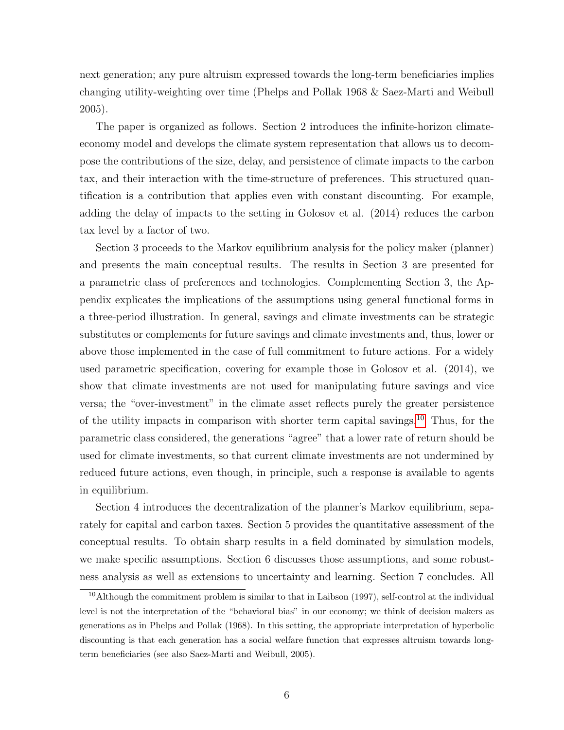next generation; any pure altruism expressed towards the long-term beneficiaries implies changing utility-weighting over time (Phelps and Pollak 1968 & Saez-Marti and Weibull 2005).

The paper is organized as follows. Section 2 introduces the infinite-horizon climateeconomy model and develops the climate system representation that allows us to decompose the contributions of the size, delay, and persistence of climate impacts to the carbon tax, and their interaction with the time-structure of preferences. This structured quantification is a contribution that applies even with constant discounting. For example, adding the delay of impacts to the setting in Golosov et al. (2014) reduces the carbon tax level by a factor of two.

Section 3 proceeds to the Markov equilibrium analysis for the policy maker (planner) and presents the main conceptual results. The results in Section 3 are presented for a parametric class of preferences and technologies. Complementing Section 3, the Appendix explicates the implications of the assumptions using general functional forms in a three-period illustration. In general, savings and climate investments can be strategic substitutes or complements for future savings and climate investments and, thus, lower or above those implemented in the case of full commitment to future actions. For a widely used parametric specification, covering for example those in Golosov et al. (2014), we show that climate investments are not used for manipulating future savings and vice versa; the "over-investment" in the climate asset reflects purely the greater persistence of the utility impacts in comparison with shorter term capital savings.<sup>[10](#page-5-0)</sup> Thus, for the parametric class considered, the generations "agree" that a lower rate of return should be used for climate investments, so that current climate investments are not undermined by reduced future actions, even though, in principle, such a response is available to agents in equilibrium.

Section 4 introduces the decentralization of the planner's Markov equilibrium, separately for capital and carbon taxes. Section 5 provides the quantitative assessment of the conceptual results. To obtain sharp results in a field dominated by simulation models, we make specific assumptions. Section 6 discusses those assumptions, and some robustness analysis as well as extensions to uncertainty and learning. Section 7 concludes. All

<span id="page-5-0"></span> $10$ Although the commitment problem is similar to that in Laibson (1997), self-control at the individual level is not the interpretation of the "behavioral bias" in our economy; we think of decision makers as generations as in Phelps and Pollak (1968). In this setting, the appropriate interpretation of hyperbolic discounting is that each generation has a social welfare function that expresses altruism towards longterm beneficiaries (see also Saez-Marti and Weibull, 2005).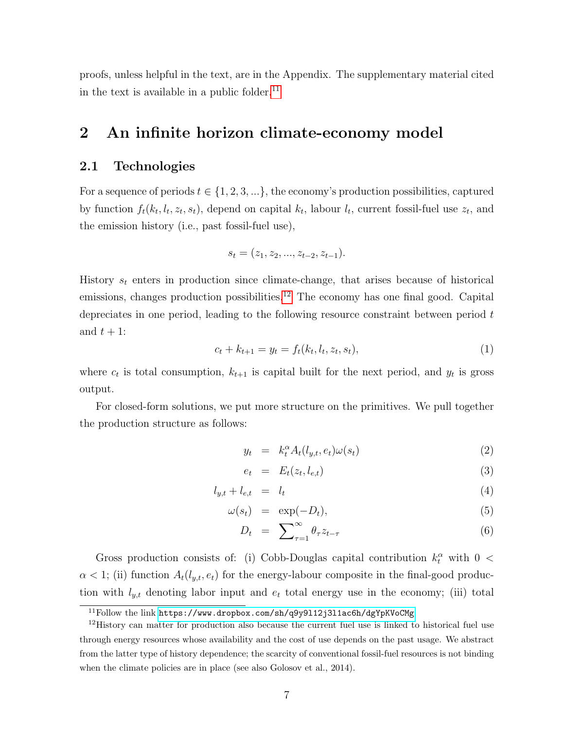proofs, unless helpful in the text, are in the Appendix. The supplementary material cited in the text is available in a public folder. $^{11}$  $^{11}$  $^{11}$ 

## 2 An infinite horizon climate-economy model

#### 2.1 Technologies

For a sequence of periods  $t \in \{1, 2, 3, ...\}$ , the economy's production possibilities, captured by function  $f_t(k_t, l_t, z_t, s_t)$ , depend on capital  $k_t$ , labour  $l_t$ , current fossil-fuel use  $z_t$ , and the emission history (i.e., past fossil-fuel use),

$$
s_t = (z_1, z_2, ..., z_{t-2}, z_{t-1}).
$$

History  $s_t$  enters in production since climate-change, that arises because of historical emissions, changes production possibilities.<sup>[12](#page-6-1)</sup> The economy has one final good. Capital depreciates in one period, leading to the following resource constraint between period  $t$ and  $t + 1$ :

<span id="page-6-2"></span>
$$
c_t + k_{t+1} = y_t = f_t(k_t, l_t, z_t, s_t),
$$
\n(1)

where  $c_t$  is total consumption,  $k_{t+1}$  is capital built for the next period, and  $y_t$  is gross output.

For closed-form solutions, we put more structure on the primitives. We pull together the production structure as follows:

<span id="page-6-3"></span>
$$
y_t = k_t^{\alpha} A_t(l_{y,t}, e_t) \omega(s_t) \tag{2}
$$

$$
e_t = E_t(z_t, l_{e,t}) \tag{3}
$$

$$
l_{y,t} + l_{e,t} = l_t \tag{4}
$$

$$
\omega(s_t) = \exp(-D_t), \tag{5}
$$

$$
D_t = \sum_{\tau=1}^{\infty} \theta_{\tau} z_{t-\tau} \tag{6}
$$

Gross production consists of: (i) Cobb-Douglas capital contribution  $k_t^{\alpha}$  with  $0 <$  $\alpha < 1$ ; (ii) function  $A_t(l_{y,t}, e_t)$  for the energy-labour composite in the final-good production with  $l_{y,t}$  denoting labor input and  $e_t$  total energy use in the economy; (iii) total

<span id="page-6-1"></span><span id="page-6-0"></span><sup>11</sup>Follow the link <https://www.dropbox.com/sh/q9y9l12j3l1ac6h/dgYpKVoCMg>

<sup>&</sup>lt;sup>12</sup>History can matter for production also because the current fuel use is linked to historical fuel use through energy resources whose availability and the cost of use depends on the past usage. We abstract from the latter type of history dependence; the scarcity of conventional fossil-fuel resources is not binding when the climate policies are in place (see also Golosov et al., 2014).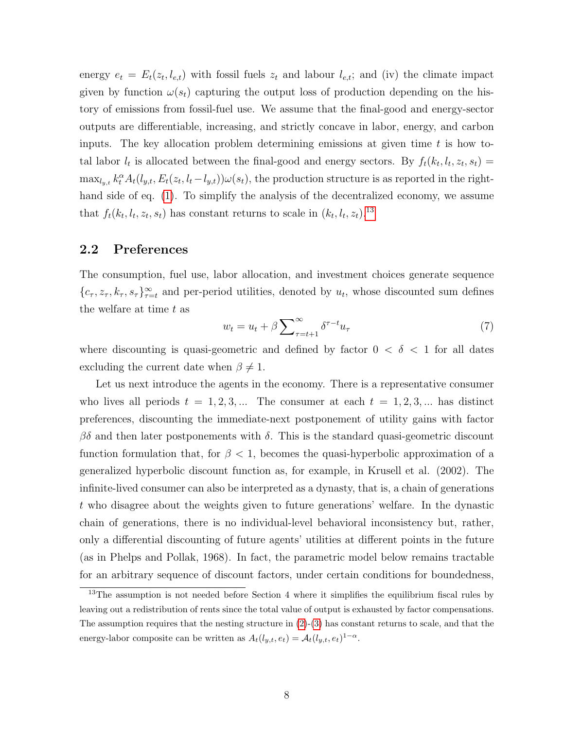energy  $e_t = E_t(z_t, l_{e,t})$  with fossil fuels  $z_t$  and labour  $l_{e,t}$ ; and (iv) the climate impact given by function  $\omega(s_t)$  capturing the output loss of production depending on the history of emissions from fossil-fuel use. We assume that the final-good and energy-sector outputs are differentiable, increasing, and strictly concave in labor, energy, and carbon inputs. The key allocation problem determining emissions at given time  $t$  is how total labor  $l_t$  is allocated between the final-good and energy sectors. By  $f_t(k_t, l_t, z_t, s_t) =$  $\max_{l_y,t} k_t^{\alpha} A_t(l_{y,t}, E_t(z_t, l_t-l_{y,t})) \omega(s_t)$ , the production structure is as reported in the righthand side of eq. [\(1\)](#page-6-2). To simplify the analysis of the decentralized economy, we assume that  $f_t(k_t, l_t, z_t, s_t)$  has constant returns to scale in  $(k_t, l_t, z_t)$ .<sup>[13](#page-7-0)</sup>

#### 2.2 Preferences

The consumption, fuel use, labor allocation, and investment choices generate sequence  $\{c_{\tau}, z_{\tau}, k_{\tau}, s_{\tau}\}_{\tau=t}^{\infty}$  and per-period utilities, denoted by  $u_t$ , whose discounted sum defines the welfare at time  $t$  as

<span id="page-7-1"></span>
$$
w_t = u_t + \beta \sum_{\tau=t+1}^{\infty} \delta^{\tau-t} u_{\tau}
$$
\n<sup>(7)</sup>

where discounting is quasi-geometric and defined by factor  $0 < \delta < 1$  for all dates excluding the current date when  $\beta \neq 1$ .

Let us next introduce the agents in the economy. There is a representative consumer who lives all periods  $t = 1, 2, 3, ...$  The consumer at each  $t = 1, 2, 3, ...$  has distinct preferences, discounting the immediate-next postponement of utility gains with factor  $βδ$  and then later postponements with δ. This is the standard quasi-geometric discount function formulation that, for  $\beta < 1$ , becomes the quasi-hyperbolic approximation of a generalized hyperbolic discount function as, for example, in Krusell et al. (2002). The infinite-lived consumer can also be interpreted as a dynasty, that is, a chain of generations t who disagree about the weights given to future generations' welfare. In the dynastic chain of generations, there is no individual-level behavioral inconsistency but, rather, only a differential discounting of future agents' utilities at different points in the future (as in Phelps and Pollak, 1968). In fact, the parametric model below remains tractable for an arbitrary sequence of discount factors, under certain conditions for boundedness,

<span id="page-7-0"></span><sup>&</sup>lt;sup>13</sup>The assumption is not needed before Section 4 where it simplifies the equilibrium fiscal rules by leaving out a redistribution of rents since the total value of output is exhausted by factor compensations. The assumption requires that the nesting structure in  $(2)-(3)$  $(2)-(3)$  $(2)-(3)$  has constant returns to scale, and that the energy-labor composite can be written as  $A_t(l_{y,t}, e_t) = A_t(l_{y,t}, e_t)^{1-\alpha}$ .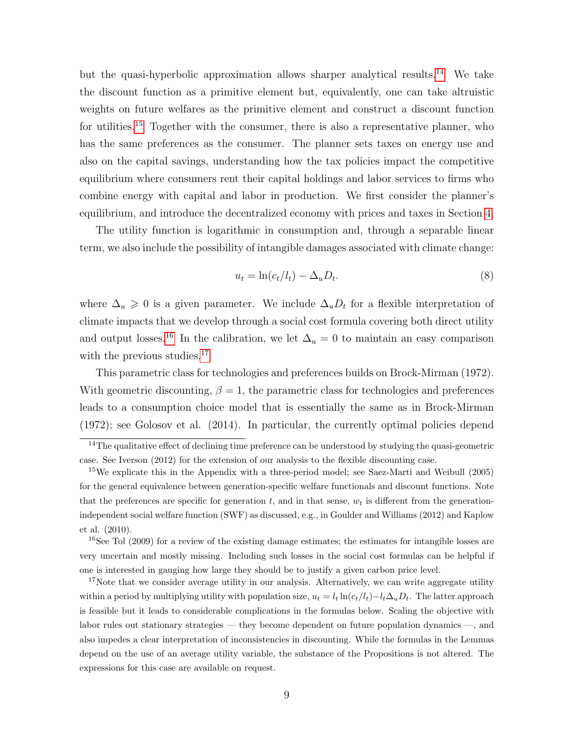but the quasi-hyperbolic approximation allows sharper analytical results.[14](#page-8-0) We take the discount function as a primitive element but, equivalently, one can take altruistic weights on future welfares as the primitive element and construct a discount function for utilities.<sup>[15](#page-8-1)</sup> Together with the consumer, there is also a representative planner, who has the same preferences as the consumer. The planner sets taxes on energy use and also on the capital savings, understanding how the tax policies impact the competitive equilibrium where consumers rent their capital holdings and labor services to firms who combine energy with capital and labor in production. We first consider the planner's equilibrium, and introduce the decentralized economy with prices and taxes in Section [4.](#page-17-0)

The utility function is logarithmic in consumption and, through a separable linear term, we also include the possibility of intangible damages associated with climate change:

$$
u_t = \ln(c_t/l_t) - \Delta_u D_t. \tag{8}
$$

where  $\Delta_u \geq 0$  is a given parameter. We include  $\Delta_u D_t$  for a flexible interpretation of climate impacts that we develop through a social cost formula covering both direct utility and output losses.<sup>[16](#page-8-2)</sup> In the calibration, we let  $\Delta_u = 0$  to maintain an easy comparison with the previous studies.<sup>[17](#page-8-3)</sup>

This parametric class for technologies and preferences builds on Brock-Mirman (1972). With geometric discounting,  $\beta = 1$ , the parametric class for technologies and preferences leads to a consumption choice model that is essentially the same as in Brock-Mirman (1972); see Golosov et al. (2014). In particular, the currently optimal policies depend

<span id="page-8-2"></span><sup>16</sup>See Tol (2009) for a review of the existing damage estimates; the estimates for intangible losses are very uncertain and mostly missing. Including such losses in the social cost formulas can be helpful if one is interested in gauging how large they should be to justify a given carbon price level.

<span id="page-8-3"></span><sup>17</sup>Note that we consider average utility in our analysis. Alternatively, we can write aggregate utility within a period by multiplying utility with population size,  $u_t = l_t \ln(c_t/l_t) - l_t\Delta_u D_t$ . The latter approach is feasible but it leads to considerable complications in the formulas below. Scaling the objective with labor rules out stationary strategies — they become dependent on future population dynamics —, and also impedes a clear interpretation of inconsistencies in discounting. While the formulas in the Lemmas depend on the use of an average utility variable, the substance of the Propositions is not altered. The expressions for this case are available on request.

<span id="page-8-0"></span><sup>&</sup>lt;sup>14</sup>The qualitative effect of declining time preference can be understood by studying the quasi-geometric case. See Iverson (2012) for the extension of our analysis to the flexible discounting case.

<span id="page-8-1"></span><sup>&</sup>lt;sup>15</sup>We explicate this in the Appendix with a three-period model; see Saez-Marti and Weibull (2005) for the general equivalence between generation-specific welfare functionals and discount functions. Note that the preferences are specific for generation t, and in that sense,  $w_t$  is different from the generationindependent social welfare function (SWF) as discussed, e.g., in Goulder and Williams (2012) and Kaplow et al. (2010).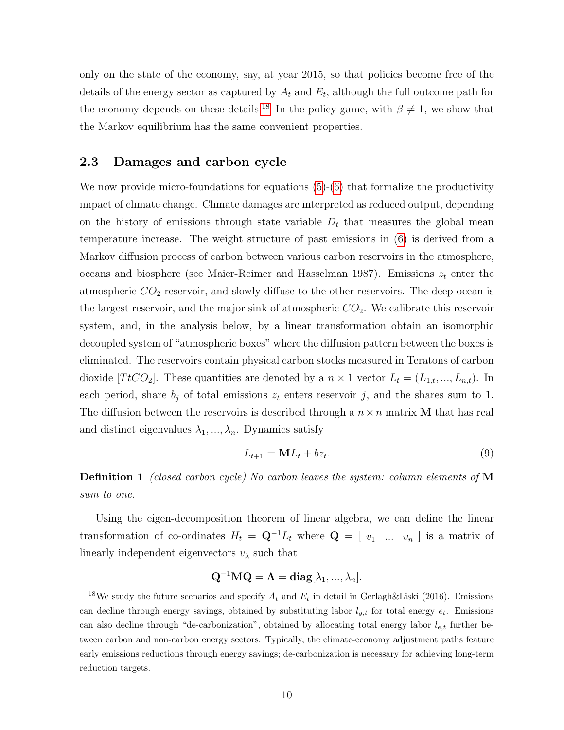only on the state of the economy, say, at year 2015, so that policies become free of the details of the energy sector as captured by  $A_t$  and  $E_t$ , although the full outcome path for the economy depends on these details.<sup>[18](#page-9-0)</sup> In the policy game, with  $\beta \neq 1$ , we show that the Markov equilibrium has the same convenient properties.

#### 2.3 Damages and carbon cycle

We now provide micro-foundations for equations  $(5)-(6)$  $(5)-(6)$  $(5)-(6)$  that formalize the productivity impact of climate change. Climate damages are interpreted as reduced output, depending on the history of emissions through state variable  $D_t$  that measures the global mean temperature increase. The weight structure of past emissions in [\(6\)](#page-6-3) is derived from a Markov diffusion process of carbon between various carbon reservoirs in the atmosphere, oceans and biosphere (see Maier-Reimer and Hasselman 1987). Emissions  $z_t$  enter the atmospheric  $CO<sub>2</sub>$  reservoir, and slowly diffuse to the other reservoirs. The deep ocean is the largest reservoir, and the major sink of atmospheric  $CO<sub>2</sub>$ . We calibrate this reservoir system, and, in the analysis below, by a linear transformation obtain an isomorphic decoupled system of "atmospheric boxes" where the diffusion pattern between the boxes is eliminated. The reservoirs contain physical carbon stocks measured in Teratons of carbon dioxide [TtCO<sub>2</sub>]. These quantities are denoted by a  $n \times 1$  vector  $L_t = (L_{1,t}, ..., L_{n,t})$ . In each period, share  $b_j$  of total emissions  $z_t$  enters reservoir j, and the shares sum to 1. The diffusion between the reservoirs is described through a  $n \times n$  matrix M that has real and distinct eigenvalues  $\lambda_1,...,\lambda_n.$  Dynamics satisfy

<span id="page-9-1"></span>
$$
L_{t+1} = \mathbf{M}L_t + bz_t.
$$
\n<sup>(9)</sup>

Definition 1 (closed carbon cycle) No carbon leaves the system: column elements of M sum to one.

Using the eigen-decomposition theorem of linear algebra, we can define the linear transformation of co-ordinates  $H_t = \mathbf{Q}^{-1}L_t$  where  $\mathbf{Q} = [v_1 \dots v_n]$  is a matrix of linearly independent eigenvectors  $v_{\lambda}$  such that

$$
\mathbf{Q}^{-1}\mathbf{M}\mathbf{Q} = \mathbf{\Lambda} = \mathbf{diag}[\lambda_1, ..., \lambda_n].
$$

<span id="page-9-0"></span><sup>&</sup>lt;sup>18</sup>We study the future scenarios and specify  $A_t$  and  $E_t$  in detail in Gerlagh&Liski (2016). Emissions can decline through energy savings, obtained by substituting labor  $l_{y,t}$  for total energy  $e_t$ . Emissions can also decline through "de-carbonization", obtained by allocating total energy labor  $l_{e,t}$  further between carbon and non-carbon energy sectors. Typically, the climate-economy adjustment paths feature early emissions reductions through energy savings; de-carbonization is necessary for achieving long-term reduction targets.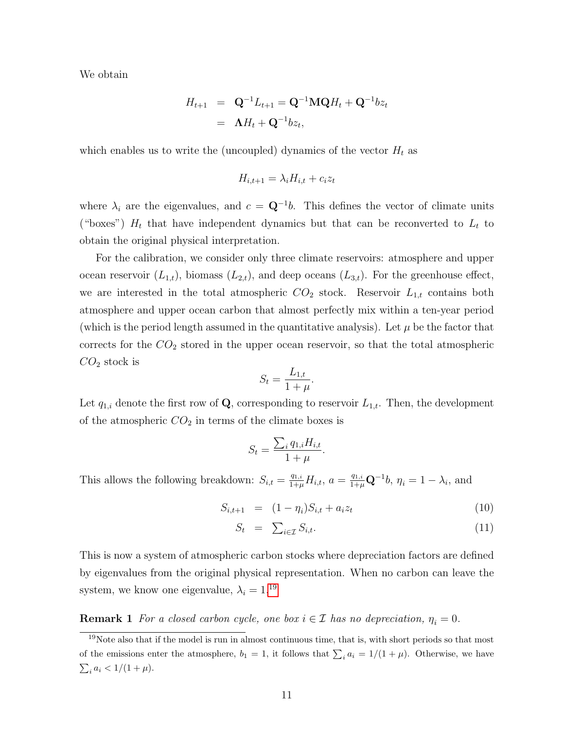We obtain

$$
H_{t+1} = \mathbf{Q}^{-1}L_{t+1} = \mathbf{Q}^{-1}\mathbf{M}\mathbf{Q}H_t + \mathbf{Q}^{-1}b z_t
$$
  
=  $\Lambda H_t + \mathbf{Q}^{-1}b z_t$ ,

which enables us to write the (uncoupled) dynamics of the vector  $H_t$  as

$$
H_{i,t+1} = \lambda_i H_{i,t} + c_i z_t
$$

where  $\lambda_i$  are the eigenvalues, and  $c = \mathbf{Q}^{-1}b$ . This defines the vector of climate units ("boxes")  $H_t$  that have independent dynamics but that can be reconverted to  $L_t$  to obtain the original physical interpretation.

For the calibration, we consider only three climate reservoirs: atmosphere and upper ocean reservoir  $(L_{1,t})$ , biomass  $(L_{2,t})$ , and deep oceans  $(L_{3,t})$ . For the greenhouse effect, we are interested in the total atmospheric  $CO_2$  stock. Reservoir  $L_{1,t}$  contains both atmosphere and upper ocean carbon that almost perfectly mix within a ten-year period (which is the period length assumed in the quantitative analysis). Let  $\mu$  be the factor that corrects for the  $CO<sub>2</sub>$  stored in the upper ocean reservoir, so that the total atmospheric  $CO<sub>2</sub>$  stock is

$$
S_t = \frac{L_{1,t}}{1+\mu}.
$$

Let  $q_{1,i}$  denote the first row of Q, corresponding to reservoir  $L_{1,t}$ . Then, the development of the atmospheric  $CO<sub>2</sub>$  in terms of the climate boxes is

$$
S_t = \frac{\sum_i q_{1,i} H_{i,t}}{1 + \mu}.
$$

This allows the following breakdown:  $S_{i,t} = \frac{q_{1,i}}{1+t}$  $\frac{q_{1,i}}{1+\mu}H_{i,t}$ ,  $a = \frac{q_{1,i}}{1+\mu}\mathbf{Q}^{-1}b$ ,  $\eta_i = 1 - \lambda_i$ , and

$$
S_{i,t+1} = (1 - \eta_i)S_{i,t} + a_i z_t \tag{10}
$$

$$
S_t = \sum_{i \in \mathcal{I}} S_{i,t}.\tag{11}
$$

This is now a system of atmospheric carbon stocks where depreciation factors are defined by eigenvalues from the original physical representation. When no carbon can leave the system, we know one eigenvalue,  $\lambda_i = 1$ ,<sup>[19](#page-10-0)</sup>

<span id="page-10-1"></span>**Remark 1** For a closed carbon cycle, one box  $i \in \mathcal{I}$  has no depreciation,  $\eta_i = 0$ .

<span id="page-10-0"></span> $19$ Note also that if the model is run in almost continuous time, that is, with short periods so that most of the emissions enter the atmosphere,  $b_1 = 1$ , it follows that  $\sum_i a_i = 1/(1 + \mu)$ . Otherwise, we have  $\sum_i a_i < 1/(1 + \mu).$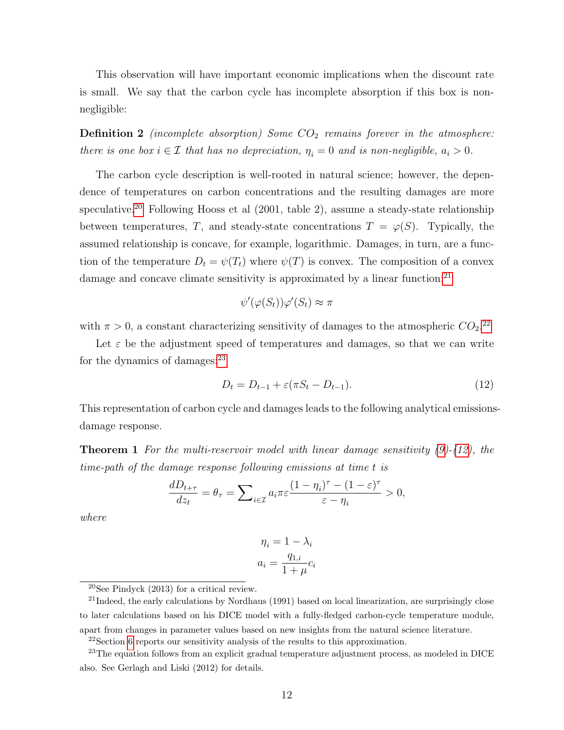This observation will have important economic implications when the discount rate is small. We say that the carbon cycle has incomplete absorption if this box is nonnegligible:

**Definition 2** (incomplete absorption) Some  $CO<sub>2</sub>$  remains forever in the atmosphere: there is one box  $i \in \mathcal{I}$  that has no depreciation,  $\eta_i = 0$  and is non-negligible,  $a_i > 0$ .

The carbon cycle description is well-rooted in natural science; however, the dependence of temperatures on carbon concentrations and the resulting damages are more speculative.<sup>[20](#page-11-0)</sup> Following Hooss et al  $(2001, \text{ table } 2)$ , assume a steady-state relationship between temperatures, T, and steady-state concentrations  $T = \varphi(S)$ . Typically, the assumed relationship is concave, for example, logarithmic. Damages, in turn, are a function of the temperature  $D_t = \psi(T_t)$  where  $\psi(T)$  is convex. The composition of a convex damage and concave climate sensitivity is approximated by a linear function:<sup>[21](#page-11-1)</sup>

$$
\psi'(\varphi(S_t))\varphi'(S_t) \approx \pi
$$

with  $\pi > 0$ , a constant characterizing sensitivity of damages to the atmospheric  $CO_2$ <sup>[22](#page-11-2)</sup>

Let  $\varepsilon$  be the adjustment speed of temperatures and damages, so that we can write for the dynamics of damages: $^{23}$  $^{23}$  $^{23}$ 

<span id="page-11-4"></span>
$$
D_t = D_{t-1} + \varepsilon (\pi S_t - D_{t-1}).
$$
\n(12)

This representation of carbon cycle and damages leads to the following analytical emissionsdamage response.

<span id="page-11-5"></span>**Theorem 1** For the multi-reservoir model with linear damage sensitivity  $(9)-(12)$  $(9)-(12)$  $(9)-(12)$ , the time-path of the damage response following emissions at time t is

$$
\frac{dD_{t+\tau}}{dz_t} = \theta_{\tau} = \sum_{i \in \mathcal{I}} a_i \pi \varepsilon \frac{(1 - \eta_i)^{\tau} - (1 - \varepsilon)^{\tau}}{\varepsilon - \eta_i} > 0,
$$

where

$$
\eta_i = 1 - \lambda_i
$$

$$
a_i = \frac{q_{1,i}}{1 + \mu} c_i
$$

<sup>21</sup>Indeed, the early calculations by Nordhaus (1991) based on local linearization, are surprisingly close to later calculations based on his DICE model with a fully-fledged carbon-cycle temperature module, apart from changes in parameter values based on new insights from the natural science literature.

<span id="page-11-3"></span><span id="page-11-2"></span><sup>22</sup>Section [6](#page-30-0) reports our sensitivity analysis of the results to this approximation.

<span id="page-11-1"></span><span id="page-11-0"></span> $20$ See Pindyck (2013) for a critical review.

 $^{23}$ The equation follows from an explicit gradual temperature adjustment process, as modeled in DICE also. See Gerlagh and Liski (2012) for details.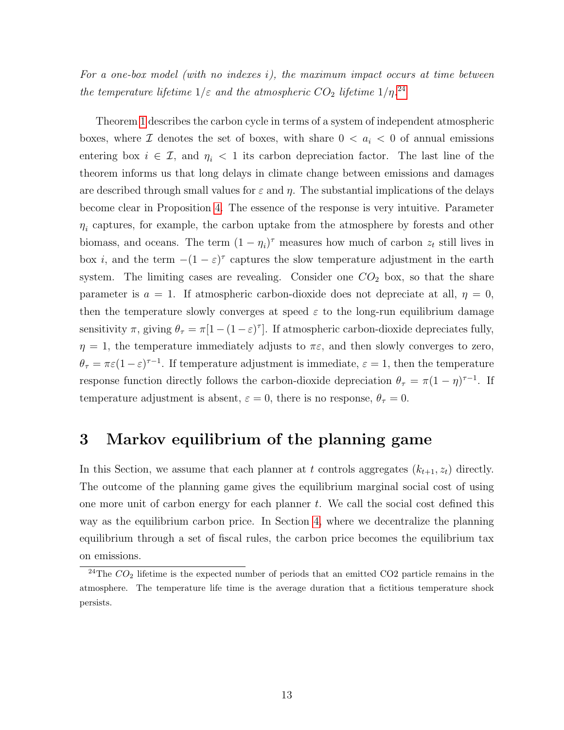For a one-box model (with no indexes i), the maximum impact occurs at time between the temperature lifetime  $1/\varepsilon$  and the atmospheric  $CO_2$  lifetime  $1/\eta$ .<sup>[24](#page-12-0)</sup>

Theorem [1](#page-11-5) describes the carbon cycle in terms of a system of independent atmospheric boxes, where  $\mathcal I$  denotes the set of boxes, with share  $0 < a_i < 0$  of annual emissions entering box  $i \in \mathcal{I}$ , and  $\eta_i < 1$  its carbon depreciation factor. The last line of the theorem informs us that long delays in climate change between emissions and damages are described through small values for  $\varepsilon$  and  $\eta$ . The substantial implications of the delays become clear in Proposition [4.](#page-23-0) The essence of the response is very intuitive. Parameter  $\eta_i$  captures, for example, the carbon uptake from the atmosphere by forests and other biomass, and oceans. The term  $(1 - \eta_i)^{\tau}$  measures how much of carbon  $z_t$  still lives in box *i*, and the term  $-(1 - \varepsilon)^{\tau}$  captures the slow temperature adjustment in the earth system. The limiting cases are revealing. Consider one  $CO<sub>2</sub>$  box, so that the share parameter is  $a = 1$ . If atmospheric carbon-dioxide does not depreciate at all,  $\eta = 0$ , then the temperature slowly converges at speed  $\varepsilon$  to the long-run equilibrium damage sensitivity  $\pi$ , giving  $\theta_{\tau} = \pi[1 - (1 - \varepsilon)^{\tau}]$ . If atmospheric carbon-dioxide depreciates fully,  $\eta = 1$ , the temperature immediately adjusts to  $\pi \varepsilon$ , and then slowly converges to zero,  $\theta_{\tau} = \pi \varepsilon (1 - \varepsilon)^{\tau - 1}$ . If temperature adjustment is immediate,  $\varepsilon = 1$ , then the temperature response function directly follows the carbon-dioxide depreciation  $\theta_{\tau} = \pi (1 - \eta)^{\tau - 1}$ . If temperature adjustment is absent,  $\varepsilon = 0$ , there is no response,  $\theta_{\tau} = 0$ .

## 3 Markov equilibrium of the planning game

In this Section, we assume that each planner at t controls aggregates  $(k_{t+1}, z_t)$  directly. The outcome of the planning game gives the equilibrium marginal social cost of using one more unit of carbon energy for each planner  $t$ . We call the social cost defined this way as the equilibrium carbon price. In Section [4,](#page-17-0) where we decentralize the planning equilibrium through a set of fiscal rules, the carbon price becomes the equilibrium tax on emissions.

<span id="page-12-0"></span><sup>&</sup>lt;sup>24</sup>The  $CO<sub>2</sub>$  lifetime is the expected number of periods that an emitted CO2 particle remains in the atmosphere. The temperature life time is the average duration that a fictitious temperature shock persists.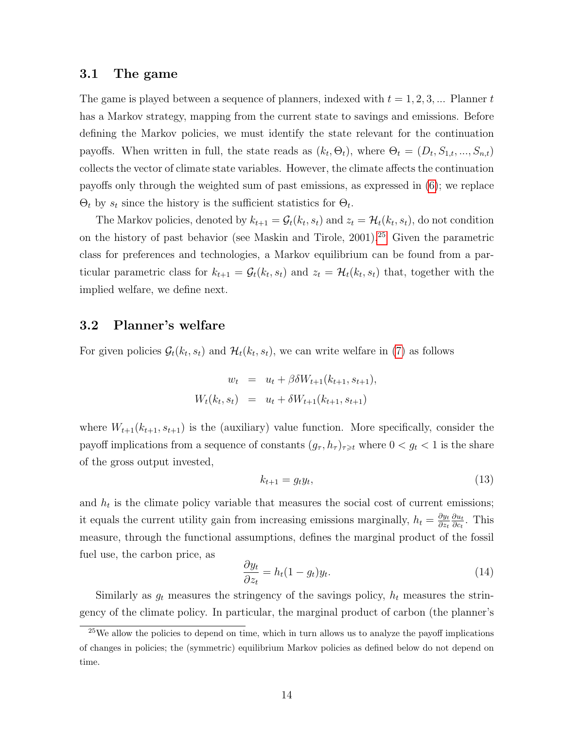#### 3.1 The game

The game is played between a sequence of planners, indexed with  $t = 1, 2, 3, \dots$  Planner t has a Markov strategy, mapping from the current state to savings and emissions. Before defining the Markov policies, we must identify the state relevant for the continuation payoffs. When written in full, the state reads as  $(k_t, \Theta_t)$ , where  $\Theta_t = (D_t, S_{1,t}, ..., S_{n,t})$ collects the vector of climate state variables. However, the climate affects the continuation payoffs only through the weighted sum of past emissions, as expressed in [\(6\)](#page-6-3); we replace  $\Theta_t$  by  $s_t$  since the history is the sufficient statistics for  $\Theta_t$ .

The Markov policies, denoted by  $k_{t+1} = \mathcal{G}_t(k_t, s_t)$  and  $z_t = \mathcal{H}_t(k_t, s_t)$ , do not condition on the history of past behavior (see Maskin and Tirole, 2001).[25](#page-13-0) Given the parametric class for preferences and technologies, a Markov equilibrium can be found from a particular parametric class for  $k_{t+1} = \mathcal{G}_t(k_t, s_t)$  and  $z_t = \mathcal{H}_t(k_t, s_t)$  that, together with the implied welfare, we define next.

#### 3.2 Planner's welfare

For given policies  $\mathcal{G}_t(k_t, s_t)$  and  $\mathcal{H}_t(k_t, s_t)$ , we can write welfare in [\(7\)](#page-7-1) as follows

$$
w_t = u_t + \beta \delta W_{t+1}(k_{t+1}, s_{t+1}),
$$
  

$$
W_t(k_t, s_t) = u_t + \delta W_{t+1}(k_{t+1}, s_{t+1})
$$

where  $W_{t+1}(k_{t+1}, s_{t+1})$  is the (auxiliary) value function. More specifically, consider the payoff implications from a sequence of constants  $(g_{\tau}, h_{\tau})_{\tau \geq t}$  where  $0 < g_t < 1$  is the share of the gross output invested,

<span id="page-13-1"></span>
$$
k_{t+1} = g_t y_t,\tag{13}
$$

and  $h_t$  is the climate policy variable that measures the social cost of current emissions; it equals the current utility gain from increasing emissions marginally,  $h_t = \frac{\partial y_t}{\partial z_t}$ ∂zt  $\partial u_t$  $\frac{\partial u_t}{\partial c_t}$ . This measure, through the functional assumptions, defines the marginal product of the fossil fuel use, the carbon price, as

<span id="page-13-2"></span>
$$
\frac{\partial y_t}{\partial z_t} = h_t (1 - g_t) y_t.
$$
\n(14)

Similarly as  $g_t$  measures the stringency of the savings policy,  $h_t$  measures the stringency of the climate policy. In particular, the marginal product of carbon (the planner's

<span id="page-13-0"></span> $25$ We allow the policies to depend on time, which in turn allows us to analyze the payoff implications of changes in policies; the (symmetric) equilibrium Markov policies as defined below do not depend on time.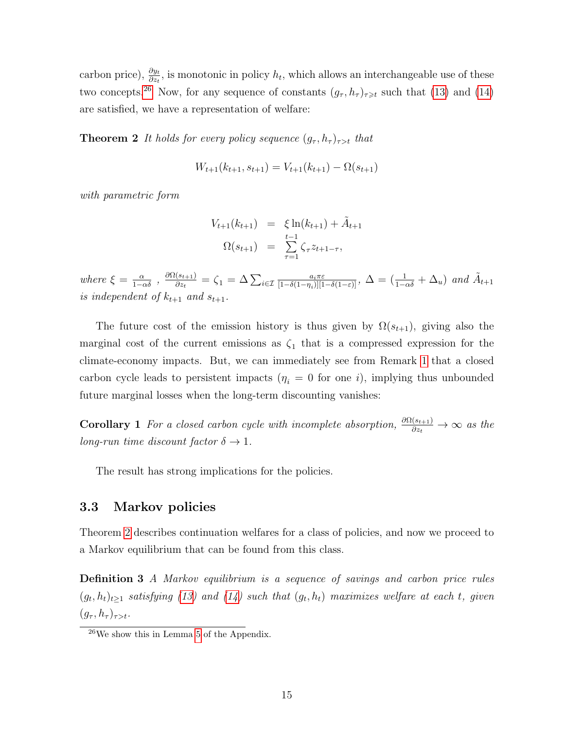carbon price),  $\frac{\partial y_t}{\partial z_t}$ , is monotonic in policy  $h_t$ , which allows an interchangeable use of these two concepts.<sup>[26](#page-14-0)</sup> Now, for any sequence of constants  $(g_{\tau}, h_{\tau})_{\tau \geq t}$  such that [\(13\)](#page-13-1) and [\(14\)](#page-13-2) are satisfied, we have a representation of welfare:

<span id="page-14-1"></span>**Theorem 2** It holds for every policy sequence  $(g_{\tau}, h_{\tau})_{\tau>t}$  that

$$
W_{t+1}(k_{t+1}, s_{t+1}) = V_{t+1}(k_{t+1}) - \Omega(s_{t+1})
$$

with parametric form

$$
V_{t+1}(k_{t+1}) = \xi \ln(k_{t+1}) + \tilde{A}_{t+1}
$$
  

$$
\Omega(s_{t+1}) = \sum_{\tau=1}^{t-1} \zeta_{\tau} z_{t+1-\tau},
$$

where  $\xi = \frac{\alpha}{1-\alpha\delta}$ ,  $\frac{\partial \Omega(s_{t+1})}{\partial z_t}$  $\frac{(s_{t+1})}{\partial z_t} = \zeta_1 = \Delta \sum_{i \in \mathcal{I}} \frac{a_i \pi \varepsilon}{[1 - \delta (1 - \eta_i)][1]}$  $\frac{a_i\pi\varepsilon}{[1-\delta(1-\eta_i)][1-\delta(1-\varepsilon)]},\ \Delta=\left(\frac{1}{1-\alpha\delta}+\Delta_u\right)\ and\ \tilde{A}_{t+1}$ is independent of  $k_{t+1}$  and  $s_{t+1}$ .

The future cost of the emission history is thus given by  $\Omega(s_{t+1})$ , giving also the marginal cost of the current emissions as  $\zeta_1$  that is a compressed expression for the climate-economy impacts. But, we can immediately see from Remark [1](#page-10-1) that a closed carbon cycle leads to persistent impacts  $(\eta_i = 0$  for one *i*), implying thus unbounded future marginal losses when the long-term discounting vanishes:

<span id="page-14-2"></span>**Corollary 1** For a closed carbon cycle with incomplete absorption,  $\frac{\partial \Omega(s_{t+1})}{\partial z_t} \to \infty$  as the long-run time discount factor  $\delta \rightarrow 1$ .

The result has strong implications for the policies.

#### 3.3 Markov policies

Theorem [2](#page-14-1) describes continuation welfares for a class of policies, and now we proceed to a Markov equilibrium that can be found from this class.

Definition 3 A Markov equilibrium is a sequence of savings and carbon price rules  $(g_t, h_t)_{t\geq 1}$  satisfying [\(13\)](#page-13-1) and [\(14\)](#page-13-2) such that  $(g_t, h_t)$  maximizes welfare at each t, given  $(g_{\tau}, h_{\tau})_{\tau>t}.$ 

<span id="page-14-0"></span><sup>26</sup>We show this in Lemma [5](#page-40-0) of the Appendix.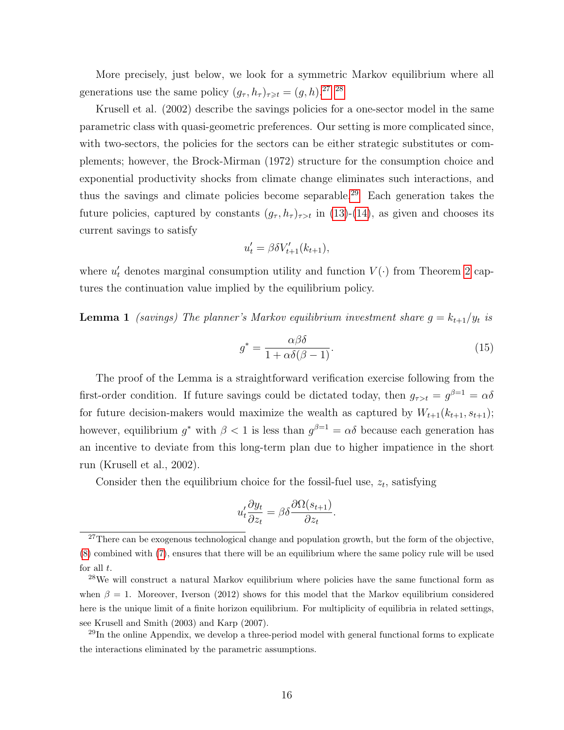More precisely, just below, we look for a symmetric Markov equilibrium where all generations use the same policy  $(g_{\tau}, h_{\tau})_{\tau \geq t} = (g, h).^{27}$  $(g_{\tau}, h_{\tau})_{\tau \geq t} = (g, h).^{27}$  $(g_{\tau}, h_{\tau})_{\tau \geq t} = (g, h).^{27}$  [28](#page-15-1)

Krusell et al. (2002) describe the savings policies for a one-sector model in the same parametric class with quasi-geometric preferences. Our setting is more complicated since, with two-sectors, the policies for the sectors can be either strategic substitutes or complements; however, the Brock-Mirman (1972) structure for the consumption choice and exponential productivity shocks from climate change eliminates such interactions, and thus the savings and climate policies become separable.[29](#page-15-2) Each generation takes the future policies, captured by constants  $(g_{\tau}, h_{\tau})_{\tau>t}$  in [\(13\)](#page-13-1)-[\(14\)](#page-13-2), as given and chooses its current savings to satisfy

$$
u_t' = \beta \delta V_{t+1}'(k_{t+1}),
$$

where  $u'_t$  denotes marginal consumption utility and function  $V(\cdot)$  from Theorem [2](#page-14-1) captures the continuation value implied by the equilibrium policy.

<span id="page-15-3"></span>**Lemma 1** (savings) The planner's Markov equilibrium investment share  $g = k_{t+1}/y_t$  is

<span id="page-15-4"></span>
$$
g^* = \frac{\alpha \beta \delta}{1 + \alpha \delta(\beta - 1)}.
$$
\n(15)

The proof of the Lemma is a straightforward verification exercise following from the first-order condition. If future savings could be dictated today, then  $g_{\tau>t} = g^{\beta=1} = \alpha \delta$ for future decision-makers would maximize the wealth as captured by  $W_{t+1}(k_{t+1}, s_{t+1});$ however, equilibrium  $g^*$  with  $\beta < 1$  is less than  $g^{\beta=1} = \alpha \delta$  because each generation has an incentive to deviate from this long-term plan due to higher impatience in the short run (Krusell et al., 2002).

Consider then the equilibrium choice for the fossil-fuel use,  $z_t$ , satisfying

$$
u_t' \frac{\partial y_t}{\partial z_t} = \beta \delta \frac{\partial \Omega(s_{t+1})}{\partial z_t}.
$$

<span id="page-15-2"></span> $^{29}$ In the online Appendix, we develop a three-period model with general functional forms to explicate the interactions eliminated by the parametric assumptions.

<span id="page-15-0"></span><sup>&</sup>lt;sup>27</sup>There can be exogenous technological change and population growth, but the form of the objective, [\(8\)](#page-55-0) combined with [\(7\)](#page-7-1), ensures that there will be an equilibrium where the same policy rule will be used for all  $t$ .

<span id="page-15-1"></span><sup>28</sup>We will construct a natural Markov equilibrium where policies have the same functional form as when  $\beta = 1$ . Moreover, Iverson (2012) shows for this model that the Markov equilibrium considered here is the unique limit of a finite horizon equilibrium. For multiplicity of equilibria in related settings, see Krusell and Smith (2003) and Karp (2007).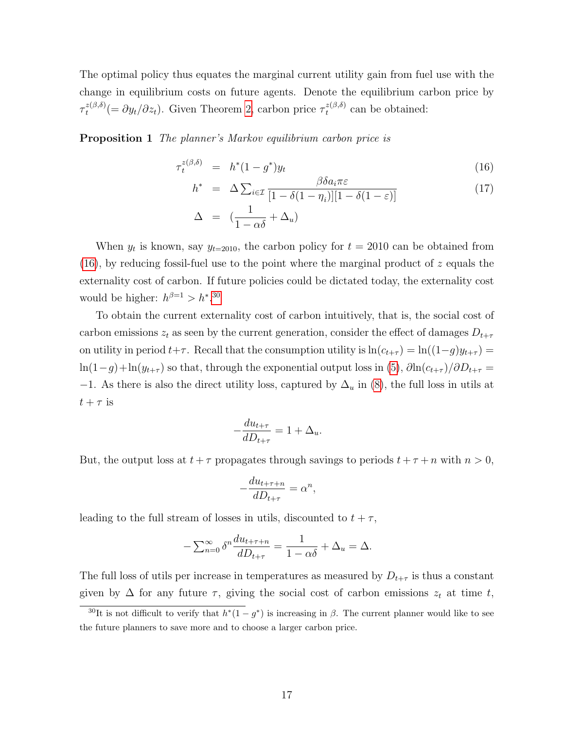The optimal policy thus equates the marginal current utility gain from fuel use with the change in equilibrium costs on future agents. Denote the equilibrium carbon price by  $\tau_{t}^{z(\beta,\delta)}$  $t_t^{z(\beta,\delta)}(=\partial y_t/\partial z_t)$ . Given Theorem [2,](#page-14-1) carbon price  $\tau_t^{z(\beta,\delta)}$  $t^{z(\rho,o)}$  can be obtained:

<span id="page-16-2"></span>Proposition 1 The planner's Markov equilibrium carbon price is

<span id="page-16-0"></span>
$$
\tau_t^{z(\beta,\delta)} = h^*(1 - g^*)y_t \tag{16}
$$

$$
h^* = \Delta \sum_{i \in \mathcal{I}} \frac{\beta \delta a_i \pi \varepsilon}{[1 - \delta(1 - \eta_i)][1 - \delta(1 - \varepsilon)]}
$$
(17)  

$$
\Delta = \left(\frac{1}{1 - \alpha \delta} + \Delta_u\right)
$$

When  $y_t$  is known, say  $y_{t=2010}$ , the carbon policy for  $t = 2010$  can be obtained from  $(16)$ , by reducing fossil-fuel use to the point where the marginal product of z equals the externality cost of carbon. If future policies could be dictated today, the externality cost would be higher:  $h^{\beta=1} > h^{*}.^{30}$  $h^{\beta=1} > h^{*}.^{30}$  $h^{\beta=1} > h^{*}.^{30}$ 

To obtain the current externality cost of carbon intuitively, that is, the social cost of carbon emissions  $z_t$  as seen by the current generation, consider the effect of damages  $D_{t+\tau}$ on utility in period  $t+\tau$ . Recall that the consumption utility is  $\ln(c_{t+\tau}) = \ln((1-g)y_{t+\tau}) =$  $\ln(1-g)+\ln(y_{t+\tau})$  so that, through the exponential output loss in [\(5\)](#page-6-3),  $\partial \ln(c_{t+\tau})/\partial D_{t+\tau}$  =  $-1$ . As there is also the direct utility loss, captured by  $\Delta_u$  in [\(8\)](#page-55-0), the full loss in utils at  $t + \tau$  is

$$
-\frac{du_{t+\tau}}{dD_{t+\tau}} = 1 + \Delta_u.
$$

But, the output loss at  $t + \tau$  propagates through savings to periods  $t + \tau + n$  with  $n > 0$ ,

$$
-\frac{du_{t+\tau+n}}{dD_{t+\tau}} = \alpha^n,
$$

leading to the full stream of losses in utils, discounted to  $t + \tau$ ,

$$
-\sum_{n=0}^{\infty} \delta^n \frac{du_{t+\tau+n}}{dD_{t+\tau}} = \frac{1}{1-\alpha\delta} + \Delta_u = \Delta.
$$

The full loss of utils per increase in temperatures as measured by  $D_{t+\tau}$  is thus a constant given by  $\Delta$  for any future  $\tau$ , giving the social cost of carbon emissions  $z_t$  at time t,

<span id="page-16-1"></span><sup>&</sup>lt;sup>30</sup>It is not difficult to verify that  $h^*(1 - g^*)$  is increasing in  $\beta$ . The current planner would like to see the future planners to save more and to choose a larger carbon price.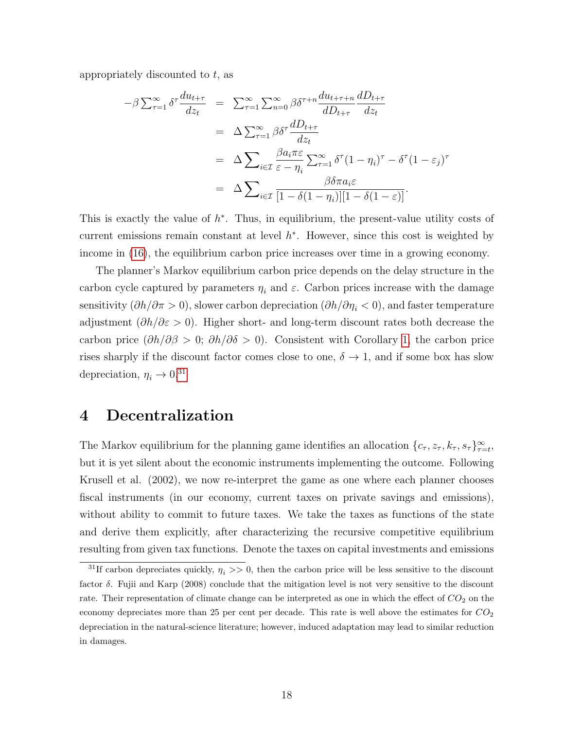appropriately discounted to  $t$ , as

$$
-\beta \sum_{\tau=1}^{\infty} \delta^{\tau} \frac{du_{t+\tau}}{dz_{t}} = \sum_{\tau=1}^{\infty} \sum_{n=0}^{\infty} \beta \delta^{\tau+n} \frac{du_{t+\tau+n}}{dD_{t+\tau}} \frac{dD_{t+\tau}}{dz_{t}}
$$
  

$$
= \Delta \sum_{\tau=1}^{\infty} \beta \delta^{\tau} \frac{dD_{t+\tau}}{dz_{t}}
$$
  

$$
= \Delta \sum_{i \in \mathcal{I}} \frac{\beta a_{i} \pi \varepsilon}{\varepsilon - \eta_{i}} \sum_{\tau=1}^{\infty} \delta^{\tau} (1 - \eta_{i})^{\tau} - \delta^{\tau} (1 - \varepsilon_{j})^{\tau}
$$
  

$$
= \Delta \sum_{i \in \mathcal{I}} \frac{\beta \delta \pi a_{i} \varepsilon}{[1 - \delta(1 - \eta_{i})][1 - \delta(1 - \varepsilon)]}.
$$

This is exactly the value of  $h^*$ . Thus, in equilibrium, the present-value utility costs of current emissions remain constant at level  $h^*$ . However, since this cost is weighted by income in [\(16\)](#page-16-0), the equilibrium carbon price increases over time in a growing economy.

The planner's Markov equilibrium carbon price depends on the delay structure in the carbon cycle captured by parameters  $\eta_i$  and  $\varepsilon$ . Carbon prices increase with the damage sensitivity  $(\partial h/\partial \pi > 0)$ , slower carbon depreciation  $(\partial h/\partial \eta_i < 0)$ , and faster temperature adjustment ( $\partial h/\partial \varepsilon > 0$ ). Higher short- and long-term discount rates both decrease the carbon price  $(\partial h/\partial \beta > 0; \partial h/\partial \delta > 0)$ . Consistent with Corollary [1,](#page-14-2) the carbon price rises sharply if the discount factor comes close to one,  $\delta \to 1$ , and if some box has slow depreciation,  $\eta_i \rightarrow 0.31$  $\eta_i \rightarrow 0.31$ 

## <span id="page-17-0"></span>4 Decentralization

The Markov equilibrium for the planning game identifies an allocation  $\{c_\tau, z_\tau, k_\tau, s_\tau\}_{\tau=t}^\infty$ , but it is yet silent about the economic instruments implementing the outcome. Following Krusell et al. (2002), we now re-interpret the game as one where each planner chooses fiscal instruments (in our economy, current taxes on private savings and emissions), without ability to commit to future taxes. We take the taxes as functions of the state and derive them explicitly, after characterizing the recursive competitive equilibrium resulting from given tax functions. Denote the taxes on capital investments and emissions

<span id="page-17-1"></span><sup>&</sup>lt;sup>31</sup>If carbon depreciates quickly,  $\eta_i >> 0$ , then the carbon price will be less sensitive to the discount factor  $\delta$ . Fujii and Karp (2008) conclude that the mitigation level is not very sensitive to the discount rate. Their representation of climate change can be interpreted as one in which the effect of  $CO<sub>2</sub>$  on the economy depreciates more than 25 per cent per decade. This rate is well above the estimates for  $CO<sub>2</sub>$ depreciation in the natural-science literature; however, induced adaptation may lead to similar reduction in damages.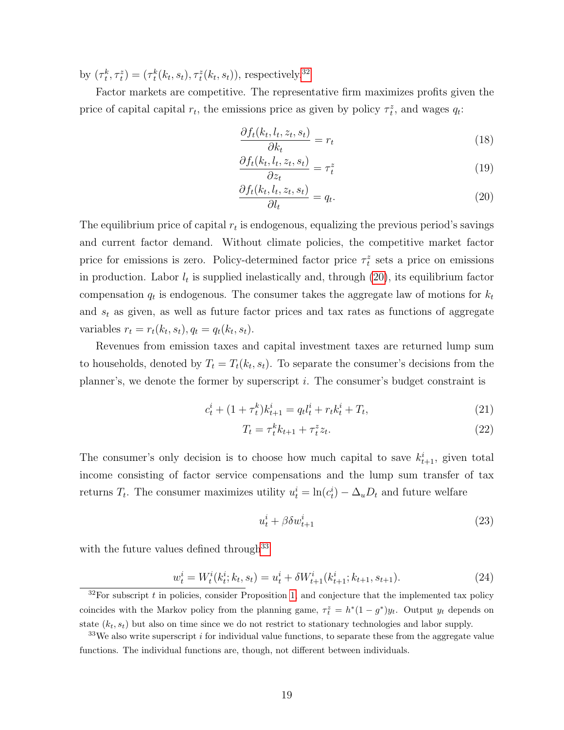by  $(\tau_t^k, \tau_t^z) = (\tau_t^k(k_t, s_t), \tau_t^z(k_t, s_t))$ , respectively.<sup>[32](#page-18-0)</sup>

Factor markets are competitive. The representative firm maximizes profits given the price of capital capital  $r_t$ , the emissions price as given by policy  $\tau_t^z$ , and wages  $q_t$ :

<span id="page-18-3"></span>
$$
\frac{\partial f_t(k_t, l_t, z_t, s_t)}{\partial k_t} = r_t \tag{18}
$$

<span id="page-18-4"></span>
$$
\frac{\partial f_t(k_t, l_t, z_t, s_t)}{\partial z_t} = \tau_t^z \tag{19}
$$

<span id="page-18-1"></span>
$$
\frac{\partial f_t(k_t, l_t, z_t, s_t)}{\partial l_t} = q_t.
$$
\n(20)

The equilibrium price of capital  $r_t$  is endogenous, equalizing the previous period's savings and current factor demand. Without climate policies, the competitive market factor price for emissions is zero. Policy-determined factor price  $\tau_t^z$  sets a price on emissions in production. Labor  $l_t$  is supplied inelastically and, through  $(20)$ , its equilibrium factor compensation  $q_t$  is endogenous. The consumer takes the aggregate law of motions for  $k_t$ and  $s_t$  as given, as well as future factor prices and tax rates as functions of aggregate variables  $r_t = r_t(k_t, s_t), q_t = q_t(k_t, s_t)$ .

Revenues from emission taxes and capital investment taxes are returned lump sum to households, denoted by  $T_t = T_t(k_t, s_t)$ . To separate the consumer's decisions from the planner's, we denote the former by superscript i. The consumer's budget constraint is

$$
c_t^i + (1 + \tau_t^k) k_{t+1}^i = q_t l_t^i + r_t k_t^i + T_t,
$$
\n(21)

<span id="page-18-6"></span><span id="page-18-5"></span>
$$
T_t = \tau_t^k k_{t+1} + \tau_t^z z_t.
$$
\n
$$
(22)
$$

The consumer's only decision is to choose how much capital to save  $k_{t+1}^i$ , given total income consisting of factor service compensations and the lump sum transfer of tax returns  $T_t$ . The consumer maximizes utility  $u_t^i = \ln(c_t^i) - \Delta_u D_t$  and future welfare

<span id="page-18-7"></span>
$$
u_t^i + \beta \delta w_{t+1}^i \tag{23}
$$

with the future values defined through  $33$ 

<span id="page-18-8"></span>
$$
\underline{w}_t^i = W_t^i(k_t^i; k_t, s_t) = u_t^i + \delta W_{t+1}^i(k_{t+1}^i; k_{t+1}, s_{t+1}).
$$
\n(24)

<span id="page-18-0"></span> $32$ For subscript t in policies, consider Proposition [1,](#page-16-2) and conjecture that the implemented tax policy coincides with the Markov policy from the planning game,  $\tau_t^z = h^*(1 - g^*)y_t$ . Output  $y_t$  depends on state  $(k_t, s_t)$  but also on time since we do not restrict to stationary technologies and labor supply.

<span id="page-18-2"></span> $33\,\text{We}$  also write superscript *i* for individual value functions, to separate these from the aggregate value functions. The individual functions are, though, not different between individuals.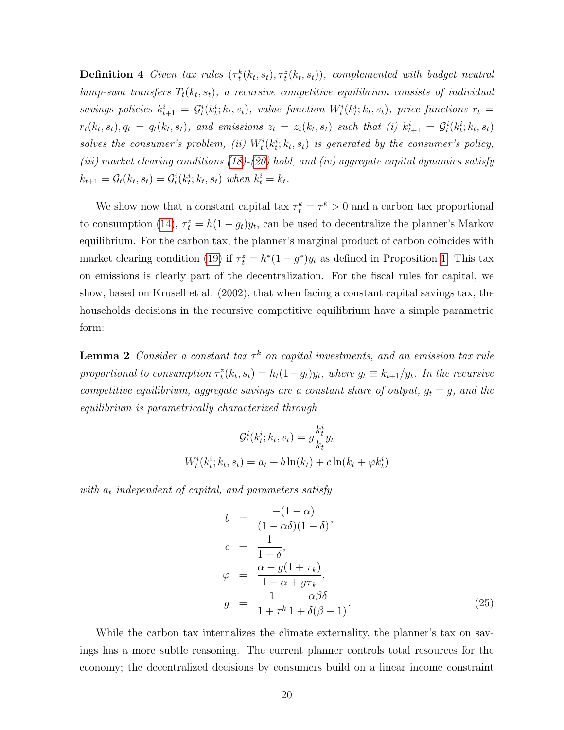**Definition 4** Given tax rules  $(\tau_t^k(k_t, s_t), \tau_t^z(k_t, s_t))$ , complemented with budget neutral lump-sum transfers  $T_t(k_t, s_t)$ , a recursive competitive equilibrium consists of individual savings policies  $k_{t+1}^i = \mathcal{G}_t^i(k_t^i; k_t, s_t)$ , value function  $W_t^i(k_t^i; k_t, s_t)$ , price functions  $r_t =$  $r_t(k_t, s_t), q_t = q_t(k_t, s_t)$ , and emissions  $z_t = z_t(k_t, s_t)$  such that (i)  $k_{t+1}^i = G_t^i(k_t^i; k_t, s_t)$ solves the consumer's problem, (ii)  $W_t^i(k_t^i; k_t, s_t)$  is generated by the consumer's policy, (iii) market clearing conditions [\(18\)](#page-18-3)-[\(20\)](#page-18-1) hold, and (iv) aggregate capital dynamics satisfy  $k_{t+1} = \mathcal{G}_t(k_t, s_t) = \mathcal{G}_t^i(k_t^i; k_t, s_t)$  when  $k_t^i = k_t$ .

We show now that a constant capital tax  $\tau_t^k = \tau^k > 0$  and a carbon tax proportional to consumption [\(14\)](#page-13-2),  $\tau_t^z = h(1 - g_t)y_t$ , can be used to decentralize the planner's Markov equilibrium. For the carbon tax, the planner's marginal product of carbon coincides with market clearing condition [\(19\)](#page-18-4) if  $\tau_t^z = h^*(1 - g^*)y_t$  as defined in Proposition [1.](#page-16-2) This tax on emissions is clearly part of the decentralization. For the fiscal rules for capital, we show, based on Krusell et al. (2002), that when facing a constant capital savings tax, the households decisions in the recursive competitive equilibrium have a simple parametric form:

<span id="page-19-0"></span>**Lemma 2** Consider a constant tax  $\tau^k$  on capital investments, and an emission tax rule proportional to consumption  $\tau_t^z(k_t, s_t) = h_t(1-g_t)y_t$ , where  $g_t \equiv k_{t+1}/y_t$ . In the recursive competitive equilibrium, aggregate savings are a constant share of output,  $g_t = g$ , and the equilibrium is parametrically characterized through

$$
\mathcal{G}_t^i(k_t^i; k_t, s_t) = g \frac{k_t^i}{k_t} y_t
$$

$$
W_t^i(k_t^i; k_t, s_t) = a_t + b \ln(k_t) + c \ln(k_t + \varphi k_t^i)
$$

with  $a_t$  independent of capital, and parameters satisfy

<span id="page-19-1"></span>
$$
b = \frac{-(1-\alpha)}{(1-\alpha\delta)(1-\delta)},
$$
  
\n
$$
c = \frac{1}{1-\delta},
$$
  
\n
$$
\varphi = \frac{\alpha - g(1+\tau_k)}{1-\alpha+g\tau_k},
$$
  
\n
$$
g = \frac{1}{1+\tau^k} \frac{\alpha\beta\delta}{1+\delta(\beta-1)}.
$$
\n(25)

While the carbon tax internalizes the climate externality, the planner's tax on savings has a more subtle reasoning. The current planner controls total resources for the economy; the decentralized decisions by consumers build on a linear income constraint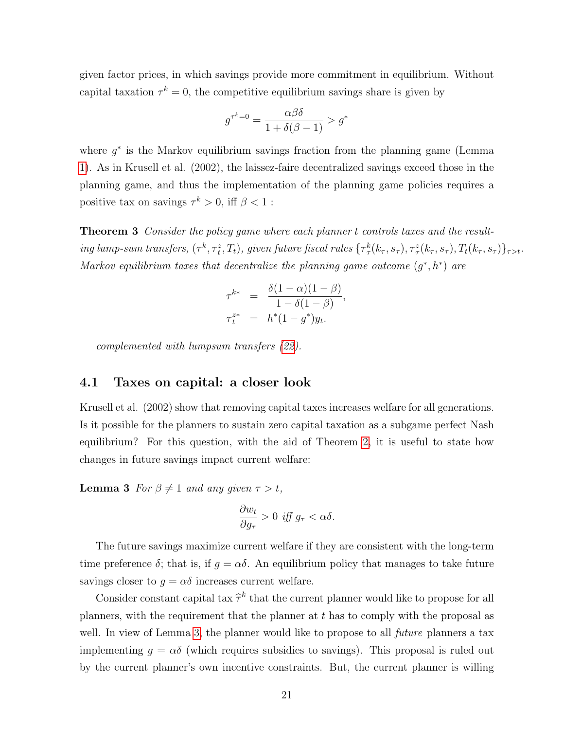given factor prices, in which savings provide more commitment in equilibrium. Without capital taxation  $\tau^k = 0$ , the competitive equilibrium savings share is given by

$$
g^{\tau^k=0} = \frac{\alpha \beta \delta}{1 + \delta(\beta - 1)} > g^*
$$

where  $g^*$  is the Markov equilibrium savings fraction from the planning game (Lemma [1\)](#page-15-3). As in Krusell et al. (2002), the laissez-faire decentralized savings exceed those in the planning game, and thus the implementation of the planning game policies requires a positive tax on savings  $\tau^k > 0$ , iff  $\beta < 1$ :

<span id="page-20-1"></span>Theorem 3 Consider the policy game where each planner t controls taxes and the result- $\inf\limits_{\tau,\sigma} \limsup_{\tau,\sigma} \limsup_{\tau,\sigma} \{(\tau^k, \tau^z_t, T_t),\$  given future fiscal rules  $\{\tau^k_\tau(k_\tau, s_\tau), \tau^z_\tau(k_\tau, s_\tau), T_t(k_\tau, s_\tau)\}_{\tau>t}.$ Markov equilibrium taxes that decentralize the planning game outcome  $(g^*, h^*)$  are

$$
\tau^{k*} = \frac{\delta(1-\alpha)(1-\beta)}{1-\delta(1-\beta)}, \n\tau^{z*}_t = h^*(1-g^*)y_t.
$$

complemented with lumpsum transfers [\(22\)](#page-18-5).

#### 4.1 Taxes on capital: a closer look

Krusell et al. (2002) show that removing capital taxes increases welfare for all generations. Is it possible for the planners to sustain zero capital taxation as a subgame perfect Nash equilibrium? For this question, with the aid of Theorem [2,](#page-14-1) it is useful to state how changes in future savings impact current welfare:

<span id="page-20-0"></span>**Lemma 3** For  $\beta \neq 1$  and any given  $\tau > t$ ,

$$
\frac{\partial w_t}{\partial g_\tau} > 0 \text{ iff } g_\tau < \alpha \delta.
$$

The future savings maximize current welfare if they are consistent with the long-term time preference  $\delta$ ; that is, if  $g = \alpha \delta$ . An equilibrium policy that manages to take future savings closer to  $g = \alpha \delta$  increases current welfare.

Consider constant capital tax  $\hat{\tau}^k$  that the current planner would like to propose for all  $\hat{\tau}^k$ planners, with the requirement that the planner at  $t$  has to comply with the proposal as well. In view of Lemma [3,](#page-20-0) the planner would like to propose to all *future* planners a tax implementing  $g = \alpha \delta$  (which requires subsidies to savings). This proposal is ruled out by the current planner's own incentive constraints. But, the current planner is willing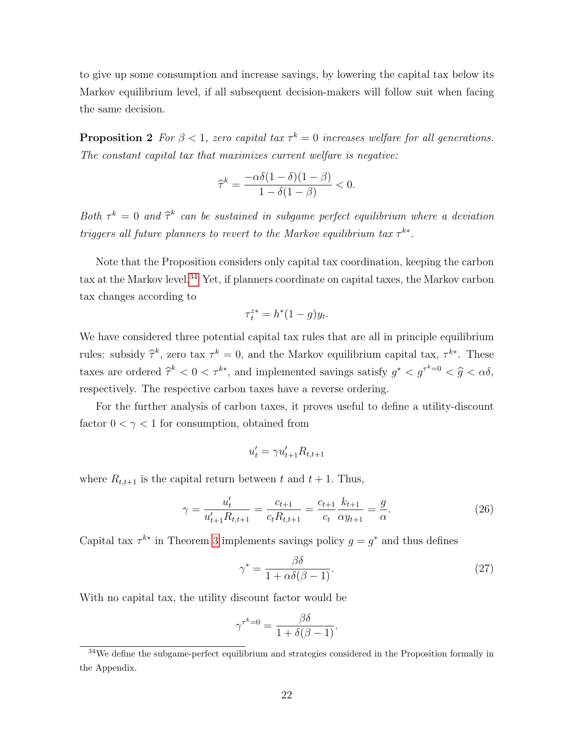to give up some consumption and increase savings, by lowering the capital tax below its Markov equilibrium level, if all subsequent decision-makers will follow suit when facing the same decision.

<span id="page-21-2"></span>**Proposition 2** For  $\beta < 1$ , zero capital tax  $\tau^k = 0$  increases welfare for all generations. The constant capital tax that maximizes current welfare is negative:

$$
\widehat{\tau}^k = \frac{-\alpha \delta (1 - \delta)(1 - \beta)}{1 - \delta (1 - \beta)} < 0.
$$

Both  $\tau^k = 0$  and  $\hat{\tau}^k$  can be sustained in subgame perfect equilibrium where a deviation triggers all future planners to revert to the Markov equilibrium tax  $\tau^{k*}$ .

Note that the Proposition considers only capital tax coordination, keeping the carbon tax at the Markov level.<sup>[34](#page-21-0)</sup> Yet, if planners coordinate on capital taxes, the Markov carbon tax changes according to

$$
\tau_t^{z*} = h^*(1-g)y_t.
$$

We have considered three potential capital tax rules that are all in principle equilibrium rules: subsidy  $\hat{\tau}^k$ , zero tax  $\tau^k = 0$ , and the Markov equilibrium capital tax,  $\tau^{k*}$ . These taxes are ordered  $\hat{\tau}^k < 0 < \tau^{k*}$ , and implemented savings satisfy  $g^* < g^{\tau^k=0} < \hat{g} < \alpha \delta$ , respectively. The respective carbon taxes have a reverse ordering.

For the further analysis of carbon taxes, it proves useful to define a utility-discount factor  $0 < \gamma < 1$  for consumption, obtained from

$$
u_t' = \gamma u_{t+1}' R_{t,t+1}
$$

where  $R_{t,t+1}$  is the capital return between t and  $t + 1$ . Thus,

<span id="page-21-1"></span>
$$
\gamma = \frac{u'_t}{u'_{t+1} R_{t,t+1}} = \frac{c_{t+1}}{c_t R_{t,t+1}} = \frac{c_{t+1}}{c_t} \frac{k_{t+1}}{\alpha y_{t+1}} = \frac{g}{\alpha}.
$$
\n(26)

Capital tax  $\tau^{k*}$  in Theorem [3](#page-20-1) implements savings policy  $g = g^*$  and thus defines

$$
\gamma^* = \frac{\beta \delta}{1 + \alpha \delta(\beta - 1)}.\tag{27}
$$

With no capital tax, the utility discount factor would be

$$
\gamma^{\tau^k=0} = \frac{\beta \delta}{1 + \delta(\beta - 1)}.
$$

<span id="page-21-0"></span><sup>34</sup>We define the subgame-perfect equilibrium and strategies considered in the Proposition formally in the Appendix.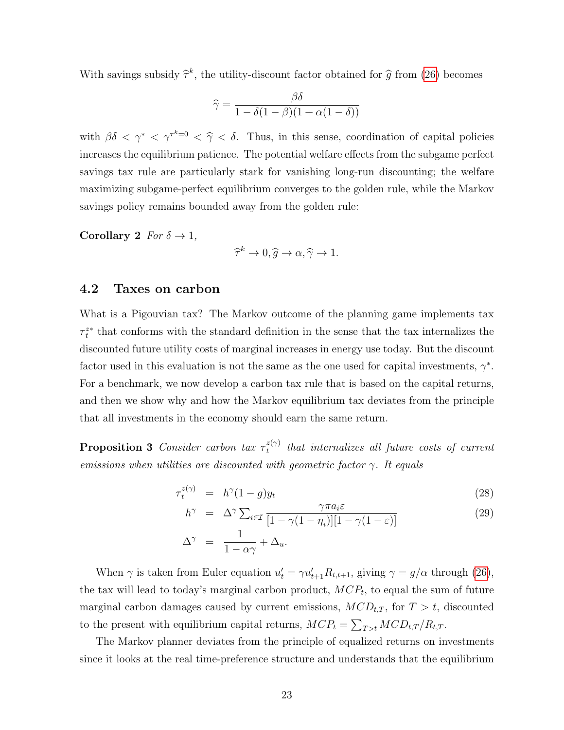With savings subsidy  $\hat{\tau}^k$ , the utility-discount factor obtained for  $\hat{g}$  from [\(26\)](#page-21-1) becomes

$$
\widehat{\gamma} = \frac{\beta \delta}{1 - \delta(1 - \beta)(1 + \alpha(1 - \delta))}
$$

with  $\beta \delta < \gamma^* < \gamma^{\tau^* = 0} < \hat{\gamma} < \delta$ . Thus, in this sense, coordination of capital policies increases the equilibrium patience. The potential welfare effects from the subgame perfect savings tax rule are particularly stark for vanishing long-run discounting; the welfare maximizing subgame-perfect equilibrium converges to the golden rule, while the Markov savings policy remains bounded away from the golden rule:

Corollary 2  $For \delta \rightarrow 1$ ,

 $\widehat{\tau}^k \to 0, \widehat{g} \to \alpha, \widehat{\gamma} \to 1.$ 

#### 4.2 Taxes on carbon

What is a Pigouvian tax? The Markov outcome of the planning game implements tax  $\tau_t^{z*}$  that conforms with the standard definition in the sense that the tax internalizes the discounted future utility costs of marginal increases in energy use today. But the discount factor used in this evaluation is not the same as the one used for capital investments,  $\gamma^*$ . For a benchmark, we now develop a carbon tax rule that is based on the capital returns, and then we show why and how the Markov equilibrium tax deviates from the principle that all investments in the economy should earn the same return.

<span id="page-22-0"></span>**Proposition 3** Consider carbon tax  $\tau_t^{z(\gamma)}$  $t_t^{z(\gamma)}$  that internalizes all future costs of current emissions when utilities are discounted with geometric factor  $\gamma$ . It equals

$$
\tau_t^{z(\gamma)} = h^{\gamma}(1-g)y_t \tag{28}
$$

$$
h^{\gamma} = \Delta^{\gamma} \sum_{i \in \mathcal{I}} \frac{\gamma \pi a_i \varepsilon}{[1 - \gamma (1 - \eta_i)][1 - \gamma (1 - \varepsilon)]}
$$
  

$$
\Delta^{\gamma} = \frac{1}{1 - \alpha \gamma} + \Delta_u.
$$
 (29)

When  $\gamma$  is taken from Euler equation  $u'_t = \gamma u'_{t+1} R_{t,t+1}$ , giving  $\gamma = g/\alpha$  through [\(26\)](#page-21-1), the tax will lead to today's marginal carbon product,  $MCP_t$ , to equal the sum of future marginal carbon damages caused by current emissions,  $MCD_{t,T}$ , for  $T > t$ , discounted to the present with equilibrium capital returns,  $MCP_t = \sum_{T>t} MCD_{t,T}/R_{t,T}$ .

The Markov planner deviates from the principle of equalized returns on investments since it looks at the real time-preference structure and understands that the equilibrium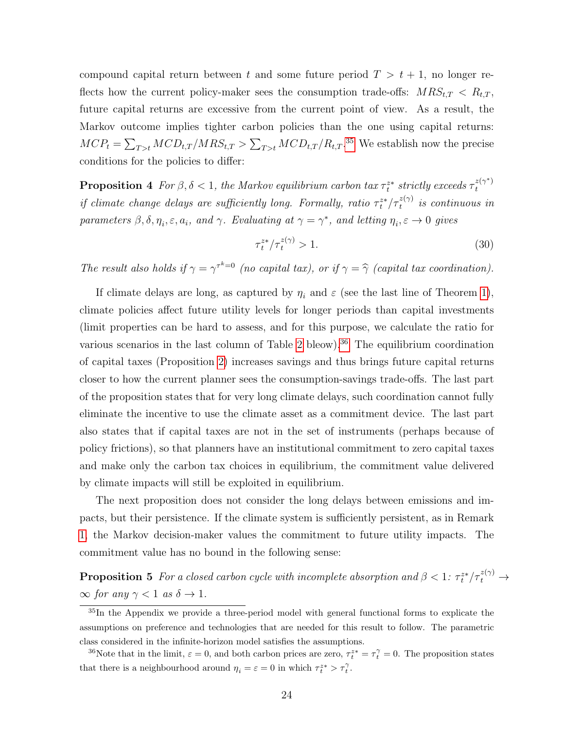compound capital return between t and some future period  $T > t + 1$ , no longer reflects how the current policy-maker sees the consumption trade-offs:  $MRS_{t,T} < R_{t,T}$ , future capital returns are excessive from the current point of view. As a result, the Markov outcome implies tighter carbon policies than the one using capital returns:  $MCP_t = \sum_{T>t} MCD_{t,T} / MRS_{t,T} > \sum_{T>t} MCD_{t,T} / R_{t,T}.$ <sup>[35](#page-23-1)</sup> We establish now the precise conditions for the policies to differ:

<span id="page-23-0"></span>**Proposition 4** For  $\beta, \delta < 1$ , the Markov equilibrium carbon tax  $\tau_t^{z*}$  strictly exceeds  $\tau_t^{z(\gamma^*)}$ t if climate change delays are sufficiently long. Formally, ratio  $\tau_t^{z*}/\tau_t^{z(\gamma)}$  is continuous in parameters  $\beta, \delta, \eta_i, \varepsilon, a_i$ , and  $\gamma$ . Evaluating at  $\gamma = \gamma^*$ , and letting  $\eta_i, \varepsilon \to 0$  gives

$$
\tau_t^{z*} / \tau_t^{z(\gamma)} > 1. \tag{30}
$$

The result also holds if  $\gamma = \gamma^{k=0}$  (no capital tax), or if  $\gamma = \hat{\gamma}$  (capital tax coordination).

If climate delays are long, as captured by  $\eta_i$  and  $\varepsilon$  (see the last line of Theorem [1\)](#page-11-5), climate policies affect future utility levels for longer periods than capital investments (limit properties can be hard to assess, and for this purpose, we calculate the ratio for various scenarios in the last column of Table [2](#page-29-0) bleow).<sup>[36](#page-23-2)</sup> The equilibrium coordination of capital taxes (Proposition [2\)](#page-21-2) increases savings and thus brings future capital returns closer to how the current planner sees the consumption-savings trade-offs. The last part of the proposition states that for very long climate delays, such coordination cannot fully eliminate the incentive to use the climate asset as a commitment device. The last part also states that if capital taxes are not in the set of instruments (perhaps because of policy frictions), so that planners have an institutional commitment to zero capital taxes and make only the carbon tax choices in equilibrium, the commitment value delivered by climate impacts will still be exploited in equilibrium.

The next proposition does not consider the long delays between emissions and impacts, but their persistence. If the climate system is sufficiently persistent, as in Remark [1,](#page-10-1) the Markov decision-maker values the commitment to future utility impacts. The commitment value has no bound in the following sense:

<span id="page-23-3"></span>**Proposition 5** For a closed carbon cycle with incomplete absorption and  $\beta < 1$ :  $\tau_t^{z*}/\tau_t^{z(\gamma)} \rightarrow$  $\infty$  for any  $\gamma < 1$  as  $\delta \to 1$ .

<span id="page-23-1"></span><sup>&</sup>lt;sup>35</sup>In the Appendix we provide a three-period model with general functional forms to explicate the assumptions on preference and technologies that are needed for this result to follow. The parametric class considered in the infinite-horizon model satisfies the assumptions.

<span id="page-23-2"></span><sup>&</sup>lt;sup>36</sup>Note that in the limit,  $\varepsilon = 0$ , and both carbon prices are zero,  $\tau_t^{z*} = \tau_t^{\gamma} = 0$ . The proposition states that there is a neighbourhood around  $\eta_i = \varepsilon = 0$  in which  $\tau_i^{z*} > \tau_i^{\gamma}$ .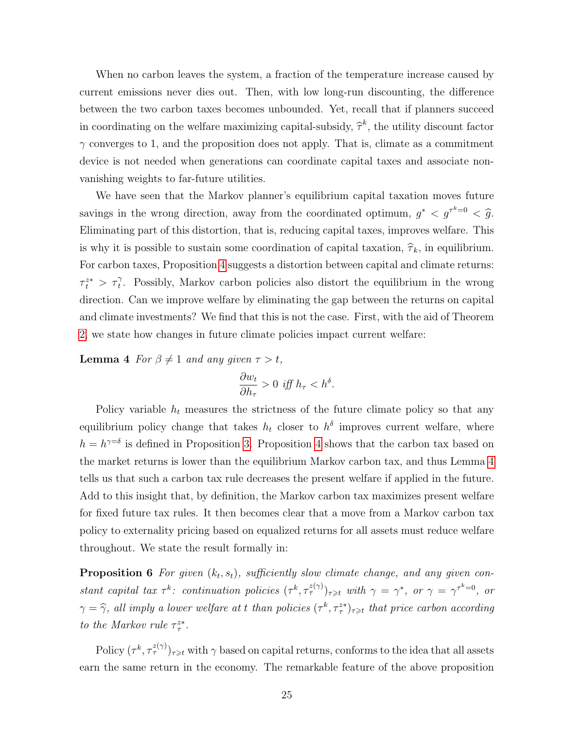When no carbon leaves the system, a fraction of the temperature increase caused by current emissions never dies out. Then, with low long-run discounting, the difference between the two carbon taxes becomes unbounded. Yet, recall that if planners succeed in coordinating on the welfare maximizing capital-subsidy,  $\hat{\tau}^k$ , the utility discount factor  $\gamma$  converges to 1, and the proposition does not apply. That is, climate as a commitment device is not needed when generations can coordinate capital taxes and associate nonvanishing weights to far-future utilities.

We have seen that the Markov planner's equilibrium capital taxation moves future savings in the wrong direction, away from the coordinated optimum,  $g^* < g^{\tau^k=0} < \hat{g}$ . Eliminating part of this distortion, that is, reducing capital taxes, improves welfare. This is why it is possible to sustain some coordination of capital taxation,  $\hat{\tau}_k$ , in equilibrium. For carbon taxes, Proposition [4](#page-23-0) suggests a distortion between capital and climate returns:  $\tau_t^{z*} > \tau_t^{\gamma}$ . Possibly, Markov carbon policies also distort the equilibrium in the wrong direction. Can we improve welfare by eliminating the gap between the returns on capital and climate investments? We find that this is not the case. First, with the aid of Theorem [2,](#page-14-1) we state how changes in future climate policies impact current welfare:

<span id="page-24-0"></span>**Lemma 4** For  $\beta \neq 1$  and any given  $\tau > t$ ,

$$
\frac{\partial w_t}{\partial h_\tau} > 0 \text{ iff } h_\tau < h^\delta.
$$

Policy variable  $h_t$  measures the strictness of the future climate policy so that any equilibrium policy change that takes  $h_t$  closer to  $h^{\delta}$  improves current welfare, where  $h = h^{\gamma=\delta}$  is defined in Proposition [3.](#page-22-0) Proposition [4](#page-23-0) shows that the carbon tax based on the market returns is lower than the equilibrium Markov carbon tax, and thus Lemma [4](#page-24-0) tells us that such a carbon tax rule decreases the present welfare if applied in the future. Add to this insight that, by definition, the Markov carbon tax maximizes present welfare for fixed future tax rules. It then becomes clear that a move from a Markov carbon tax policy to externality pricing based on equalized returns for all assets must reduce welfare throughout. We state the result formally in:

<span id="page-24-1"></span>**Proposition 6** For given  $(k_t, s_t)$ , sufficiently slow climate change, and any given constant capital tax  $\tau^k$ : continuation policies  $(\tau^k, \tau^{\tilde{z}(\gamma)}_{\tau})_{\tau \geq t}$  with  $\gamma = \gamma^*$ , or  $\gamma = \gamma^{\tau^k=0}$ , or  $\gamma = \hat{\gamma}$ , all imply a lower welfare at t than policies  $(\tau^k, \tau^{zz}_\tau)_{\tau \geq t}$  that price carbon according to the Markov rule  $\tau^{z*}_{\tau}$ .

Policy  $(\tau^k, \tau^{\tilde{z}(\gamma)}_\tau)_{\tau \geq t}$  with  $\gamma$  based on capital returns, conforms to the idea that all assets earn the same return in the economy. The remarkable feature of the above proposition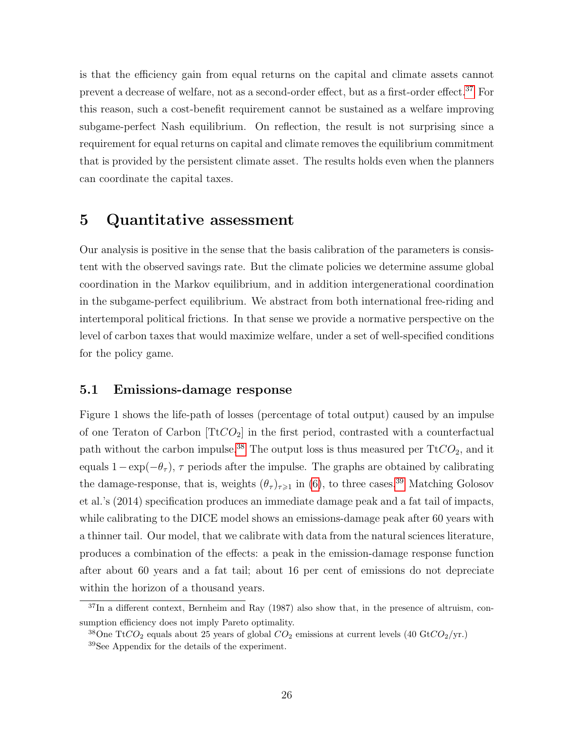is that the efficiency gain from equal returns on the capital and climate assets cannot prevent a decrease of welfare, not as a second-order effect, but as a first-order effect.[37](#page-25-0) For this reason, such a cost-benefit requirement cannot be sustained as a welfare improving subgame-perfect Nash equilibrium. On reflection, the result is not surprising since a requirement for equal returns on capital and climate removes the equilibrium commitment that is provided by the persistent climate asset. The results holds even when the planners can coordinate the capital taxes.

## 5 Quantitative assessment

Our analysis is positive in the sense that the basis calibration of the parameters is consistent with the observed savings rate. But the climate policies we determine assume global coordination in the Markov equilibrium, and in addition intergenerational coordination in the subgame-perfect equilibrium. We abstract from both international free-riding and intertemporal political frictions. In that sense we provide a normative perspective on the level of carbon taxes that would maximize welfare, under a set of well-specified conditions for the policy game.

#### <span id="page-25-3"></span>5.1 Emissions-damage response

Figure 1 shows the life-path of losses (percentage of total output) caused by an impulse of one Teraton of Carbon  $[TtCO_2]$  in the first period, contrasted with a counterfactual path without the carbon impulse.<sup>[38](#page-25-1)</sup> The output loss is thus measured per  $TtCO<sub>2</sub>$ , and it equals  $1-\exp(-\theta_{\tau})$ ,  $\tau$  periods after the impulse. The graphs are obtained by calibrating the damage-response, that is, weights  $(\theta_{\tau})_{\tau \geq 1}$  in [\(6\)](#page-6-3), to three cases.<sup>[39](#page-25-2)</sup> Matching Golosov et al.'s (2014) specification produces an immediate damage peak and a fat tail of impacts, while calibrating to the DICE model shows an emissions-damage peak after 60 years with a thinner tail. Our model, that we calibrate with data from the natural sciences literature, produces a combination of the effects: a peak in the emission-damage response function after about 60 years and a fat tail; about 16 per cent of emissions do not depreciate within the horizon of a thousand years.

<span id="page-25-0"></span><sup>&</sup>lt;sup>37</sup>In a different context, Bernheim and Ray (1987) also show that, in the presence of altruism, consumption efficiency does not imply Pareto optimality.

<span id="page-25-2"></span><span id="page-25-1"></span><sup>&</sup>lt;sup>38</sup>One TtCO<sub>2</sub> equals about 25 years of global  $CO_2$  emissions at current levels (40 GtCO<sub>2</sub>/yr.) <sup>39</sup>See Appendix for the details of the experiment.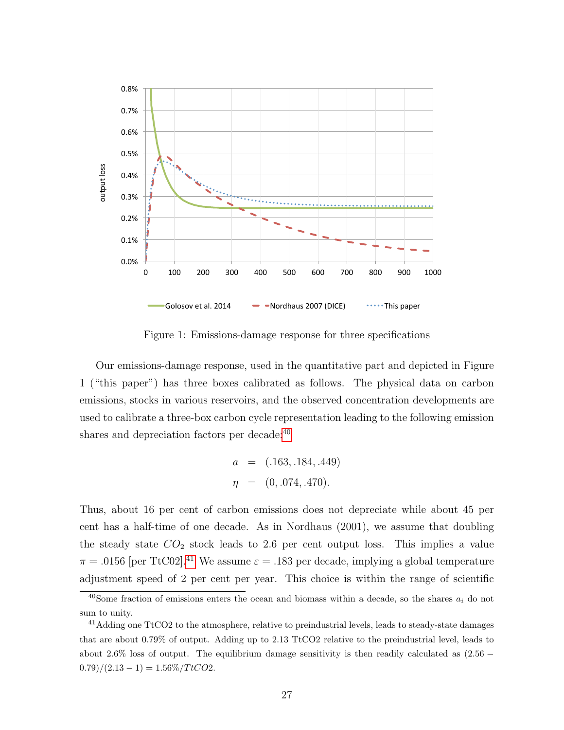

Figure 1: Emissions-damage response for three specifications

Our emissions-damage response, used in the quantitative part and depicted in Figure 1 ("this paper") has three boxes calibrated as follows. The physical data on carbon emissions, stocks in various reservoirs, and the observed concentration developments are used to calibrate a three-box carbon cycle representation leading to the following emission shares and depreciation factors per decade:<sup>[40](#page-26-0)</sup>

$$
a = (.163, .184, .449)
$$

$$
\eta = (0, .074, .470).
$$

Thus, about 16 per cent of carbon emissions does not depreciate while about 45 per cent has a half-time of one decade. As in Nordhaus (2001), we assume that doubling the steady state  $CO<sub>2</sub>$  stock leads to 2.6 per cent output loss. This implies a value  $\pi = .0156$  [per TtC02].<sup>[41](#page-26-1)</sup> We assume  $\varepsilon = .183$  per decade, implying a global temperature adjustment speed of 2 per cent per year. This choice is within the range of scientific

<span id="page-26-0"></span><sup>&</sup>lt;sup>40</sup>Some fraction of emissions enters the ocean and biomass within a decade, so the shares  $a_i$  do not sum to unity.

<span id="page-26-1"></span> $41$ Adding one TtCO2 to the atmosphere, relative to preindustrial levels, leads to steady-state damages that are about 0.79% of output. Adding up to 2.13 TtCO2 relative to the preindustrial level, leads to about 2.6% loss of output. The equilibrium damage sensitivity is then readily calculated as  $(2.56 0.79)/(2.13-1) = 1.56\%/TtCO2.$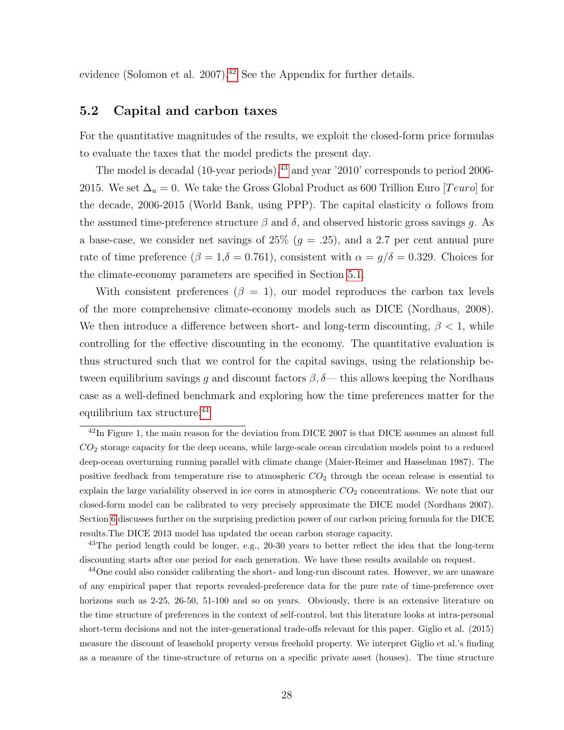evidence (Solomon et al. 2007).<sup>[42](#page-27-0)</sup> See the Appendix for further details.

#### 5.2 Capital and carbon taxes

For the quantitative magnitudes of the results, we exploit the closed-form price formulas to evaluate the taxes that the model predicts the present day.

The model is decadal (10-year periods),<sup>[43](#page-27-1)</sup> and year '2010' corresponds to period 2006-2015. We set  $\Delta_u = 0$ . We take the Gross Global Product as 600 Trillion Euro [Teuro] for the decade, 2006-2015 (World Bank, using PPP). The capital elasticity  $\alpha$  follows from the assumed time-preference structure  $\beta$  and  $\delta$ , and observed historic gross savings g. As a base-case, we consider net savings of  $25\%$  ( $g = .25$ ), and a 2.7 per cent annual pure rate of time preference ( $\beta = 1, \delta = 0.761$ ), consistent with  $\alpha = g/\delta = 0.329$ . Choices for the climate-economy parameters are specified in Section [5.1.](#page-25-3)

With consistent preferences  $(\beta = 1)$ , our model reproduces the carbon tax levels of the more comprehensive climate-economy models such as DICE (Nordhaus, 2008). We then introduce a difference between short- and long-term discounting,  $\beta < 1$ , while controlling for the effective discounting in the economy. The quantitative evaluation is thus structured such that we control for the capital savings, using the relationship between equilibrium savings q and discount factors  $\beta$ ,  $\delta$ — this allows keeping the Nordhaus case as a well-defined benchmark and exploring how the time preferences matter for the equilibrium tax structure.[44](#page-27-2)

<span id="page-27-0"></span> $\frac{42}{10}$  Figure 1, the main reason for the deviation from DICE 2007 is that DICE assumes an almost full  $CO<sub>2</sub>$  storage capacity for the deep oceans, while large-scale ocean circulation models point to a reduced deep-ocean overturning running parallel with climate change (Maier-Reimer and Hasselman 1987). The positive feedback from temperature rise to atmospheric  $CO<sub>2</sub>$  through the ocean release is essential to explain the large variability observed in ice cores in atmospheric  $CO<sub>2</sub>$  concentrations. We note that our closed-form model can be calibrated to very precisely approximate the DICE model (Nordhaus 2007). Section [6](#page-30-0) discusses further on the surprising prediction power of our carbon pricing formula for the DICE results.The DICE 2013 model has updated the ocean carbon storage capacity.

<span id="page-27-1"></span><sup>&</sup>lt;sup>43</sup>The period length could be longer, e.g.,  $20-30$  years to better reflect the idea that the long-term discounting starts after one period for each generation. We have these results available on request.

<span id="page-27-2"></span><sup>&</sup>lt;sup>44</sup>One could also consider calibrating the short- and long-run discount rates. However, we are unaware of any empirical paper that reports revealed-preference data for the pure rate of time-preference over horizons such as 2-25, 26-50, 51-100 and so on years. Obviously, there is an extensive literature on the time structure of preferences in the context of self-control, but this literature looks at intra-personal short-term decisions and not the inter-generational trade-offs relevant for this paper. Giglio et al. (2015) measure the discount of leasehold property versus freehold property. We interpret Giglio et al.'s finding as a measure of the time-structure of returns on a specific private asset (houses). The time structure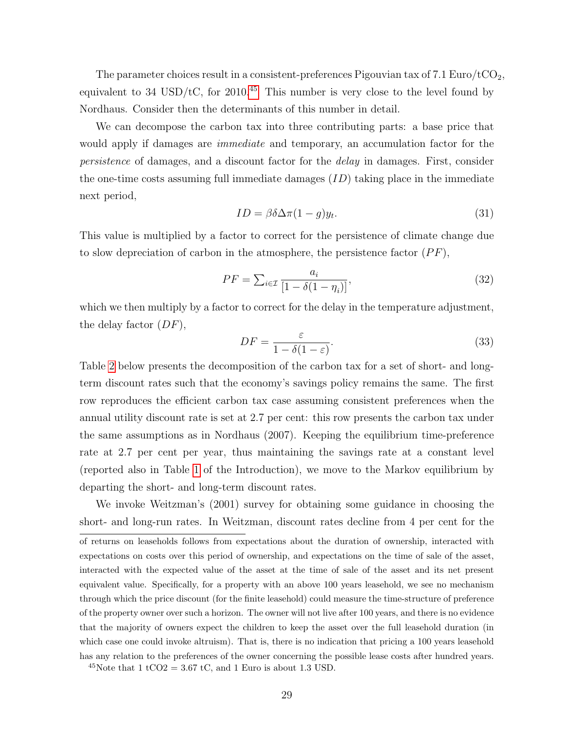The parameter choices result in a consistent-preferences Pigouvian tax of 7.1 Euro/tCO<sub>2</sub>, equivalent to 34 USD/tC, for 2010.<sup>[45](#page-28-0)</sup> This number is very close to the level found by Nordhaus. Consider then the determinants of this number in detail.

We can decompose the carbon tax into three contributing parts: a base price that would apply if damages are *immediate* and temporary, an accumulation factor for the persistence of damages, and a discount factor for the delay in damages. First, consider the one-time costs assuming full immediate damages  $(ID)$  taking place in the immediate next period,

<span id="page-28-1"></span>
$$
ID = \beta \delta \Delta \pi (1 - g) y_t. \tag{31}
$$

This value is multiplied by a factor to correct for the persistence of climate change due to slow depreciation of carbon in the atmosphere, the persistence factor  $(PF)$ ,

$$
PF = \sum_{i \in \mathcal{I}} \frac{a_i}{[1 - \delta(1 - \eta_i)]},\tag{32}
$$

which we then multiply by a factor to correct for the delay in the temperature adjustment, the delay factor  $(DF)$ ,

<span id="page-28-2"></span>
$$
DF = \frac{\varepsilon}{1 - \delta(1 - \varepsilon)}.\tag{33}
$$

Table [2](#page-29-0) below presents the decomposition of the carbon tax for a set of short- and longterm discount rates such that the economy's savings policy remains the same. The first row reproduces the efficient carbon tax case assuming consistent preferences when the annual utility discount rate is set at 2.7 per cent: this row presents the carbon tax under the same assumptions as in Nordhaus (2007). Keeping the equilibrium time-preference rate at 2.7 per cent per year, thus maintaining the savings rate at a constant level (reported also in Table [1](#page-3-0) of the Introduction), we move to the Markov equilibrium by departing the short- and long-term discount rates.

We invoke Weitzman's (2001) survey for obtaining some guidance in choosing the short- and long-run rates. In Weitzman, discount rates decline from 4 per cent for the

<span id="page-28-0"></span><sup>45</sup>Note that 1 tCO2 = 3.67 tC, and 1 Euro is about 1.3 USD.

of returns on leaseholds follows from expectations about the duration of ownership, interacted with expectations on costs over this period of ownership, and expectations on the time of sale of the asset, interacted with the expected value of the asset at the time of sale of the asset and its net present equivalent value. Specifically, for a property with an above 100 years leasehold, we see no mechanism through which the price discount (for the finite leasehold) could measure the time-structure of preference of the property owner over such a horizon. The owner will not live after 100 years, and there is no evidence that the majority of owners expect the children to keep the asset over the full leasehold duration (in which case one could invoke altruism). That is, there is no indication that pricing a 100 years leasehold has any relation to the preferences of the owner concerning the possible lease costs after hundred years.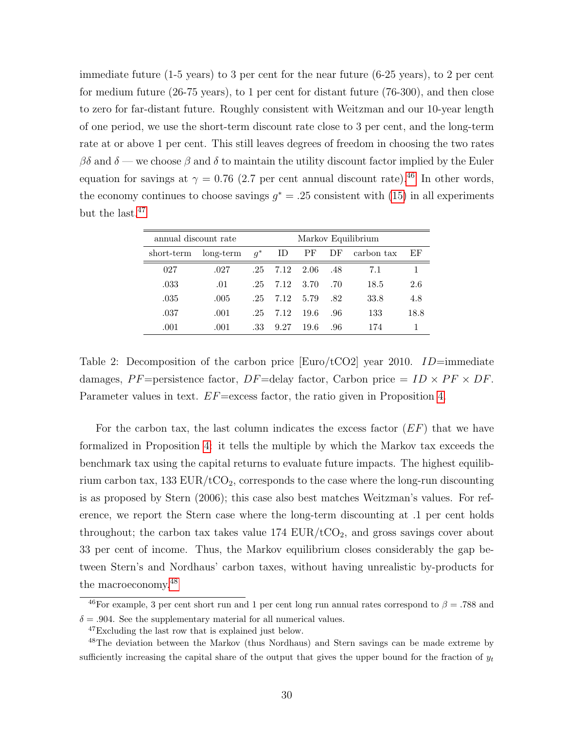immediate future (1-5 years) to 3 per cent for the near future (6-25 years), to 2 per cent for medium future (26-75 years), to 1 per cent for distant future (76-300), and then close to zero for far-distant future. Roughly consistent with Weitzman and our 10-year length of one period, we use the short-term discount rate close to 3 per cent, and the long-term rate at or above 1 per cent. This still leaves degrees of freedom in choosing the two rates  $\beta\delta$  and  $\delta$  — we choose  $\beta$  and  $\delta$  to maintain the utility discount factor implied by the Euler equation for savings at  $\gamma = 0.76$  (2.7 per cent annual discount rate).<sup>[46](#page-29-1)</sup> In other words, the economy continues to choose savings  $g^* = .25$  consistent with [\(15\)](#page-15-4) in all experiments but the last.<sup>[47](#page-29-2)</sup>

| annual discount rate |             | Markov Equilibrium |      |        |     |            |      |
|----------------------|-------------|--------------------|------|--------|-----|------------|------|
| short-term           | $long-term$ | $q^*$              | ID   | PF     | DF  | carbon tax | ΕF   |
| 027                  | .027        | .25                | 7.12 | - 2.06 | .48 | 7.1        |      |
| .033                 | .01         | $.25\,$            | 7.12 | - 3.70 | .70 | 18.5       | 2.6  |
| .035                 | .005        | $.25\,$            | 7.12 | 5.79   | .82 | 33.8       | 4.8  |
| .037                 | .001        | .25                | 7.12 | -19.6  | .96 | 133        | 18.8 |
| .001                 | .001        | .33                | 9.27 | 19.6   | .96 | 174        |      |

<span id="page-29-0"></span>Table 2: Decomposition of the carbon price [Euro/tCO2] year 2010.  $ID=\text{immediate}$ damages, PF=persistence factor, DF=delay factor, Carbon price =  $ID \times PF \times DF$ . Parameter values in text.  $EF$ =excess factor, the ratio given in Proposition [4.](#page-23-0)

For the carbon tax, the last column indicates the excess factor  $(EF)$  that we have formalized in Proposition [4:](#page-23-0) it tells the multiple by which the Markov tax exceeds the benchmark tax using the capital returns to evaluate future impacts. The highest equilibrium carbon tax,  $133 \text{ EUR}/t\text{CO}_2$ , corresponds to the case where the long-run discounting is as proposed by Stern (2006); this case also best matches Weitzman's values. For reference, we report the Stern case where the long-term discounting at .1 per cent holds throughout; the carbon tax takes value  $174$   $EUR/tCO<sub>2</sub>$ , and gross savings cover about 33 per cent of income. Thus, the Markov equilibrium closes considerably the gap between Stern's and Nordhaus' carbon taxes, without having unrealistic by-products for the macroeconomy.[48](#page-29-3)

<span id="page-29-1"></span> $\frac{46}{10}$  For example, 3 per cent short run and 1 per cent long run annual rates correspond to  $\beta = .788$  and  $\delta = .904$ . See the supplementary material for all numerical values.

<span id="page-29-3"></span><span id="page-29-2"></span><sup>47</sup>Excluding the last row that is explained just below.

<sup>48</sup>The deviation between the Markov (thus Nordhaus) and Stern savings can be made extreme by sufficiently increasing the capital share of the output that gives the upper bound for the fraction of  $y_t$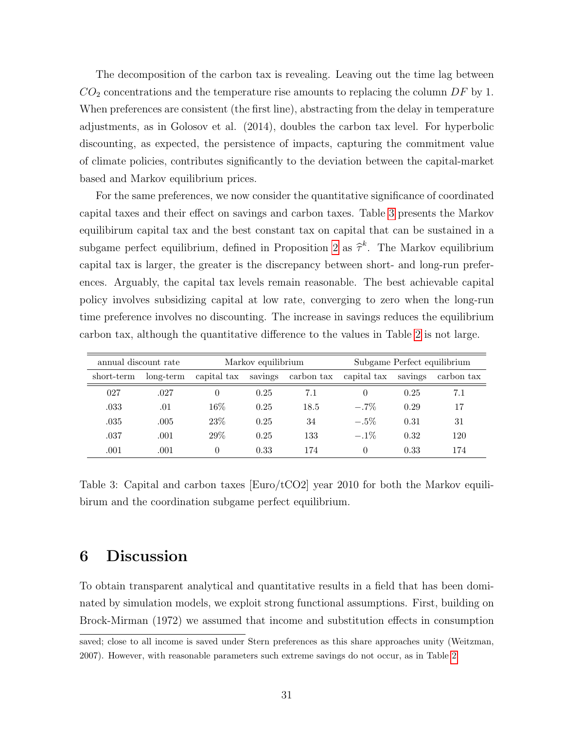The decomposition of the carbon tax is revealing. Leaving out the time lag between  $CO<sub>2</sub>$  concentrations and the temperature rise amounts to replacing the column DF by 1. When preferences are consistent (the first line), abstracting from the delay in temperature adjustments, as in Golosov et al. (2014), doubles the carbon tax level. For hyperbolic discounting, as expected, the persistence of impacts, capturing the commitment value of climate policies, contributes significantly to the deviation between the capital-market based and Markov equilibrium prices.

For the same preferences, we now consider the quantitative significance of coordinated capital taxes and their effect on savings and carbon taxes. Table [3](#page-30-1) presents the Markov equilibirum capital tax and the best constant tax on capital that can be sustained in a subgame perfect equilibrium, defined in Proposition [2](#page-21-2) as  $\hat{\tau}^k$ . The Markov equilibrium capital tax is larger, the greater is the discrepancy between short- and long-run preferences. Arguably, the capital tax levels remain reasonable. The best achievable capital policy involves subsidizing capital at low rate, converging to zero when the long-run time preference involves no discounting. The increase in savings reduces the equilibrium carbon tax, although the quantitative difference to the values in Table [2](#page-29-0) is not large.

|            | annual discount rate<br>Markov equilibrium |             |         | Subgame Perfect equilibrium |             |         |            |
|------------|--------------------------------------------|-------------|---------|-----------------------------|-------------|---------|------------|
| short-term | long-term                                  | capital tax | savings | carbon tax                  | capital tax | savings | carbon tax |
| 027        | .027                                       | $\theta$    | 0.25    | 7.1                         | $\theta$    | 0.25    | 7.1        |
| .033       | .01                                        | $16\%$      | 0.25    | 18.5                        | $-.7\%$     | 0.29    | 17         |
| .035       | .005                                       | 23\%        | 0.25    | 34                          | $-.5\%$     | 0.31    | 31         |
| .037       | .001                                       | $29\%$      | 0.25    | 133                         | $-.1\%$     | 0.32    | 120        |
| .001       | .001                                       | 0           | 0.33    | 174                         | 0           | 0.33    | 174        |

<span id="page-30-1"></span>Table 3: Capital and carbon taxes [Euro/tCO2] year 2010 for both the Markov equilibirum and the coordination subgame perfect equilibrium.

## <span id="page-30-0"></span>6 Discussion

To obtain transparent analytical and quantitative results in a field that has been dominated by simulation models, we exploit strong functional assumptions. First, building on Brock-Mirman (1972) we assumed that income and substitution effects in consumption

saved; close to all income is saved under Stern preferences as this share approaches unity (Weitzman, 2007). However, with reasonable parameters such extreme savings do not occur, as in Table [2.](#page-29-0)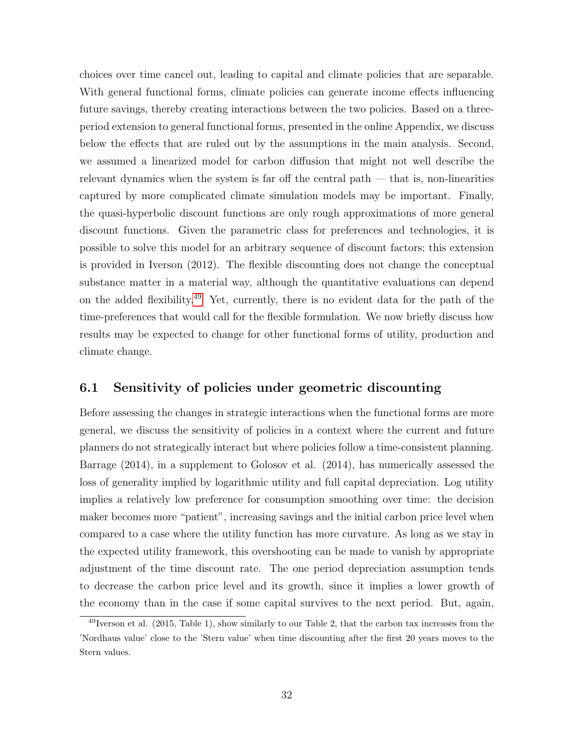choices over time cancel out, leading to capital and climate policies that are separable. With general functional forms, climate policies can generate income effects influencing future savings, thereby creating interactions between the two policies. Based on a threeperiod extension to general functional forms, presented in the online Appendix, we discuss below the effects that are ruled out by the assumptions in the main analysis. Second, we assumed a linearized model for carbon diffusion that might not well describe the relevant dynamics when the system is far off the central path  $-$  that is, non-linearities captured by more complicated climate simulation models may be important. Finally, the quasi-hyperbolic discount functions are only rough approximations of more general discount functions. Given the parametric class for preferences and technologies, it is possible to solve this model for an arbitrary sequence of discount factors; this extension is provided in Iverson (2012). The flexible discounting does not change the conceptual substance matter in a material way, although the quantitative evaluations can depend on the added flexibility.[49](#page-31-0) Yet, currently, there is no evident data for the path of the time-preferences that would call for the flexible formulation. We now briefly discuss how results may be expected to change for other functional forms of utility, production and climate change.

#### 6.1 Sensitivity of policies under geometric discounting

Before assessing the changes in strategic interactions when the functional forms are more general, we discuss the sensitivity of policies in a context where the current and future planners do not strategically interact but where policies follow a time-consistent planning. Barrage (2014), in a supplement to Golosov et al. (2014), has numerically assessed the loss of generality implied by logarithmic utility and full capital depreciation. Log utility implies a relatively low preference for consumption smoothing over time: the decision maker becomes more "patient", increasing savings and the initial carbon price level when compared to a case where the utility function has more curvature. As long as we stay in the expected utility framework, this overshooting can be made to vanish by appropriate adjustment of the time discount rate. The one period depreciation assumption tends to decrease the carbon price level and its growth, since it implies a lower growth of the economy than in the case if some capital survives to the next period. But, again,

<span id="page-31-0"></span><sup>49</sup>Iverson et al. (2015, Table 1), show similarly to our Table 2, that the carbon tax increases from the 'Nordhaus value' close to the 'Stern value' when time discounting after the first 20 years moves to the Stern values.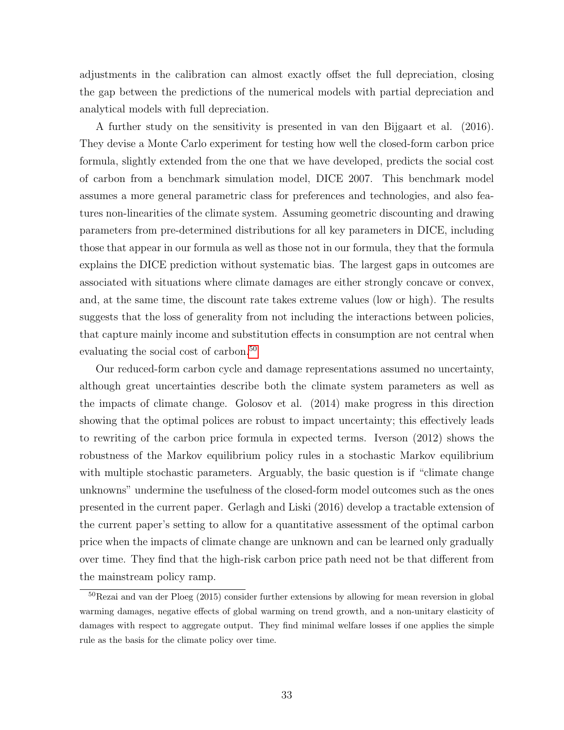adjustments in the calibration can almost exactly offset the full depreciation, closing the gap between the predictions of the numerical models with partial depreciation and analytical models with full depreciation.

A further study on the sensitivity is presented in van den Bijgaart et al. (2016). They devise a Monte Carlo experiment for testing how well the closed-form carbon price formula, slightly extended from the one that we have developed, predicts the social cost of carbon from a benchmark simulation model, DICE 2007. This benchmark model assumes a more general parametric class for preferences and technologies, and also features non-linearities of the climate system. Assuming geometric discounting and drawing parameters from pre-determined distributions for all key parameters in DICE, including those that appear in our formula as well as those not in our formula, they that the formula explains the DICE prediction without systematic bias. The largest gaps in outcomes are associated with situations where climate damages are either strongly concave or convex, and, at the same time, the discount rate takes extreme values (low or high). The results suggests that the loss of generality from not including the interactions between policies, that capture mainly income and substitution effects in consumption are not central when evaluating the social cost of carbon.<sup>[50](#page-32-0)</sup>

Our reduced-form carbon cycle and damage representations assumed no uncertainty, although great uncertainties describe both the climate system parameters as well as the impacts of climate change. Golosov et al. (2014) make progress in this direction showing that the optimal polices are robust to impact uncertainty; this effectively leads to rewriting of the carbon price formula in expected terms. Iverson (2012) shows the robustness of the Markov equilibrium policy rules in a stochastic Markov equilibrium with multiple stochastic parameters. Arguably, the basic question is if "climate change unknowns" undermine the usefulness of the closed-form model outcomes such as the ones presented in the current paper. Gerlagh and Liski (2016) develop a tractable extension of the current paper's setting to allow for a quantitative assessment of the optimal carbon price when the impacts of climate change are unknown and can be learned only gradually over time. They find that the high-risk carbon price path need not be that different from the mainstream policy ramp.

<span id="page-32-0"></span><sup>50</sup>Rezai and van der Ploeg (2015) consider further extensions by allowing for mean reversion in global warming damages, negative effects of global warming on trend growth, and a non-unitary elasticity of damages with respect to aggregate output. They find minimal welfare losses if one applies the simple rule as the basis for the climate policy over time.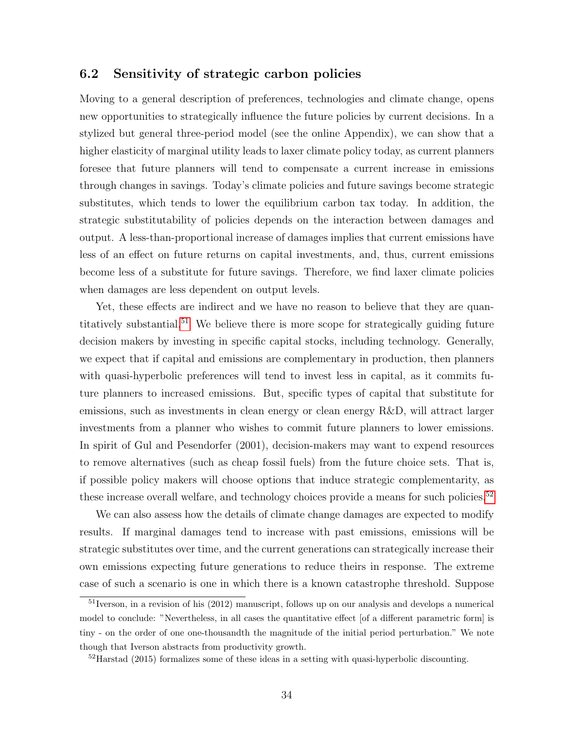#### 6.2 Sensitivity of strategic carbon policies

Moving to a general description of preferences, technologies and climate change, opens new opportunities to strategically influence the future policies by current decisions. In a stylized but general three-period model (see the online Appendix), we can show that a higher elasticity of marginal utility leads to laxer climate policy today, as current planners foresee that future planners will tend to compensate a current increase in emissions through changes in savings. Today's climate policies and future savings become strategic substitutes, which tends to lower the equilibrium carbon tax today. In addition, the strategic substitutability of policies depends on the interaction between damages and output. A less-than-proportional increase of damages implies that current emissions have less of an effect on future returns on capital investments, and, thus, current emissions become less of a substitute for future savings. Therefore, we find laxer climate policies when damages are less dependent on output levels.

Yet, these effects are indirect and we have no reason to believe that they are quan-titatively substantial.<sup>[51](#page-33-0)</sup> We believe there is more scope for strategically guiding future decision makers by investing in specific capital stocks, including technology. Generally, we expect that if capital and emissions are complementary in production, then planners with quasi-hyperbolic preferences will tend to invest less in capital, as it commits future planners to increased emissions. But, specific types of capital that substitute for emissions, such as investments in clean energy or clean energy R&D, will attract larger investments from a planner who wishes to commit future planners to lower emissions. In spirit of Gul and Pesendorfer (2001), decision-makers may want to expend resources to remove alternatives (such as cheap fossil fuels) from the future choice sets. That is, if possible policy makers will choose options that induce strategic complementarity, as these increase overall welfare, and technology choices provide a means for such policies.<sup>[52](#page-33-1)</sup>

We can also assess how the details of climate change damages are expected to modify results. If marginal damages tend to increase with past emissions, emissions will be strategic substitutes over time, and the current generations can strategically increase their own emissions expecting future generations to reduce theirs in response. The extreme case of such a scenario is one in which there is a known catastrophe threshold. Suppose

<span id="page-33-0"></span><sup>51</sup>Iverson, in a revision of his (2012) manuscript, follows up on our analysis and develops a numerical model to conclude: "Nevertheless, in all cases the quantitative effect [of a different parametric form] is tiny - on the order of one one-thousandth the magnitude of the initial period perturbation." We note though that Iverson abstracts from productivity growth.

<span id="page-33-1"></span><sup>52</sup>Harstad (2015) formalizes some of these ideas in a setting with quasi-hyperbolic discounting.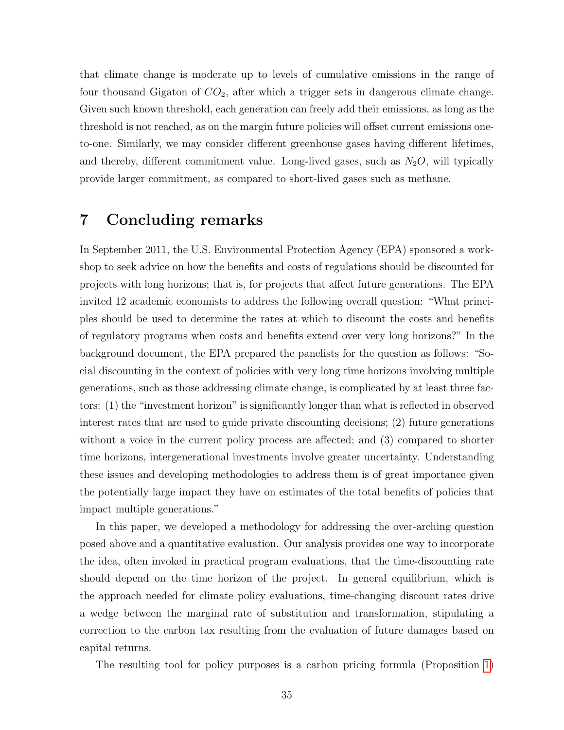that climate change is moderate up to levels of cumulative emissions in the range of four thousand Gigaton of  $CO<sub>2</sub>$ , after which a trigger sets in dangerous climate change. Given such known threshold, each generation can freely add their emissions, as long as the threshold is not reached, as on the margin future policies will offset current emissions oneto-one. Similarly, we may consider different greenhouse gases having different lifetimes, and thereby, different commitment value. Long-lived gases, such as  $N_2O$ , will typically provide larger commitment, as compared to short-lived gases such as methane.

## 7 Concluding remarks

In September 2011, the U.S. Environmental Protection Agency (EPA) sponsored a workshop to seek advice on how the benefits and costs of regulations should be discounted for projects with long horizons; that is, for projects that affect future generations. The EPA invited 12 academic economists to address the following overall question: "What principles should be used to determine the rates at which to discount the costs and benefits of regulatory programs when costs and benefits extend over very long horizons?" In the background document, the EPA prepared the panelists for the question as follows: "Social discounting in the context of policies with very long time horizons involving multiple generations, such as those addressing climate change, is complicated by at least three factors: (1) the "investment horizon" is significantly longer than what is reflected in observed interest rates that are used to guide private discounting decisions; (2) future generations without a voice in the current policy process are affected; and (3) compared to shorter time horizons, intergenerational investments involve greater uncertainty. Understanding these issues and developing methodologies to address them is of great importance given the potentially large impact they have on estimates of the total benefits of policies that impact multiple generations."

In this paper, we developed a methodology for addressing the over-arching question posed above and a quantitative evaluation. Our analysis provides one way to incorporate the idea, often invoked in practical program evaluations, that the time-discounting rate should depend on the time horizon of the project. In general equilibrium, which is the approach needed for climate policy evaluations, time-changing discount rates drive a wedge between the marginal rate of substitution and transformation, stipulating a correction to the carbon tax resulting from the evaluation of future damages based on capital returns.

The resulting tool for policy purposes is a carbon pricing formula (Proposition [1\)](#page-16-2)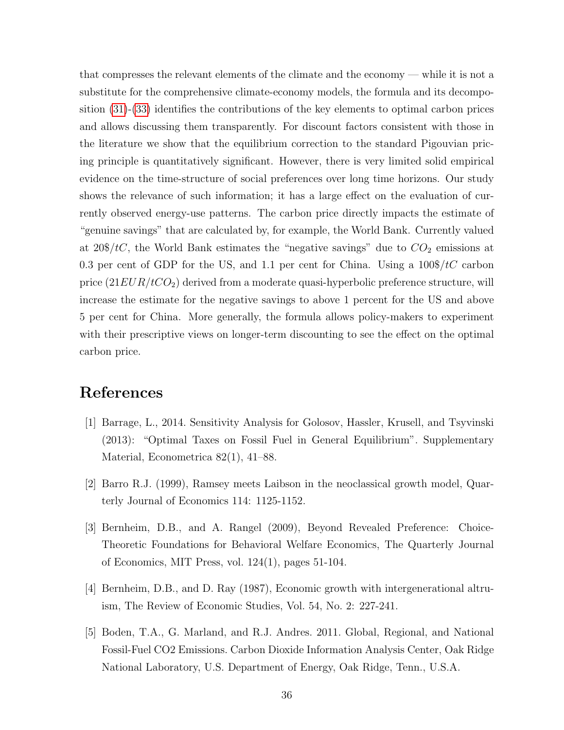that compresses the relevant elements of the climate and the economy — while it is not a substitute for the comprehensive climate-economy models, the formula and its decomposition [\(31\)](#page-28-1)-[\(33\)](#page-28-2) identifies the contributions of the key elements to optimal carbon prices and allows discussing them transparently. For discount factors consistent with those in the literature we show that the equilibrium correction to the standard Pigouvian pricing principle is quantitatively significant. However, there is very limited solid empirical evidence on the time-structure of social preferences over long time horizons. Our study shows the relevance of such information; it has a large effect on the evaluation of currently observed energy-use patterns. The carbon price directly impacts the estimate of "genuine savings" that are calculated by, for example, the World Bank. Currently valued at  $20\$/tC$ , the World Bank estimates the "negative savings" due to  $CO_2$  emissions at 0.3 per cent of GDP for the US, and 1.1 per cent for China. Using a  $100\frac{\pi}{C}$  carbon price  $(21EUR/tCO<sub>2</sub>)$  derived from a moderate quasi-hyperbolic preference structure, will increase the estimate for the negative savings to above 1 percent for the US and above 5 per cent for China. More generally, the formula allows policy-makers to experiment with their prescriptive views on longer-term discounting to see the effect on the optimal carbon price.

## References

- [1] Barrage, L., 2014. Sensitivity Analysis for Golosov, Hassler, Krusell, and Tsyvinski (2013): "Optimal Taxes on Fossil Fuel in General Equilibrium". Supplementary Material, Econometrica 82(1), 41–88.
- [2] Barro R.J. (1999), Ramsey meets Laibson in the neoclassical growth model, Quarterly Journal of Economics 114: 1125-1152.
- [3] Bernheim, D.B., and A. Rangel (2009), Beyond Revealed Preference: Choice-Theoretic Foundations for Behavioral Welfare Economics, The Quarterly Journal of Economics, MIT Press, vol. 124(1), pages 51-104.
- [4] Bernheim, D.B., and D. Ray (1987), Economic growth with intergenerational altruism, The Review of Economic Studies, Vol. 54, No. 2: 227-241.
- [5] Boden, T.A., G. Marland, and R.J. Andres. 2011. Global, Regional, and National Fossil-Fuel CO2 Emissions. Carbon Dioxide Information Analysis Center, Oak Ridge National Laboratory, U.S. Department of Energy, Oak Ridge, Tenn., U.S.A.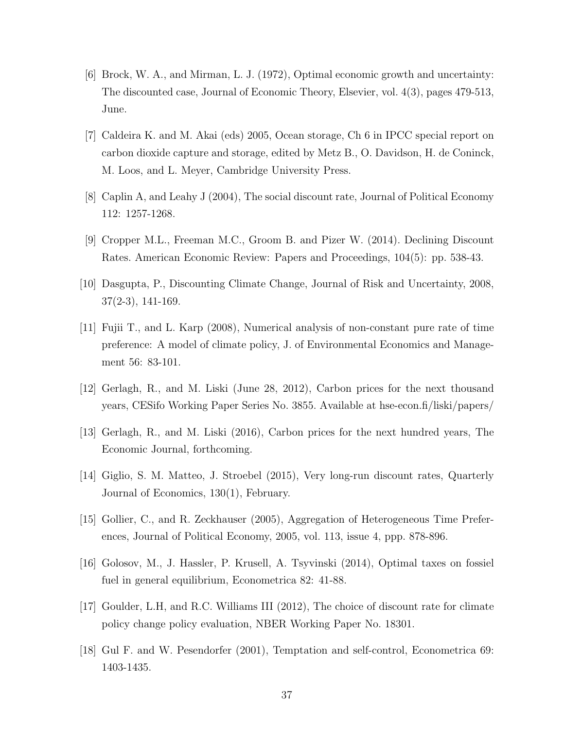- [6] Brock, W. A., and Mirman, L. J. (1972), Optimal economic growth and uncertainty: The discounted case, Journal of Economic Theory, Elsevier, vol. 4(3), pages 479-513, June.
- [7] Caldeira K. and M. Akai (eds) 2005, Ocean storage, Ch 6 in IPCC special report on carbon dioxide capture and storage, edited by Metz B., O. Davidson, H. de Coninck, M. Loos, and L. Meyer, Cambridge University Press.
- [8] Caplin A, and Leahy J (2004), The social discount rate, Journal of Political Economy 112: 1257-1268.
- [9] Cropper M.L., Freeman M.C., Groom B. and Pizer W. (2014). Declining Discount Rates. American Economic Review: Papers and Proceedings, 104(5): pp. 538-43.
- [10] Dasgupta, P., Discounting Climate Change, Journal of Risk and Uncertainty, 2008, 37(2-3), 141-169.
- [11] Fujii T., and L. Karp (2008), Numerical analysis of non-constant pure rate of time preference: A model of climate policy, J. of Environmental Economics and Management 56: 83-101.
- [12] Gerlagh, R., and M. Liski (June 28, 2012), Carbon prices for the next thousand years, CESifo Working Paper Series No. 3855. Available at hse-econ.fi/liski/papers/
- [13] Gerlagh, R., and M. Liski (2016), Carbon prices for the next hundred years, The Economic Journal, forthcoming.
- [14] Giglio, S. M. Matteo, J. Stroebel (2015), Very long-run discount rates, Quarterly Journal of Economics, 130(1), February.
- [15] Gollier, C., and R. Zeckhauser (2005), Aggregation of Heterogeneous Time Preferences, Journal of Political Economy, 2005, vol. 113, issue 4, ppp. 878-896.
- [16] Golosov, M., J. Hassler, P. Krusell, A. Tsyvinski (2014), Optimal taxes on fossiel fuel in general equilibrium, Econometrica 82: 41-88.
- [17] Goulder, L.H, and R.C. Williams III (2012), The choice of discount rate for climate policy change policy evaluation, NBER Working Paper No. 18301.
- [18] Gul F. and W. Pesendorfer (2001), Temptation and self-control, Econometrica 69: 1403-1435.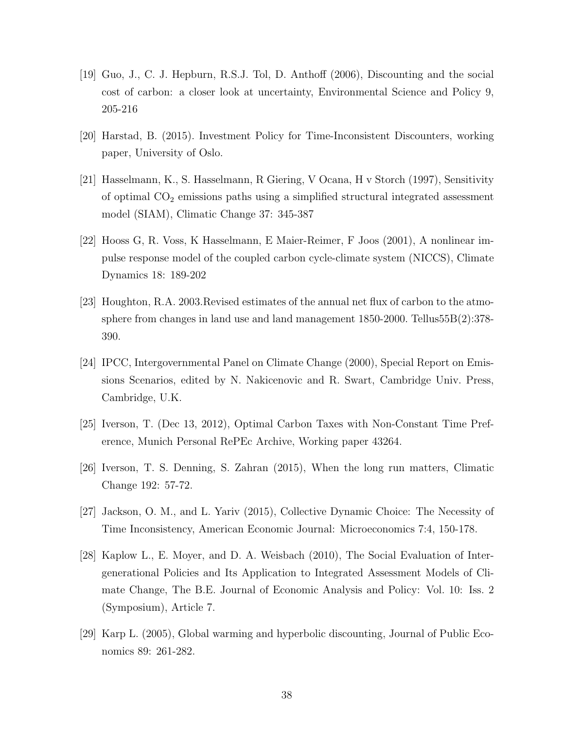- [19] Guo, J., C. J. Hepburn, R.S.J. Tol, D. Anthoff (2006), Discounting and the social cost of carbon: a closer look at uncertainty, Environmental Science and Policy 9, 205-216
- [20] Harstad, B. (2015). Investment Policy for Time-Inconsistent Discounters, working paper, University of Oslo.
- [21] Hasselmann, K., S. Hasselmann, R Giering, V Ocana, H v Storch (1997), Sensitivity of optimal  $CO<sub>2</sub>$  emissions paths using a simplified structural integrated assessment model (SIAM), Climatic Change 37: 345-387
- [22] Hooss G, R. Voss, K Hasselmann, E Maier-Reimer, F Joos (2001), A nonlinear impulse response model of the coupled carbon cycle-climate system (NICCS), Climate Dynamics 18: 189-202
- [23] Houghton, R.A. 2003.Revised estimates of the annual net flux of carbon to the atmosphere from changes in land use and land management 1850-2000. Tellus55B(2):378- 390.
- [24] IPCC, Intergovernmental Panel on Climate Change (2000), Special Report on Emissions Scenarios, edited by N. Nakicenovic and R. Swart, Cambridge Univ. Press, Cambridge, U.K.
- [25] Iverson, T. (Dec 13, 2012), Optimal Carbon Taxes with Non-Constant Time Preference, Munich Personal RePEc Archive, Working paper 43264.
- [26] Iverson, T. S. Denning, S. Zahran (2015), When the long run matters, Climatic Change 192: 57-72.
- [27] Jackson, O. M., and L. Yariv (2015), Collective Dynamic Choice: The Necessity of Time Inconsistency, American Economic Journal: Microeconomics 7:4, 150-178.
- [28] Kaplow L., E. Moyer, and D. A. Weisbach (2010), The Social Evaluation of Intergenerational Policies and Its Application to Integrated Assessment Models of Climate Change, The B.E. Journal of Economic Analysis and Policy: Vol. 10: Iss. 2 (Symposium), Article 7.
- [29] Karp L. (2005), Global warming and hyperbolic discounting, Journal of Public Economics 89: 261-282.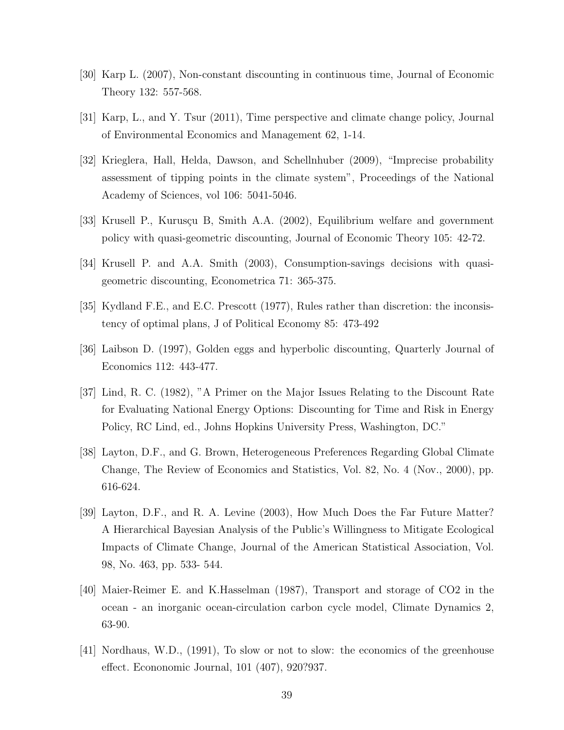- [30] Karp L. (2007), Non-constant discounting in continuous time, Journal of Economic Theory 132: 557-568.
- [31] Karp, L., and Y. Tsur (2011), Time perspective and climate change policy, Journal of Environmental Economics and Management 62, 1-14.
- [32] Krieglera, Hall, Helda, Dawson, and Schellnhuber (2009), "Imprecise probability assessment of tipping points in the climate system", Proceedings of the National Academy of Sciences, vol 106: 5041-5046.
- [33] Krusell P., Kurusçu B, Smith A.A. (2002), Equilibrium welfare and government policy with quasi-geometric discounting, Journal of Economic Theory 105: 42-72.
- [34] Krusell P. and A.A. Smith (2003), Consumption-savings decisions with quasigeometric discounting, Econometrica 71: 365-375.
- [35] Kydland F.E., and E.C. Prescott (1977), Rules rather than discretion: the inconsistency of optimal plans, J of Political Economy 85: 473-492
- [36] Laibson D. (1997), Golden eggs and hyperbolic discounting, Quarterly Journal of Economics 112: 443-477.
- [37] Lind, R. C. (1982), "A Primer on the Major Issues Relating to the Discount Rate for Evaluating National Energy Options: Discounting for Time and Risk in Energy Policy, RC Lind, ed., Johns Hopkins University Press, Washington, DC."
- [38] Layton, D.F., and G. Brown, Heterogeneous Preferences Regarding Global Climate Change, The Review of Economics and Statistics, Vol. 82, No. 4 (Nov., 2000), pp. 616-624.
- [39] Layton, D.F., and R. A. Levine (2003), How Much Does the Far Future Matter? A Hierarchical Bayesian Analysis of the Public's Willingness to Mitigate Ecological Impacts of Climate Change, Journal of the American Statistical Association, Vol. 98, No. 463, pp. 533- 544.
- [40] Maier-Reimer E. and K.Hasselman (1987), Transport and storage of CO2 in the ocean - an inorganic ocean-circulation carbon cycle model, Climate Dynamics 2, 63-90.
- [41] Nordhaus, W.D., (1991), To slow or not to slow: the economics of the greenhouse effect. Econonomic Journal, 101 (407), 920?937.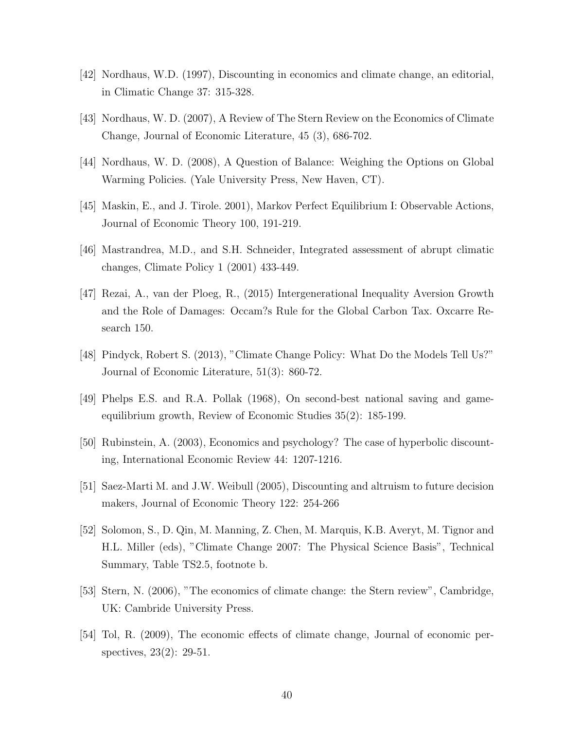- [42] Nordhaus, W.D. (1997), Discounting in economics and climate change, an editorial, in Climatic Change 37: 315-328.
- [43] Nordhaus, W. D. (2007), A Review of The Stern Review on the Economics of Climate Change, Journal of Economic Literature, 45 (3), 686-702.
- [44] Nordhaus, W. D. (2008), A Question of Balance: Weighing the Options on Global Warming Policies. (Yale University Press, New Haven, CT).
- [45] Maskin, E., and J. Tirole. 2001), Markov Perfect Equilibrium I: Observable Actions, Journal of Economic Theory 100, 191-219.
- [46] Mastrandrea, M.D., and S.H. Schneider, Integrated assessment of abrupt climatic changes, Climate Policy 1 (2001) 433-449.
- [47] Rezai, A., van der Ploeg, R., (2015) Intergenerational Inequality Aversion Growth and the Role of Damages: Occam?s Rule for the Global Carbon Tax. Oxcarre Research 150.
- [48] Pindyck, Robert S. (2013), "Climate Change Policy: What Do the Models Tell Us?" Journal of Economic Literature, 51(3): 860-72.
- [49] Phelps E.S. and R.A. Pollak (1968), On second-best national saving and gameequilibrium growth, Review of Economic Studies 35(2): 185-199.
- [50] Rubinstein, A. (2003), Economics and psychology? The case of hyperbolic discounting, International Economic Review 44: 1207-1216.
- [51] Saez-Marti M. and J.W. Weibull (2005), Discounting and altruism to future decision makers, Journal of Economic Theory 122: 254-266
- [52] Solomon, S., D. Qin, M. Manning, Z. Chen, M. Marquis, K.B. Averyt, M. Tignor and H.L. Miller (eds), "Climate Change 2007: The Physical Science Basis", Technical Summary, Table TS2.5, footnote b.
- [53] Stern, N. (2006), "The economics of climate change: the Stern review", Cambridge, UK: Cambride University Press.
- [54] Tol, R. (2009), The economic effects of climate change, Journal of economic perspectives, 23(2): 29-51.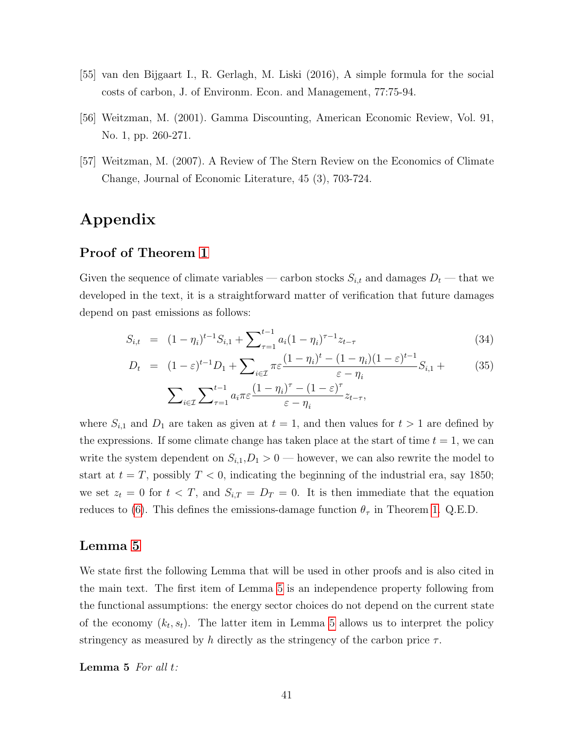- [55] van den Bijgaart I., R. Gerlagh, M. Liski (2016), A simple formula for the social costs of carbon, J. of Environm. Econ. and Management, 77:75-94.
- [56] Weitzman, M. (2001). Gamma Discounting, American Economic Review, Vol. 91, No. 1, pp. 260-271.
- [57] Weitzman, M. (2007). A Review of The Stern Review on the Economics of Climate Change, Journal of Economic Literature, 45 (3), 703-724.

## Appendix

#### Proof of Theorem [1](#page-11-5)

Given the sequence of climate variables — carbon stocks  $S_{i,t}$  and damages  $D_t$  — that we developed in the text, it is a straightforward matter of verification that future damages depend on past emissions as follows:

$$
S_{i,t} = (1 - \eta_i)^{t-1} S_{i,1} + \sum_{\tau=1}^{t-1} a_i (1 - \eta_i)^{\tau-1} z_{t-\tau}
$$
\n(34)

$$
D_t = (1 - \varepsilon)^{t-1} D_1 + \sum_{i \in \mathcal{I}} \pi \varepsilon \frac{(1 - \eta_i)^t - (1 - \eta_i)(1 - \varepsilon)^{t-1}}{\varepsilon - \eta_i} S_{i,1} + \sum_{i \in \mathcal{I}} \sum_{\tau=1}^{t-1} a_i \pi \varepsilon \frac{(1 - \eta_i)^{\tau} - (1 - \varepsilon)^{\tau}}{\varepsilon - \eta_i} z_{t-\tau},
$$
\n(35)

where  $S_{i,1}$  and  $D_1$  are taken as given at  $t = 1$ , and then values for  $t > 1$  are defined by the expressions. If some climate change has taken place at the start of time  $t = 1$ , we can write the system dependent on  $S_{i,1}, D_1 > 0$  — however, we can also rewrite the model to start at  $t = T$ , possibly  $T < 0$ , indicating the beginning of the industrial era, say 1850; we set  $z_t = 0$  for  $t < T$ , and  $S_{i,T} = D_T = 0$ . It is then immediate that the equation reduces to [\(6\)](#page-6-3). This defines the emissions-damage function  $\theta_{\tau}$  in Theorem [1.](#page-11-5) Q.E.D.

#### Lemma [5](#page-40-0)

We state first the following Lemma that will be used in other proofs and is also cited in the main text. The first item of Lemma [5](#page-40-0) is an independence property following from the functional assumptions: the energy sector choices do not depend on the current state of the economy  $(k_t, s_t)$ . The latter item in Lemma [5](#page-40-0) allows us to interpret the policy stringency as measured by h directly as the stringency of the carbon price  $\tau$ .

<span id="page-40-0"></span>Lemma 5 For all t: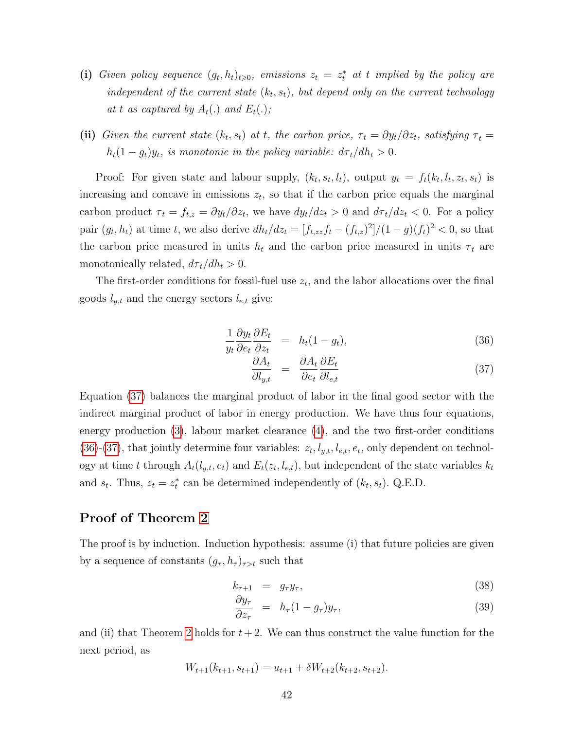- (i) Given policy sequence  $(g_t, h_t)_{t \geqslant 0}$ , emissions  $z_t = z_t^*$  at t implied by the policy are independent of the current state  $(k_t, s_t)$ , but depend only on the current technology at t as captured by  $A_t(.)$  and  $E_t(.)$ ;
- (ii) Given the current state  $(k_t, s_t)$  at t, the carbon price,  $\tau_t = \partial y_t / \partial z_t$ , satisfying  $\tau_t =$  $h_t(1-g_t)y_t$ , is monotonic in the policy variable:  $d\tau_t/dh_t > 0$ .

Proof: For given state and labour supply,  $(k_t, s_t, l_t)$ , output  $y_t = f_t(k_t, l_t, z_t, s_t)$  is increasing and concave in emissions  $z_t$ , so that if the carbon price equals the marginal carbon product  $\tau_t = f_{t,z} = \partial y_t / \partial z_t$ , we have  $dy_t / dz_t > 0$  and  $d\tau_t / dz_t < 0$ . For a policy pair  $(g_t, h_t)$  at time t, we also derive  $dh_t/dz_t = [f_{t,zz}f_t - (f_{t,z})^2]/(1-g)(f_t)^2 < 0$ , so that the carbon price measured in units  $h_t$  and the carbon price measured in units  $\tau_t$  are monotonically related,  $d\tau_t/dh_t > 0$ .

The first-order conditions for fossil-fuel use  $z_t$ , and the labor allocations over the final goods  $l_{y,t}$  and the energy sectors  $l_{e,t}$  give:

<span id="page-41-0"></span>
$$
\frac{1}{y_t} \frac{\partial y_t}{\partial e_t} \frac{\partial E_t}{\partial z_t} = h_t (1 - g_t), \tag{36}
$$

$$
\frac{\partial A_t}{\partial l_{y,t}} = \frac{\partial A_t}{\partial e_t} \frac{\partial E_t}{\partial l_{e,t}} \tag{37}
$$

Equation [\(37\)](#page-41-0) balances the marginal product of labor in the final good sector with the indirect marginal product of labor in energy production. We have thus four equations, energy production [\(3\)](#page-6-3), labour market clearance [\(4\)](#page-6-3), and the two first-order conditions [\(36\)](#page-41-0)-[\(37\)](#page-41-0), that jointly determine four variables:  $z_t, l_{y,t}, l_{e,t}, e_t$ , only dependent on technology at time t through  $A_t(l_{y,t}, e_t)$  and  $E_t(z_t, l_{e,t})$ , but independent of the state variables  $k_t$ and  $s_t$ . Thus,  $z_t = z_t^*$  can be determined independently of  $(k_t, s_t)$ . Q.E.D.

#### Proof of Theorem [2](#page-14-1)

The proof is by induction. Induction hypothesis: assume (i) that future policies are given by a sequence of constants  $(g_{\tau}, h_{\tau})_{\tau>t}$  such that

<span id="page-41-1"></span>
$$
k_{\tau+1} = g_{\tau} y_{\tau}, \qquad (38)
$$

$$
\frac{\partial y_{\tau}}{\partial z_{\tau}} = h_{\tau} (1 - g_{\tau}) y_{\tau}, \qquad (39)
$$

and (ii) that Theorem [2](#page-14-1) holds for  $t + 2$ . We can thus construct the value function for the next period, as

$$
W_{t+1}(k_{t+1}, s_{t+1}) = u_{t+1} + \delta W_{t+2}(k_{t+2}, s_{t+2}).
$$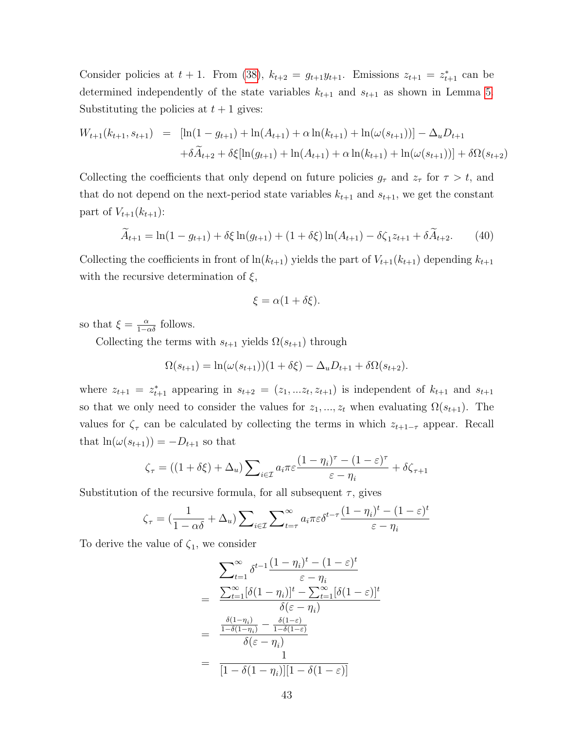Consider policies at  $t + 1$ . From [\(38\)](#page-41-1),  $k_{t+2} = g_{t+1}y_{t+1}$ . Emissions  $z_{t+1} = z_{t+1}^*$  can be determined independently of the state variables  $k_{t+1}$  and  $s_{t+1}$  as shown in Lemma [5.](#page-40-0) Substituting the policies at  $t + 1$  gives:

$$
W_{t+1}(k_{t+1}, s_{t+1}) = [\ln(1 - g_{t+1}) + \ln(A_{t+1}) + \alpha \ln(k_{t+1}) + \ln(\omega(s_{t+1}))] - \Delta_u D_{t+1}
$$
  
+  $\delta \widetilde{A}_{t+2} + \delta \xi [\ln(g_{t+1}) + \ln(A_{t+1}) + \alpha \ln(k_{t+1}) + \ln(\omega(s_{t+1}))] + \delta \Omega(s_{t+2})$ 

Collecting the coefficients that only depend on future policies  $g_{\tau}$  and  $z_{\tau}$  for  $\tau > t$ , and that do not depend on the next-period state variables  $k_{t+1}$  and  $s_{t+1}$ , we get the constant part of  $V_{t+1}(k_{t+1})$ :

<span id="page-42-0"></span>
$$
\widetilde{A}_{t+1} = \ln(1 - g_{t+1}) + \delta \xi \ln(g_{t+1}) + (1 + \delta \xi) \ln(A_{t+1}) - \delta \zeta_1 z_{t+1} + \delta \widetilde{A}_{t+2}.
$$
 (40)

Collecting the coefficients in front of  $\ln(k_{t+1})$  yields the part of  $V_{t+1}(k_{t+1})$  depending  $k_{t+1}$ with the recursive determination of  $\xi$ ,

$$
\xi = \alpha(1 + \delta\xi).
$$

so that  $\xi = \frac{\alpha}{1 - \alpha \delta}$  follows.

Collecting the terms with  $s_{t+1}$  yields  $\Omega(s_{t+1})$  through

$$
\Omega(s_{t+1}) = \ln(\omega(s_{t+1}))(1 + \delta \xi) - \Delta_u D_{t+1} + \delta \Omega(s_{t+2}).
$$

where  $z_{t+1} = z_{t+1}^*$  appearing in  $s_{t+2} = (z_1, \ldots z_t, z_{t+1})$  is independent of  $k_{t+1}$  and  $s_{t+1}$ so that we only need to consider the values for  $z_1, ..., z_t$  when evaluating  $\Omega(s_{t+1})$ . The values for  $\zeta_{\tau}$  can be calculated by collecting the terms in which  $z_{t+1-\tau}$  appear. Recall that  $\ln(\omega(s_{t+1})) = -D_{t+1}$  so that

$$
\zeta_{\tau} = ((1 + \delta \xi) + \Delta_u) \sum_{i \in \mathcal{I}} a_i \pi \varepsilon \frac{(1 - \eta_i)^{\tau} - (1 - \varepsilon)^{\tau}}{\varepsilon - \eta_i} + \delta \zeta_{\tau+1}
$$

Substitution of the recursive formula, for all subsequent  $\tau$ , gives

$$
\zeta_{\tau} = \left(\frac{1}{1-\alpha\delta} + \Delta_u\right) \sum_{i \in \mathcal{I}} \sum_{t=\tau}^{\infty} a_i \pi \varepsilon \delta^{t-\tau} \frac{(1-\eta_i)^t - (1-\varepsilon)^t}{\varepsilon - \eta_i}
$$

To derive the value of  $\zeta_1$ , we consider

$$
\sum_{t=1}^{\infty} \delta^{t-1} \frac{(1-\eta_i)^t - (1-\varepsilon)^t}{\varepsilon - \eta_i}
$$
\n
$$
= \frac{\sum_{t=1}^{\infty} [\delta(1-\eta_i)]^t - \sum_{t=1}^{\infty} [\delta(1-\varepsilon)]^t}{\delta(\varepsilon - \eta_i)}
$$
\n
$$
= \frac{\frac{\delta(1-\eta_i)}{1-\delta(1-\eta_i)} - \frac{\delta(1-\varepsilon)}{1-\delta(1-\varepsilon)}}{\delta(\varepsilon - \eta_i)}
$$
\n
$$
= \frac{1}{[1-\delta(1-\eta_i)][1-\delta(1-\varepsilon)]}
$$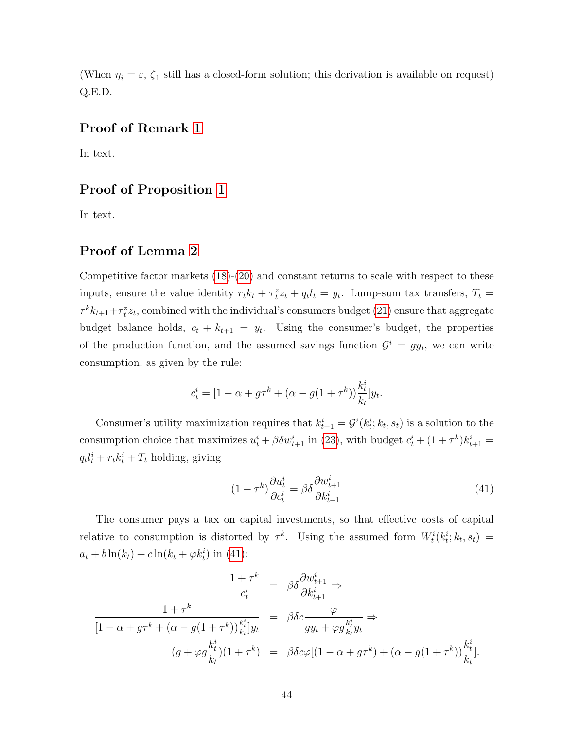(When  $\eta_i = \varepsilon$ ,  $\zeta_1$  still has a closed-form solution; this derivation is available on request) Q.E.D.

#### Proof of Remark [1](#page-14-2)

In text.

#### Proof of Proposition [1](#page-16-2)

In text.

#### Proof of Lemma [2](#page-19-0)

Competitive factor markets [\(18\)](#page-18-3)-[\(20\)](#page-18-1) and constant returns to scale with respect to these inputs, ensure the value identity  $r_t k_t + \tau_t^z z_t + q_t l_t = y_t$ . Lump-sum tax transfers,  $T_t =$  $\tau^k k_{t+1} + \tau_t^z z_t$ , combined with the individual's consumers budget [\(21\)](#page-18-6) ensure that aggregate budget balance holds,  $c_t + k_{t+1} = y_t$ . Using the consumer's budget, the properties of the production function, and the assumed savings function  $\mathcal{G}^i = gy_t$ , we can write consumption, as given by the rule:

$$
c_t^i = [1 - \alpha + g\tau^k + (\alpha - g(1 + \tau^k))\frac{k_t^i}{k_t}]y_t.
$$

Consumer's utility maximization requires that  $k_{t+1}^i = \mathcal{G}^i(k_t^i; k_t, s_t)$  is a solution to the consumption choice that maximizes  $u_t^i + \beta \delta w_{t+1}^i$  in [\(23\)](#page-18-7), with budget  $c_t^i + (1 + \tau^k) k_{t+1}^i =$  $q_t l_t^i + r_t k_t^i + T_t$  holding, giving

<span id="page-43-0"></span>
$$
(1+\tau^k)\frac{\partial u_t^i}{\partial c_t^i} = \beta \delta \frac{\partial w_{t+1}^i}{\partial k_{t+1}^i}
$$
\n(41)

The consumer pays a tax on capital investments, so that effective costs of capital relative to consumption is distorted by  $\tau^k$ . Using the assumed form  $W_t^i(k_t^i; k_t, s_t) =$  $a_t + b \ln(k_t) + c \ln(k_t + \varphi k_t^i)$  in [\(41\)](#page-43-0):

$$
\frac{1+\tau^k}{c_t^i} = \beta \delta \frac{\partial w_{t+1}^i}{\partial k_{t+1}^i} \Rightarrow
$$
\n
$$
\frac{1+\tau^k}{[1-\alpha+g\tau^k+(\alpha-g(1+\tau^k))\frac{k_t^i}{k_t}]y_t} = \beta \delta c \frac{\varphi}{gy_t+\varphi g \frac{k_t^i}{k_t}y_t} \Rightarrow
$$
\n
$$
(g+\varphi g \frac{k_t^i}{k_t})(1+\tau^k) = \beta \delta c \varphi [(1-\alpha+g\tau^k)+(\alpha-g(1+\tau^k))\frac{k_t^i}{k_t}].
$$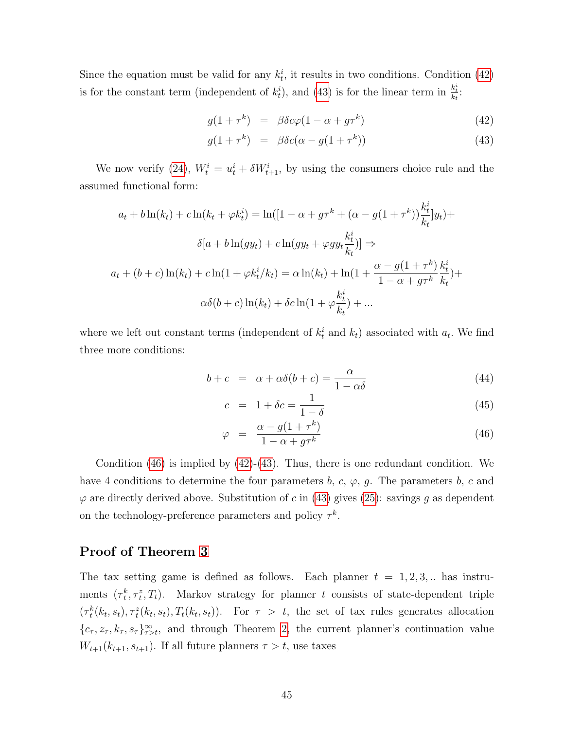Since the equation must be valid for any  $k_t^i$ , it results in two conditions. Condition [\(42\)](#page-44-0) is for the constant term (independent of  $k_t^i$ ), and [\(43\)](#page-44-0) is for the linear term in  $\frac{k_t^i}{k_t}$ .

<span id="page-44-0"></span>
$$
g(1 + \tau^k) = \beta \delta c \varphi (1 - \alpha + g \tau^k) \tag{42}
$$

$$
g(1+\tau^k) = \beta \delta c(\alpha - g(1+\tau^k)) \tag{43}
$$

We now verify [\(24\)](#page-18-8),  $W_t^i = u_t^i + \delta W_{t+1}^i$ , by using the consumers choice rule and the assumed functional form:

$$
a_t + b \ln(k_t) + c \ln(k_t + \varphi k_t^i) = \ln([1 - \alpha + g\tau^k + (\alpha - g(1 + \tau^k))\frac{k_t^i}{k_t}]y_t) +
$$
  

$$
\delta[a + b \ln(gy_t) + c \ln(gy_t + \varphi gy_t \frac{k_t^i}{k_t})] \Rightarrow
$$
  

$$
a_t + (b + c) \ln(k_t) + c \ln(1 + \varphi k_t^i / k_t) = \alpha \ln(k_t) + \ln(1 + \frac{\alpha - g(1 + \tau^k)}{1 - \alpha + g\tau^k} \frac{k_t^i}{k_t}) +
$$
  

$$
\alpha \delta(b + c) \ln(k_t) + \delta c \ln(1 + \varphi \frac{k_t^i}{k_t}) + ...
$$

where we left out constant terms (independent of  $k_t^i$  and  $k_t$ ) associated with  $a_t$ . We find three more conditions:

<span id="page-44-1"></span>
$$
b + c = \alpha + \alpha \delta(b + c) = \frac{\alpha}{1 - \alpha \delta} \tag{44}
$$

$$
c = 1 + \delta c = \frac{1}{1 - \delta} \tag{45}
$$

$$
\varphi = \frac{\alpha - g(1 + \tau^k)}{1 - \alpha + g\tau^k} \tag{46}
$$

Condition [\(46\)](#page-44-1) is implied by [\(42\)](#page-44-0)-[\(43\)](#page-44-0). Thus, there is one redundant condition. We have 4 conditions to determine the four parameters b, c,  $\varphi$ , g. The parameters b, c and  $\varphi$  are directly derived above. Substitution of c in [\(43\)](#page-44-0) gives [\(25\)](#page-19-1): savings g as dependent on the technology-preference parameters and policy  $\tau^k$ .

### Proof of Theorem [3](#page-20-1)

The tax setting game is defined as follows. Each planner  $t = 1, 2, 3, ...$  has instruments  $(\tau_t^k, \tau_t^z, T_t)$ . Markov strategy for planner t consists of state-dependent triple  $(\tau_t^k(k_t, s_t), \tau_t^k(k_t, s_t), T_t(k_t, s_t))$ . For  $\tau > t$ , the set of tax rules generates allocation  $\{c_\tau, z_\tau, k_\tau, s_\tau\}_{\tau>t}^\infty$ , and through Theorem [2,](#page-14-1) the current planner's continuation value  $W_{t+1}(k_{t+1}, s_{t+1})$ . If all future planners  $\tau > t$ , use taxes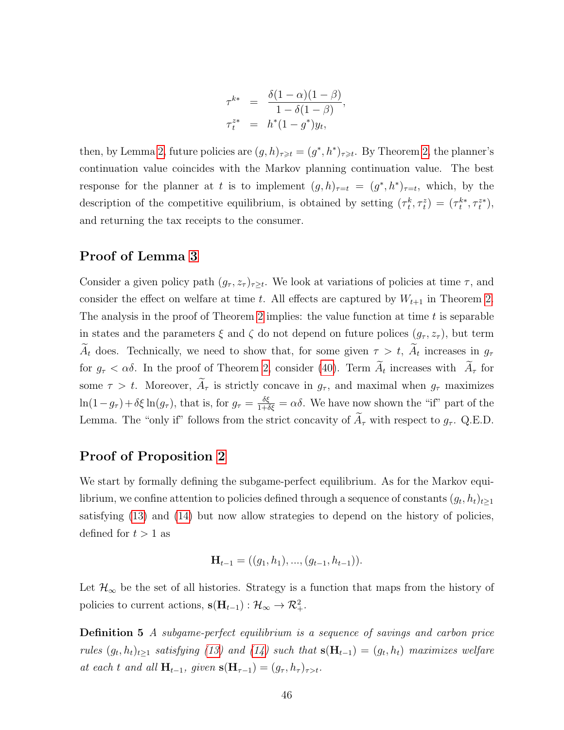$$
\tau^{k*} = \frac{\delta(1-\alpha)(1-\beta)}{1-\delta(1-\beta)}, \n\tau^{z*} = h^*(1-g^*)y_t,
$$

then, by Lemma [2,](#page-14-1) future policies are  $(g,h)_{\tau\geq t} = (g^*,h^*)_{\tau\geq t}$ . By Theorem 2, the planner's continuation value coincides with the Markov planning continuation value. The best response for the planner at t is to implement  $(g,h)_{\tau=t} = (g^*, h^*)_{\tau=t}$ , which, by the description of the competitive equilibrium, is obtained by setting  $(\tau_t^k, \tau_t^z) = (\tau_t^{k*}, \tau_t^{z*})$ , and returning the tax receipts to the consumer.

#### Proof of Lemma [3](#page-20-0)

Consider a given policy path  $(g_{\tau}, z_{\tau})_{\tau \geq t}$ . We look at variations of policies at time  $\tau$ , and consider the effect on welfare at time t. All effects are captured by  $W_{t+1}$  in Theorem [2.](#page-14-1) The analysis in the proof of Theorem [2](#page-14-1) implies: the value function at time  $t$  is separable in states and the parameters  $\xi$  and  $\zeta$  do not depend on future polices  $(g_\tau, z_\tau)$ , but term  $A_t$  does. Technically, we need to show that, for some given  $\tau > t$ ,  $A_t$  increases in  $g_{\tau}$ for  $g_{\tau} < \alpha \delta$ . In the proof of Theorem [2,](#page-14-1) consider [\(40\)](#page-42-0). Term  $A_t$  increases with  $A_{\tau}$  for some  $\tau > t$ . Moreover,  $A_{\tau}$  is strictly concave in  $g_{\tau}$ , and maximal when  $g_{\tau}$  maximizes  $\ln(1-g_{\tau})+\delta\xi\ln(g_{\tau})$ , that is, for  $g_{\tau}=\frac{\delta\xi}{1+\delta\xi}=\alpha\delta$ . We have now shown the "if" part of the Lemma. The "only if" follows from the strict concavity of  $\widetilde{A}_{\tau}$  with respect to  $g_{\tau}$ . Q.E.D.

#### Proof of Proposition [2](#page-21-2)

We start by formally defining the subgame-perfect equilibrium. As for the Markov equilibrium, we confine attention to policies defined through a sequence of constants  $(g_t, h_t)_{t\geq 1}$ satisfying [\(13\)](#page-13-1) and [\(14\)](#page-13-2) but now allow strategies to depend on the history of policies, defined for  $t > 1$  as

$$
\mathbf{H}_{t-1} = ((g_1, h_1), ..., (g_{t-1}, h_{t-1})).
$$

Let  $\mathcal{H}_{\infty}$  be the set of all histories. Strategy is a function that maps from the history of policies to current actions,  $\mathbf{s}(\mathbf{H}_{t-1}): \mathcal{H}_{\infty} \to \mathcal{R}^2_+$ .

Definition 5 A subgame-perfect equilibrium is a sequence of savings and carbon price rules  $(g_t, h_t)_{t\geq 1}$  satisfying [\(13\)](#page-13-1) and [\(14\)](#page-13-2) such that  $s(H_{t-1}) = (g_t, h_t)$  maximizes welfare at each t and all  $\mathbf{H}_{t-1}$ , given  $\mathbf{s}(\mathbf{H}_{\tau-1}) = (g_{\tau}, h_{\tau})_{\tau>t}$ .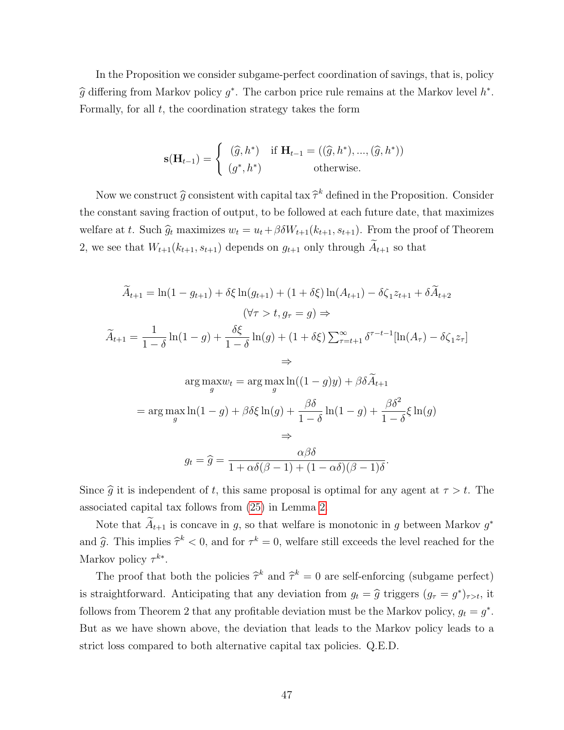In the Proposition we consider subgame-perfect coordination of savings, that is, policy  $\hat{g}$  differing from Markov policy  $g^*$ . The carbon price rule remains at the Markov level  $h^*$ . Formally, for all  $t$ , the coordination strategy takes the form

$$
\mathbf{s}(\mathbf{H}_{t-1}) = \begin{cases} (\widehat{g}, h^*) & \text{if } \mathbf{H}_{t-1} = ((\widehat{g}, h^*), ..., (\widehat{g}, h^*)) \\ (g^*, h^*) & \text{otherwise.} \end{cases}
$$

Now we construct  $\hat{g}$  consistent with capital tax  $\hat{\tau}^k$  defined in the Proposition. Consider the constant saving fraction of output, to be followed at each future date, that maximizes welfare at t. Such  $\hat{g}_t$  maximizes  $w_t = u_t + \beta \delta W_{t+1}(k_{t+1}, s_{t+1})$ . From the proof of Theorem 2, we see that  $W_{t+1}(k_{t+1}, s_{t+1})$  depends on  $g_{t+1}$  only through  $\widetilde{A}_{t+1}$  so that

$$
\widetilde{A}_{t+1} = \ln(1 - g_{t+1}) + \delta \xi \ln(g_{t+1}) + (1 + \delta \xi) \ln(A_{t+1}) - \delta \zeta_1 z_{t+1} + \delta \widetilde{A}_{t+2}
$$
\n
$$
(\forall \tau > t, g_{\tau} = g) \Rightarrow
$$
\n
$$
\widetilde{A}_{t+1} = \frac{1}{1 - \delta} \ln(1 - g) + \frac{\delta \xi}{1 - \delta} \ln(g) + (1 + \delta \xi) \sum_{\tau = t+1}^{\infty} \delta^{\tau - t - 1} [\ln(A_{\tau}) - \delta \zeta_1 z_{\tau}]
$$
\n
$$
\Rightarrow
$$
\n
$$
\arg \max_{g} w_t = \arg \max_{g} \ln((1 - g)g) + \beta \delta \widetilde{A}_{t+1}
$$
\n
$$
= \arg \max_{g} \ln(1 - g) + \beta \delta \xi \ln(g) + \frac{\beta \delta}{1 - \delta} \ln(1 - g) + \frac{\beta \delta^2}{1 - \delta} \xi \ln(g)
$$
\n
$$
\Rightarrow
$$
\n
$$
g_t = \widehat{g} = \frac{\alpha \beta \delta}{1 + \alpha \delta(\beta - 1) + (1 - \alpha \delta)(\beta - 1)\delta}.
$$

Since  $\hat{g}$  it is independent of t, this same proposal is optimal for any agent at  $\tau > t$ . The associated capital tax follows from [\(25\)](#page-19-1) in Lemma [2.](#page-19-0)

Note that  $A_{t+1}$  is concave in g, so that welfare is monotonic in g between Markov  $g^*$ and  $\hat{g}$ . This implies  $\hat{\tau}^k < 0$ , and for  $\tau^k = 0$ , welfare still exceeds the level reached for the Markov policy  $\tau^{k*}$ .

The proof that both the policies  $\hat{\tau}^k$  and  $\hat{\tau}^k = 0$  are self-enforcing (subgame perfect) is straightforward. Anticipating that any deviation from  $g_t = \hat{g}$  triggers  $(g_\tau = g^*)_{\tau > t}$ , it follows from Theorem 2 that any profitable deviation must be the Markov policy,  $g_t = g^*$ . But as we have shown above, the deviation that leads to the Markov policy leads to a strict loss compared to both alternative capital tax policies. Q.E.D.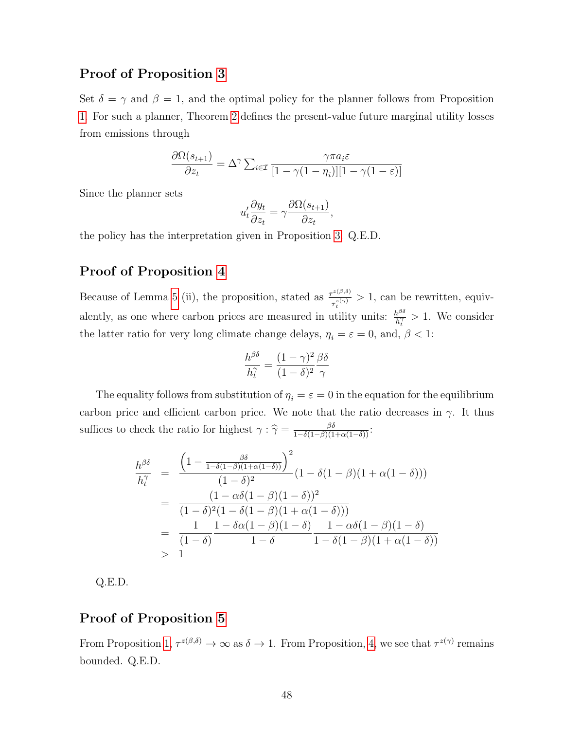#### Proof of Proposition [3](#page-22-0)

Set  $\delta = \gamma$  and  $\beta = 1$ , and the optimal policy for the planner follows from Proposition [1.](#page-16-2) For such a planner, Theorem [2](#page-14-1) defines the present-value future marginal utility losses from emissions through

$$
\frac{\partial \Omega(s_{t+1})}{\partial z_t} = \Delta^{\gamma} \sum_{i \in \mathcal{I}} \frac{\gamma \pi a_i \varepsilon}{[1 - \gamma (1 - \eta_i)][1 - \gamma (1 - \varepsilon)]}
$$

Since the planner sets

$$
u'_t \frac{\partial y_t}{\partial z_t} = \gamma \frac{\partial \Omega(s_{t+1})}{\partial z_t},
$$

the policy has the interpretation given in Proposition [3.](#page-22-0) Q.E.D.

## Proof of Proposition [4](#page-23-0)

Because of Lemma [5](#page-40-0) (ii), the proposition, stated as  $\frac{\tau^{z(\beta,\delta)}}{z(\gamma)}$  $\tau_i^{(z(\rho,\theta))} > 1$ , can be rewritten, equivalently, as one where carbon prices are measured in utility units:  $h^{\beta\delta}$  $\frac{h^{\rho o}}{h_t^{\gamma}} > 1$ . We consider the latter ratio for very long climate change delays,  $\eta_i = \varepsilon = 0$ , and,  $\beta < 1$ :

$$
\frac{h^{\beta\delta}}{h_t^{\gamma}} = \frac{(1-\gamma)^2}{(1-\delta)^2} \frac{\beta\delta}{\gamma}
$$

The equality follows from substitution of  $\eta_i = \varepsilon = 0$  in the equation for the equilibrium carbon price and efficient carbon price. We note that the ratio decreases in  $\gamma$ . It thus suffices to check the ratio for highest  $\gamma : \hat{\gamma} = \frac{\beta \delta}{1 - \delta(1 - \beta)(1 + \alpha(1 - \delta))}$ :

$$
\frac{h^{\beta\delta}}{h_t^{\gamma}} = \frac{\left(1 - \frac{\beta\delta}{1 - \delta(1 - \beta)(1 + \alpha(1 - \delta))}\right)^2}{(1 - \delta)^2} (1 - \delta(1 - \beta)(1 + \alpha(1 - \delta)))
$$

$$
= \frac{(1 - \alpha\delta(1 - \beta)(1 - \delta))^2}{(1 - \delta)^2 (1 - \delta(1 - \beta)(1 + \alpha(1 - \delta)))}
$$

$$
= \frac{1}{(1 - \delta)} \frac{1 - \delta\alpha(1 - \beta)(1 - \delta)}{1 - \delta} \frac{1 - \alpha\delta(1 - \beta)(1 - \delta)}{1 - \delta(1 - \beta)(1 + \alpha(1 - \delta))}
$$

$$
> 1
$$

Q.E.D.

#### Proof of Proposition [5](#page-23-3)

From Proposition [1,](#page-16-2)  $\tau^{z(\beta,\delta)} \to \infty$  as  $\delta \to 1$ . From Proposition, [4,](#page-23-0) we see that  $\tau^{z(\gamma)}$  remains bounded. Q.E.D.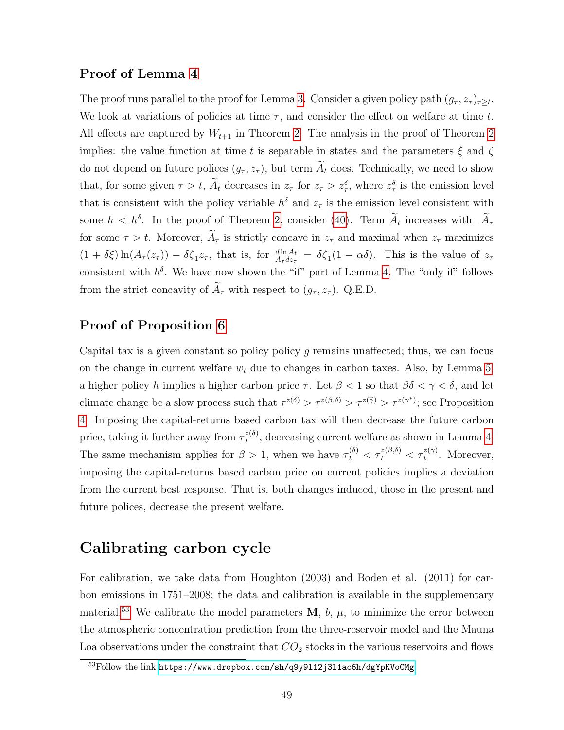#### Proof of Lemma [4](#page-24-0)

The proof runs parallel to the proof for Lemma [3.](#page-20-0) Consider a given policy path  $(g_{\tau}, z_{\tau})_{\tau \geq t}$ . We look at variations of policies at time  $\tau$ , and consider the effect on welfare at time t. All effects are captured by  $W_{t+1}$  in Theorem [2.](#page-14-1) The analysis in the proof of Theorem [2](#page-14-1) implies: the value function at time t is separable in states and the parameters  $\xi$  and  $\zeta$ do not depend on future polices  $(g_{\tau}, z_{\tau})$ , but term  $\widetilde{A}_t$  does. Technically, we need to show that, for some given  $\tau > t$ ,  $\overline{A}_t$  decreases in  $z_\tau$  for  $z_\tau > z_\tau$ , where  $z_\tau$  is the emission level that is consistent with the policy variable  $h^{\delta}$  and  $z_{\tau}$  is the emission level consistent with some  $h < h^{\delta}$ . In the proof of Theorem [2,](#page-14-1) consider [\(40\)](#page-42-0). Term  $A_t$  increases with  $A_{\tau}$ for some  $\tau > t$ . Moreover,  $\tilde{A}_{\tau}$  is strictly concave in  $z_{\tau}$  and maximal when  $z_{\tau}$  maximizes  $(1 + \delta \xi) \ln(A_\tau(z_\tau)) - \delta \zeta_1 z_\tau$ , that is, for  $\frac{d \ln A_t}{A_\tau dz_\tau} = \delta \zeta_1 (1 - \alpha \delta)$ . This is the value of  $z_\tau$ consistent with  $h^{\delta}$ . We have now shown the "if" part of Lemma [4.](#page-24-0) The "only if" follows from the strict concavity of  $\widetilde{A}_{\tau}$  with respect to  $(g_{\tau}, z_{\tau})$ . Q.E.D.

## Proof of Proposition [6](#page-24-1)

Capital tax is a given constant so policy policy g remains unaffected; thus, we can focus on the change in current welfare  $w_t$  due to changes in carbon taxes. Also, by Lemma [5,](#page-40-0) a higher policy h implies a higher carbon price  $\tau$ . Let  $\beta < 1$  so that  $\beta \delta < \gamma < \delta$ , and let climate change be a slow process such that  $\tau^{z(\delta)} > \tau^{z(\beta,\delta)} > \tau^{z(\hat{\gamma})} > \tau^{z(\gamma^*)}$ ; see Proposition [4.](#page-23-0) Imposing the capital-returns based carbon tax will then decrease the future carbon price, taking it further away from  $\tau_t^{z(\delta)}$  $t^{(8)}$ , decreasing current welfare as shown in Lemma [4.](#page-24-0) The same mechanism applies for  $\beta > 1$ , when we have  $\tau_t^{(\delta)} < \tau_t^{z(\beta,\delta)} < \tau_t^{z(\gamma)}$ . Moreover, imposing the capital-returns based carbon price on current policies implies a deviation from the current best response. That is, both changes induced, those in the present and future polices, decrease the present welfare.

## Calibrating carbon cycle

For calibration, we take data from Houghton (2003) and Boden et al. (2011) for carbon emissions in 1751–2008; the data and calibration is available in the supplementary material.<sup>[53](#page-48-0)</sup> We calibrate the model parameters  $M$ ,  $b$ ,  $\mu$ , to minimize the error between the atmospheric concentration prediction from the three-reservoir model and the Mauna Loa observations under the constraint that  $CO<sub>2</sub>$  stocks in the various reservoirs and flows

<span id="page-48-0"></span><sup>53</sup>Follow the link <https://www.dropbox.com/sh/q9y9l12j3l1ac6h/dgYpKVoCMg>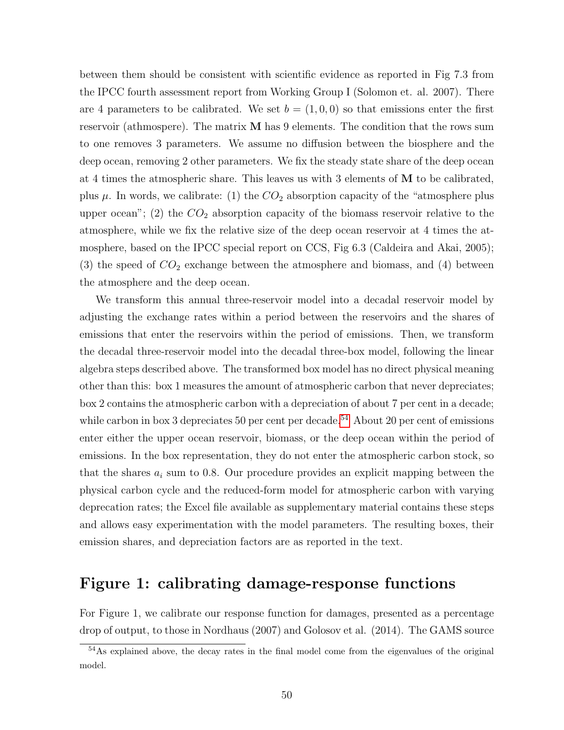between them should be consistent with scientific evidence as reported in Fig 7.3 from the IPCC fourth assessment report from Working Group I (Solomon et. al. 2007). There are 4 parameters to be calibrated. We set  $b = (1, 0, 0)$  so that emissions enter the first reservoir (athmospere). The matrix M has 9 elements. The condition that the rows sum to one removes 3 parameters. We assume no diffusion between the biosphere and the deep ocean, removing 2 other parameters. We fix the steady state share of the deep ocean at 4 times the atmospheric share. This leaves us with 3 elements of M to be calibrated, plus  $\mu$ . In words, we calibrate: (1) the  $CO_2$  absorption capacity of the "atmosphere plus upper ocean"; (2) the  $CO<sub>2</sub>$  absorption capacity of the biomass reservoir relative to the atmosphere, while we fix the relative size of the deep ocean reservoir at 4 times the atmosphere, based on the IPCC special report on CCS, Fig 6.3 (Caldeira and Akai, 2005); (3) the speed of  $CO<sub>2</sub>$  exchange between the atmosphere and biomass, and (4) between the atmosphere and the deep ocean.

We transform this annual three-reservoir model into a decadal reservoir model by adjusting the exchange rates within a period between the reservoirs and the shares of emissions that enter the reservoirs within the period of emissions. Then, we transform the decadal three-reservoir model into the decadal three-box model, following the linear algebra steps described above. The transformed box model has no direct physical meaning other than this: box 1 measures the amount of atmospheric carbon that never depreciates; box 2 contains the atmospheric carbon with a depreciation of about 7 per cent in a decade; while carbon in box 3 depreciates 50 per cent per decade.<sup>[54](#page-49-0)</sup> About 20 per cent of emissions enter either the upper ocean reservoir, biomass, or the deep ocean within the period of emissions. In the box representation, they do not enter the atmospheric carbon stock, so that the shares  $a_i$  sum to 0.8. Our procedure provides an explicit mapping between the physical carbon cycle and the reduced-form model for atmospheric carbon with varying deprecation rates; the Excel file available as supplementary material contains these steps and allows easy experimentation with the model parameters. The resulting boxes, their emission shares, and depreciation factors are as reported in the text.

## Figure 1: calibrating damage-response functions

For Figure 1, we calibrate our response function for damages, presented as a percentage drop of output, to those in Nordhaus (2007) and Golosov et al. (2014). The GAMS source

<span id="page-49-0"></span><sup>&</sup>lt;sup>54</sup>As explained above, the decay rates in the final model come from the eigenvalues of the original model.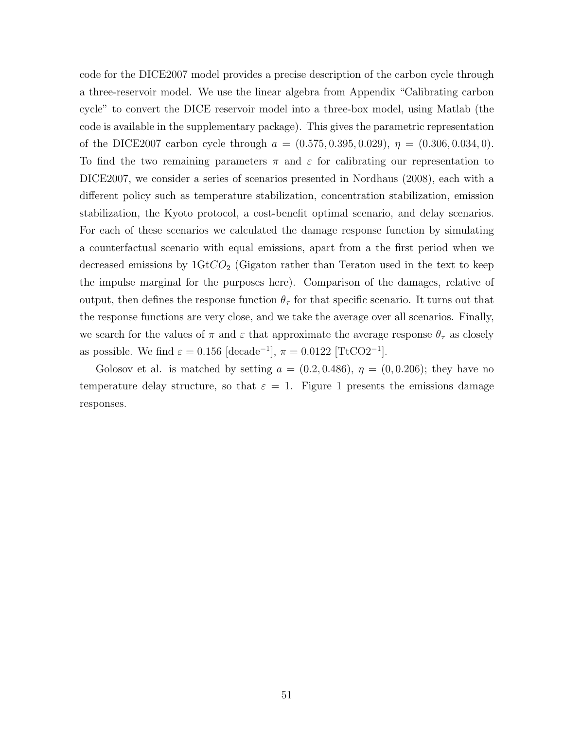code for the DICE2007 model provides a precise description of the carbon cycle through a three-reservoir model. We use the linear algebra from Appendix "Calibrating carbon cycle" to convert the DICE reservoir model into a three-box model, using Matlab (the code is available in the supplementary package). This gives the parametric representation of the DICE2007 carbon cycle through  $a = (0.575, 0.395, 0.029), \eta = (0.306, 0.034, 0).$ To find the two remaining parameters  $\pi$  and  $\varepsilon$  for calibrating our representation to DICE2007, we consider a series of scenarios presented in Nordhaus (2008), each with a different policy such as temperature stabilization, concentration stabilization, emission stabilization, the Kyoto protocol, a cost-benefit optimal scenario, and delay scenarios. For each of these scenarios we calculated the damage response function by simulating a counterfactual scenario with equal emissions, apart from a the first period when we decreased emissions by  $1 \text{Gt}CO_2$  (Gigaton rather than Teraton used in the text to keep the impulse marginal for the purposes here). Comparison of the damages, relative of output, then defines the response function  $\theta_{\tau}$  for that specific scenario. It turns out that the response functions are very close, and we take the average over all scenarios. Finally, we search for the values of  $\pi$  and  $\varepsilon$  that approximate the average response  $\theta_{\tau}$  as closely as possible. We find  $\varepsilon = 0.156$  [decade<sup>-1</sup>],  $\pi = 0.0122$  [TtCO2<sup>-1</sup>].

Golosov et al. is matched by setting  $a = (0.2, 0.486), \eta = (0, 0.206)$ ; they have no temperature delay structure, so that  $\varepsilon = 1$ . Figure 1 presents the emissions damage responses.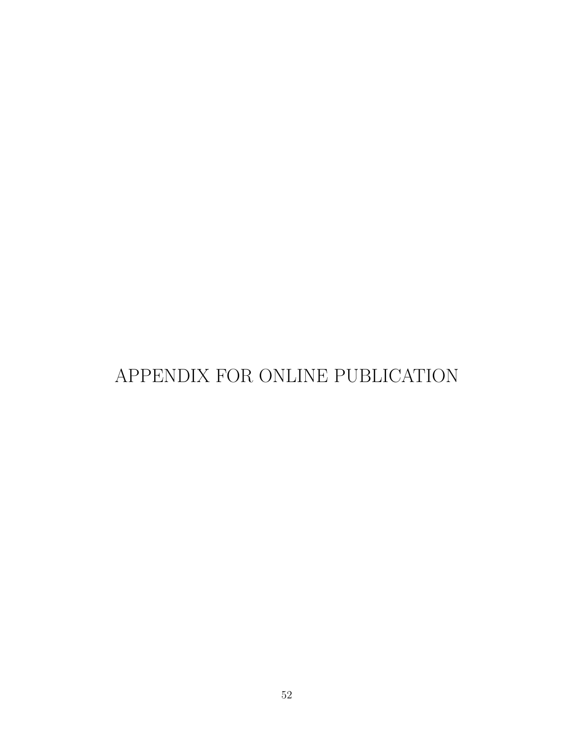# APPENDIX FOR ONLINE PUBLICATION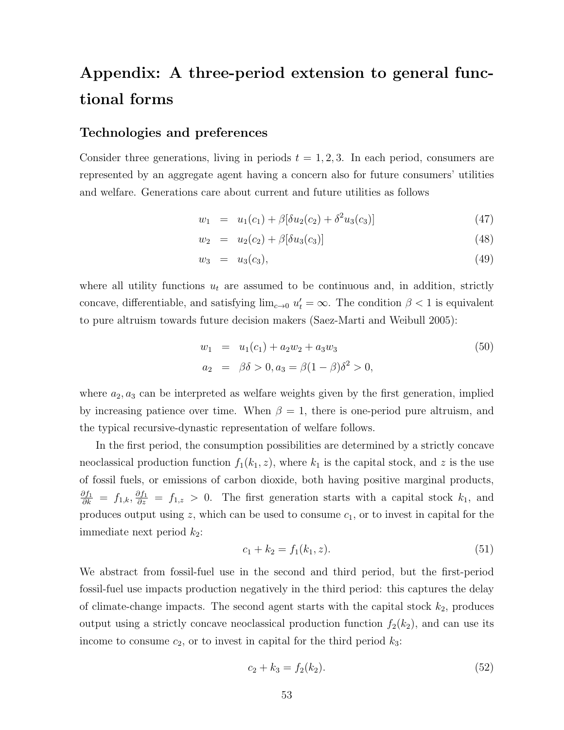# Appendix: A three-period extension to general functional forms

#### Technologies and preferences

Consider three generations, living in periods  $t = 1, 2, 3$ . In each period, consumers are represented by an aggregate agent having a concern also for future consumers' utilities and welfare. Generations care about current and future utilities as follows

<span id="page-52-0"></span>
$$
w_1 = u_1(c_1) + \beta[\delta u_2(c_2) + \delta^2 u_3(c_3)] \tag{47}
$$

$$
w_2 = u_2(c_2) + \beta[\delta u_3(c_3)] \tag{48}
$$

$$
w_3 = u_3(c_3), \t\t(49)
$$

where all utility functions  $u_t$  are assumed to be continuous and, in addition, strictly concave, differentiable, and satisfying  $\lim_{c\to 0} u'_t = \infty$ . The condition  $\beta < 1$  is equivalent to pure altruism towards future decision makers (Saez-Marti and Weibull 2005):

$$
w_1 = u_1(c_1) + a_2w_2 + a_3w_3
$$
  
\n
$$
a_2 = \beta\delta > 0, a_3 = \beta(1 - \beta)\delta^2 > 0,
$$
\n(50)

where  $a_2, a_3$  can be interpreted as welfare weights given by the first generation, implied by increasing patience over time. When  $\beta = 1$ , there is one-period pure altruism, and the typical recursive-dynastic representation of welfare follows.

In the first period, the consumption possibilities are determined by a strictly concave neoclassical production function  $f_1(k_1, z)$ , where  $k_1$  is the capital stock, and z is the use of fossil fuels, or emissions of carbon dioxide, both having positive marginal products,  $\frac{\partial f_1}{\partial k} = f_{1,k}, \frac{\partial f_1}{\partial z} = f_{1,z} > 0$ . The first generation starts with a capital stock  $k_1$ , and produces output using  $z$ , which can be used to consume  $c_1$ , or to invest in capital for the immediate next period  $k_2$ :

<span id="page-52-1"></span>
$$
c_1 + k_2 = f_1(k_1, z). \tag{51}
$$

We abstract from fossil-fuel use in the second and third period, but the first-period fossil-fuel use impacts production negatively in the third period: this captures the delay of climate-change impacts. The second agent starts with the capital stock  $k_2$ , produces output using a strictly concave neoclassical production function  $f_2(k_2)$ , and can use its income to consume  $c_2$ , or to invest in capital for the third period  $k_3$ :

$$
c_2 + k_3 = f_2(k_2). \tag{52}
$$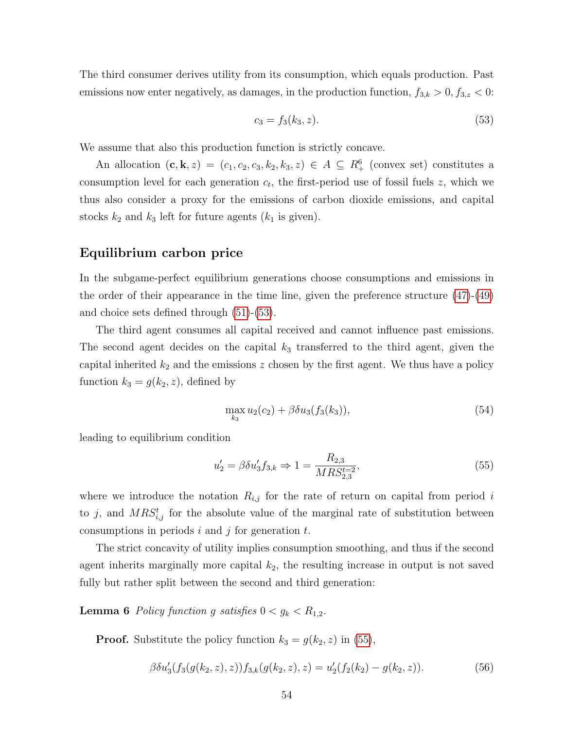The third consumer derives utility from its consumption, which equals production. Past emissions now enter negatively, as damages, in the production function,  $f_{3,k} > 0, f_{3,z} < 0$ :

<span id="page-53-0"></span>
$$
c_3 = f_3(k_3, z). \tag{53}
$$

We assume that also this production function is strictly concave.

An allocation  $(c, k, z) = (c_1, c_2, c_3, k_2, k_3, z) \in A \subseteq R^6_+$  (convex set) constitutes a consumption level for each generation  $c_t$ , the first-period use of fossil fuels z, which we thus also consider a proxy for the emissions of carbon dioxide emissions, and capital stocks  $k_2$  and  $k_3$  left for future agents  $(k_1$  is given).

#### Equilibrium carbon price

In the subgame-perfect equilibrium generations choose consumptions and emissions in the order of their appearance in the time line, given the preference structure [\(47\)](#page-52-0)-[\(49\)](#page-52-0) and choice sets defined through [\(51\)](#page-52-1)-[\(53\)](#page-53-0).

The third agent consumes all capital received and cannot influence past emissions. The second agent decides on the capital  $k_3$  transferred to the third agent, given the capital inherited  $k_2$  and the emissions z chosen by the first agent. We thus have a policy function  $k_3 = g(k_2, z)$ , defined by

$$
\max_{k_3} u_2(c_2) + \beta \delta u_3(f_3(k_3)),\tag{54}
$$

leading to equilibrium condition

<span id="page-53-1"></span>
$$
u_2' = \beta \delta u_3' f_{3,k} \Rightarrow 1 = \frac{R_{2,3}}{M R S_{2,3}^{t=2}},\tag{55}
$$

where we introduce the notation  $R_{i,j}$  for the rate of return on capital from period i to j, and  $MRS_{i,j}^t$  for the absolute value of the marginal rate of substitution between consumptions in periods  $i$  and  $j$  for generation  $t$ .

The strict concavity of utility implies consumption smoothing, and thus if the second agent inherits marginally more capital  $k_2$ , the resulting increase in output is not saved fully but rather split between the second and third generation:

<span id="page-53-2"></span>**Lemma 6** Policy function g satisfies  $0 < g_k < R_{1,2}$ .

**Proof.** Substitute the policy function  $k_3 = g(k_2, z)$  in [\(55\)](#page-53-1),

<span id="page-53-3"></span>
$$
\beta \delta u_3'(f_3(g(k_2, z), z)) f_{3,k}(g(k_2, z), z) = u_2'(f_2(k_2) - g(k_2, z)).
$$
\n(56)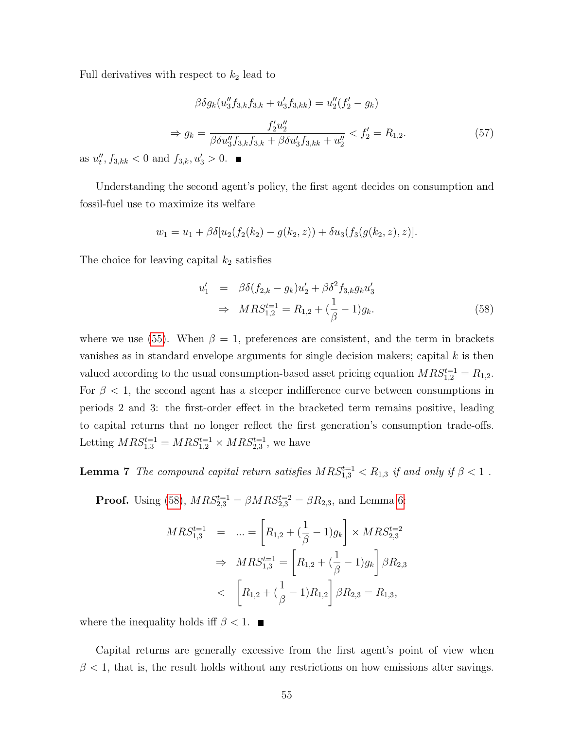Full derivatives with respect to  $k_2$  lead to

$$
\beta \delta g_k(u_3'' f_{3,k} f_{3,k} + u_3' f_{3,kk}) = u_2''(f_2' - g_k)
$$
  
\n
$$
\Rightarrow g_k = \frac{f_2' u_2''}{\beta \delta u_3'' f_{3,k} f_{3,k} + \beta \delta u_3' f_{3,kk} + u_2''} < f_2' = R_{1,2}.
$$
\n(57)

as  $u''_t, f_{3,kk} < 0$  and  $f_{3,k}, u'_3 > 0$ .

Understanding the second agent's policy, the first agent decides on consumption and fossil-fuel use to maximize its welfare

$$
w_1 = u_1 + \beta \delta [u_2(f_2(k_2) - g(k_2, z)) + \delta u_3(f_3(g(k_2, z), z)].
$$

The choice for leaving capital  $k_2$  satisfies

<span id="page-54-0"></span>
$$
u'_1 = \beta \delta (f_{2,k} - g_k) u'_2 + \beta \delta^2 f_{3,k} g_k u'_3
$$
  
\n
$$
\Rightarrow MRS_{1,2}^{t=1} = R_{1,2} + (\frac{1}{\beta} - 1) g_k.
$$
 (58)

where we use [\(55\)](#page-53-1). When  $\beta = 1$ , preferences are consistent, and the term in brackets vanishes as in standard envelope arguments for single decision makers; capital  $k$  is then valued according to the usual consumption-based asset pricing equation  $MRS_{1,2}^{t=1} = R_{1,2}$ . For  $\beta$  < 1, the second agent has a steeper indifference curve between consumptions in periods 2 and 3: the first-order effect in the bracketed term remains positive, leading to capital returns that no longer reflect the first generation's consumption trade-offs. Letting  $MRS_{1,3}^{t=1} = MRS_{1,2}^{t=1} \times MRS_{2,3}^{t=1}$ , we have

<span id="page-54-1"></span>**Lemma 7** The compound capital return satisfies  $MRS_{1,3}^{t=1} < R_{1,3}$  if and only if  $\beta < 1$ .

**Proof.** Using [\(58\)](#page-54-0),  $MRS_{2,3}^{t=1} = \beta MRS_{2,3}^{t=2} = \beta R_{2,3}$ , and Lemma [6:](#page-53-2)

$$
MRS_{1,3}^{t=1} = ... = \left[R_{1,2} + (\frac{1}{\beta} - 1)g_k\right] \times MRS_{2,3}^{t=2}
$$
  
\n
$$
\Rightarrow MRS_{1,3}^{t=1} = \left[R_{1,2} + (\frac{1}{\beta} - 1)g_k\right] \beta R_{2,3}
$$
  
\n
$$
< \left[R_{1,2} + (\frac{1}{\beta} - 1)R_{1,2}\right] \beta R_{2,3} = R_{1,3},
$$

where the inequality holds iff  $\beta < 1$ .

Capital returns are generally excessive from the first agent's point of view when  $\beta$  < 1, that is, the result holds without any restrictions on how emissions alter savings.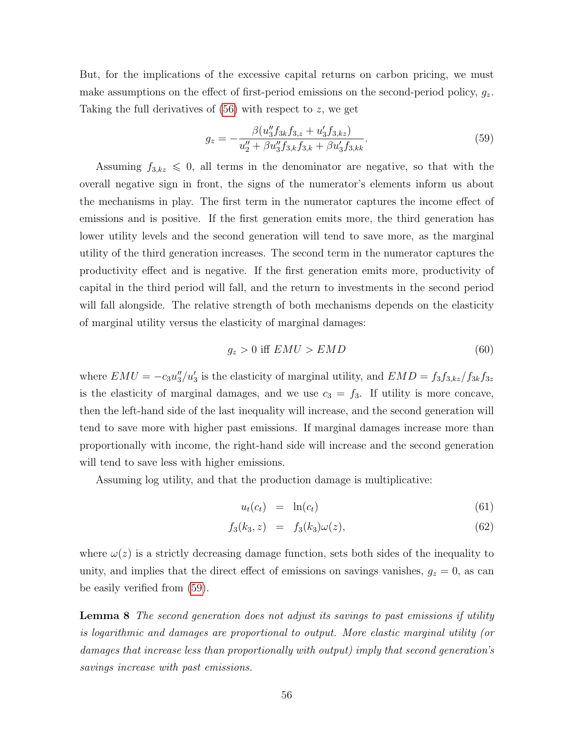But, for the implications of the excessive capital returns on carbon pricing, we must make assumptions on the effect of first-period emissions on the second-period policy,  $g_z$ . Taking the full derivatives of [\(56\)](#page-53-3) with respect to z, we get

<span id="page-55-1"></span>
$$
g_z = -\frac{\beta(u_3'' f_{3k} f_{3,z} + u_3' f_{3,kz})}{u_2'' + \beta u_3'' f_{3,k} f_{3,k} + \beta u_3' f_{3,kk}}.
$$
\n(59)

Assuming  $f_{3,kz} \leq 0$ , all terms in the denominator are negative, so that with the overall negative sign in front, the signs of the numerator's elements inform us about the mechanisms in play. The first term in the numerator captures the income effect of emissions and is positive. If the first generation emits more, the third generation has lower utility levels and the second generation will tend to save more, as the marginal utility of the third generation increases. The second term in the numerator captures the productivity effect and is negative. If the first generation emits more, productivity of capital in the third period will fall, and the return to investments in the second period will fall alongside. The relative strength of both mechanisms depends on the elasticity of marginal utility versus the elasticity of marginal damages:

$$
g_z > 0 \text{ iff } EMU > EMD \tag{60}
$$

where  $EMU = -c_3u''_3/u'_3$  is the elasticity of marginal utility, and  $EMD = f_3f_{3,kz}/f_{3k}f_{3z}$ is the elasticity of marginal damages, and we use  $c_3 = f_3$ . If utility is more concave, then the left-hand side of the last inequality will increase, and the second generation will tend to save more with higher past emissions. If marginal damages increase more than proportionally with income, the right-hand side will increase and the second generation will tend to save less with higher emissions.

Assuming log utility, and that the production damage is multiplicative:

<span id="page-55-2"></span>
$$
u_t(c_t) = \ln(c_t) \tag{61}
$$

$$
f_3(k_3, z) = f_3(k_3)\omega(z), \tag{62}
$$

where  $\omega(z)$  is a strictly decreasing damage function, sets both sides of the inequality to unity, and implies that the direct effect of emissions on savings vanishes,  $g_z = 0$ , as can be easily verified from [\(59\)](#page-55-1).

<span id="page-55-0"></span>Lemma 8 The second generation does not adjust its savings to past emissions if utility is logarithmic and damages are proportional to output. More elastic marginal utility (or damages that increase less than proportionally with output) imply that second generation's savings increase with past emissions.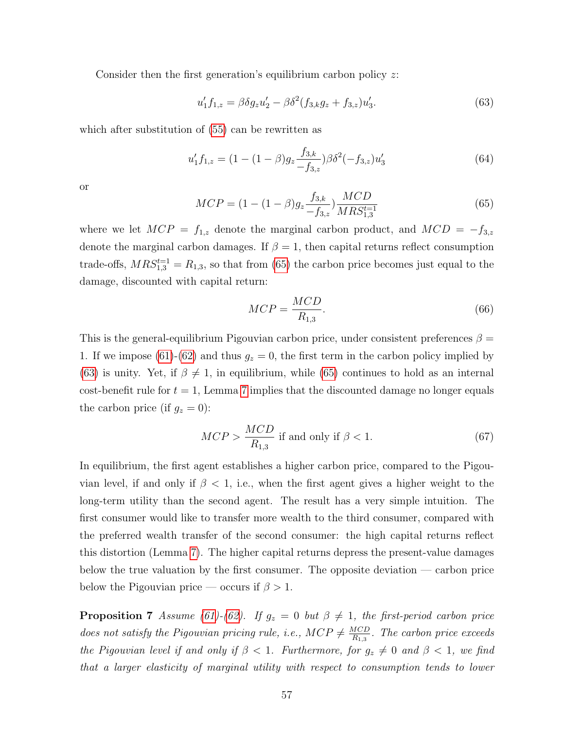Consider then the first generation's equilibrium carbon policy z:

<span id="page-56-1"></span>
$$
u'_1 f_{1,z} = \beta \delta g_z u'_2 - \beta \delta^2 (f_{3,k} g_z + f_{3,z}) u'_3.
$$
 (63)

which after substitution of [\(55\)](#page-53-1) can be rewritten as

$$
u'_1 f_{1,z} = (1 - (1 - \beta)g_z \frac{f_{3,k}}{-f_{3,z}}) \beta \delta^2(-f_{3,z}) u'_3
$$
\n(64)

or

<span id="page-56-0"></span>
$$
MCP = (1 - (1 - \beta)g_z \frac{f_{3,k}}{-f_{3,z}}) \frac{MCD}{MRS_{1,3}^{t=1}}
$$
(65)

where we let  $MCP = f_{1,z}$  denote the marginal carbon product, and  $MCD = -f_{3,z}$ denote the marginal carbon damages. If  $\beta = 1$ , then capital returns reflect consumption trade-offs,  $MRS_{1,3}^{t=1} = R_{1,3}$ , so that from [\(65\)](#page-56-0) the carbon price becomes just equal to the damage, discounted with capital return:

$$
MCP = \frac{MCD}{R_{1,3}}.\t(66)
$$

This is the general-equilibrium Pigouvian carbon price, under consistent preferences  $\beta =$ 1. If we impose [\(61\)](#page-55-2)-[\(62\)](#page-55-2) and thus  $g_z = 0$ , the first term in the carbon policy implied by [\(63\)](#page-56-1) is unity. Yet, if  $\beta \neq 1$ , in equilibrium, while [\(65\)](#page-56-0) continues to hold as an internal cost-benefit rule for  $t = 1$ , Lemma [7](#page-54-1) implies that the discounted damage no longer equals the carbon price (if  $g_z = 0$ ):

$$
MCP > \frac{MCD}{R_{1,3}}
$$
 if and only if  $\beta < 1$ . (67)

In equilibrium, the first agent establishes a higher carbon price, compared to the Pigouvian level, if and only if  $\beta$  < 1, i.e., when the first agent gives a higher weight to the long-term utility than the second agent. The result has a very simple intuition. The first consumer would like to transfer more wealth to the third consumer, compared with the preferred wealth transfer of the second consumer: the high capital returns reflect this distortion (Lemma [7\)](#page-54-1). The higher capital returns depress the present-value damages below the true valuation by the first consumer. The opposite deviation  $-$  carbon price below the Pigouvian price — occurs if  $\beta > 1$ .

**Proposition 7** Assume [\(61\)](#page-55-2)-[\(62\)](#page-55-2). If  $g_z = 0$  but  $\beta \neq 1$ , the first-period carbon price does not satisfy the Pigouvian pricing rule, i.e.,  $MCP \neq \frac{MCD}{B_{1,0}}$  $\frac{MCD}{R_{1,3}}$ . The carbon price exceeds the Pigouvian level if and only if  $\beta < 1$ . Furthermore, for  $g_z \neq 0$  and  $\beta < 1$ , we find that a larger elasticity of marginal utility with respect to consumption tends to lower